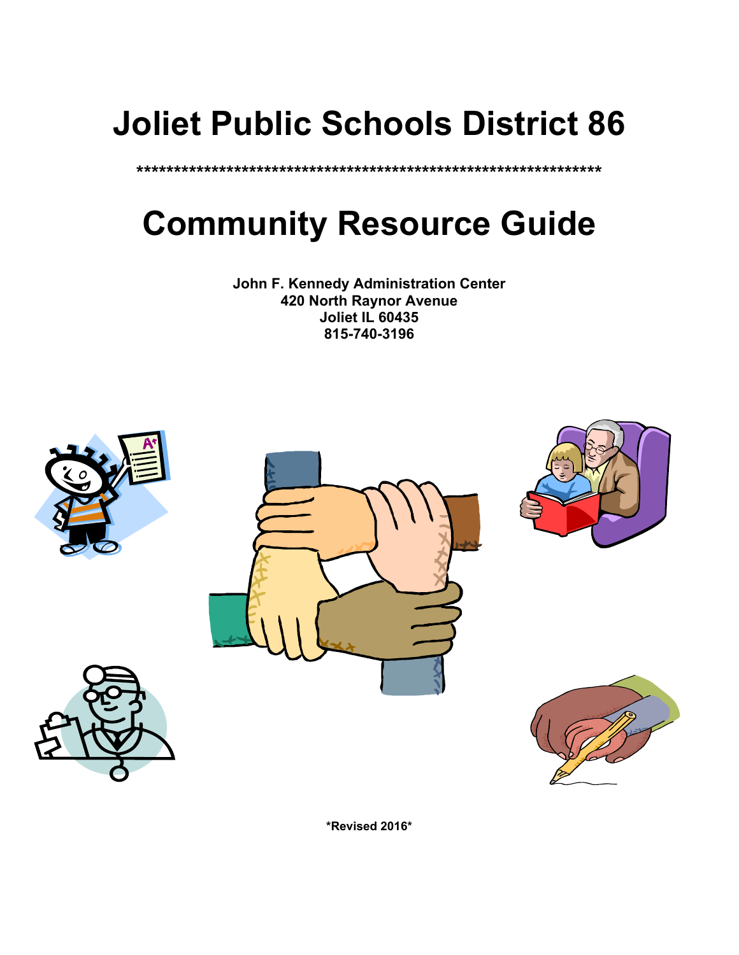# **Joliet Public Schools District 86**

**\*\*\*\*\*\*\*\*\*\*\*\*\*\*\*\*\*\*\*\*\*\*\*\*\*\*\*\*\*\*\*\*\*\*\*\*\*\*\*\*\*\*\*\*\*\*\*\*\*\*\*\*\*\*\*\*\*\*\*\*\*\***

# **Community Resource Guide**

**John F. Kennedy Administration Center 420 North Raynor Avenue Joliet IL 60435 815-740-3196**



**\*Revised 2016\***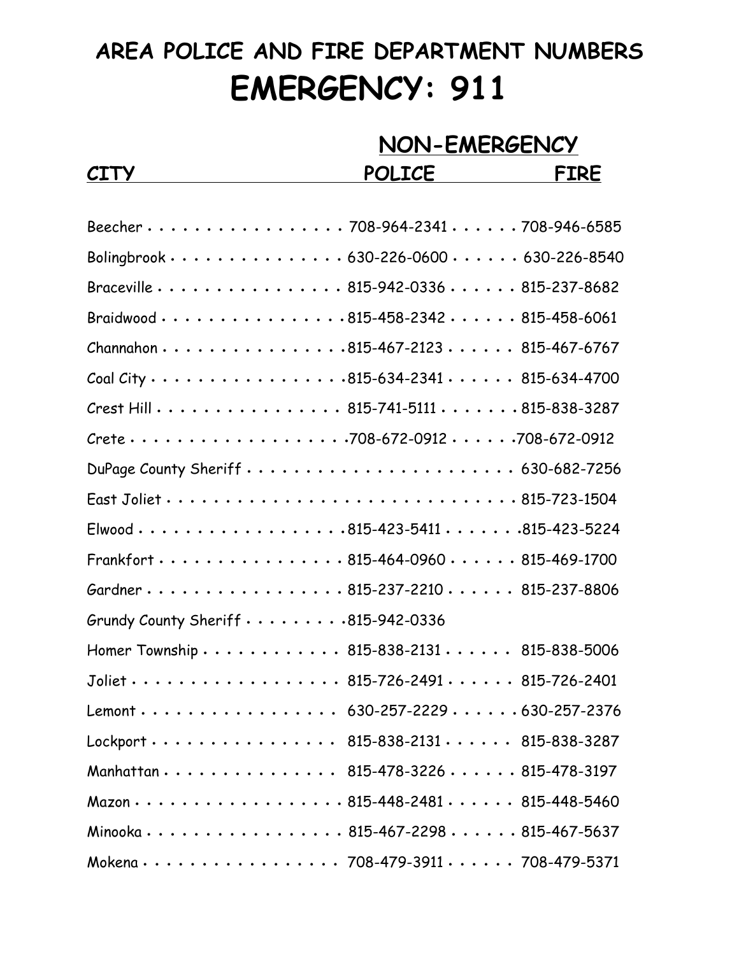# **AREA POLICE AND FIRE DEPARTMENT NUMBERS EMERGENCY: 911**

**CITY POLICE FIRE**

# **NON-EMERGENCY**

| Beecher 708-964-2341 708-946-6585                                                            |
|----------------------------------------------------------------------------------------------|
| Bolingbrook 630-226-0600 630-226-8540                                                        |
| Braceville 815-942-0336 815-237-8682                                                         |
| Braidwood 815-458-2342 815-458-6061                                                          |
| Channahon 815-467-2123 815-467-6767                                                          |
| Coal City 815-634-2341 815-634-4700                                                          |
| Crest Hill 815-741-5111 815-838-3287                                                         |
| Crete708-672-0912708-672-0912                                                                |
|                                                                                              |
|                                                                                              |
| Elwood 815-423-5411 815-423-5224                                                             |
| Frankfort 815-464-0960 815-469-1700                                                          |
| Gardner 815-237-2210 815-237-8806                                                            |
| Grundy County Sheriff 815-942-0336                                                           |
| Homer Township 815-838-2131 815-838-5006                                                     |
| Joliet 815-726-2491 815-726-2401                                                             |
| Lemont 630-257-2229 630-257-2376                                                             |
| $Lockport \ldots \ldots \ldots \ldots \ldots \ldots 815-838-2131 \ldots \ldots 815-838-3287$ |
| Manhattan 815-478-3226 815-478-3197                                                          |
| Mazon 815-448-2481 815-448-5460                                                              |
| Minooka 815-467-2298 815-467-5637                                                            |
| Mokena 708-479-3911 708-479-5371                                                             |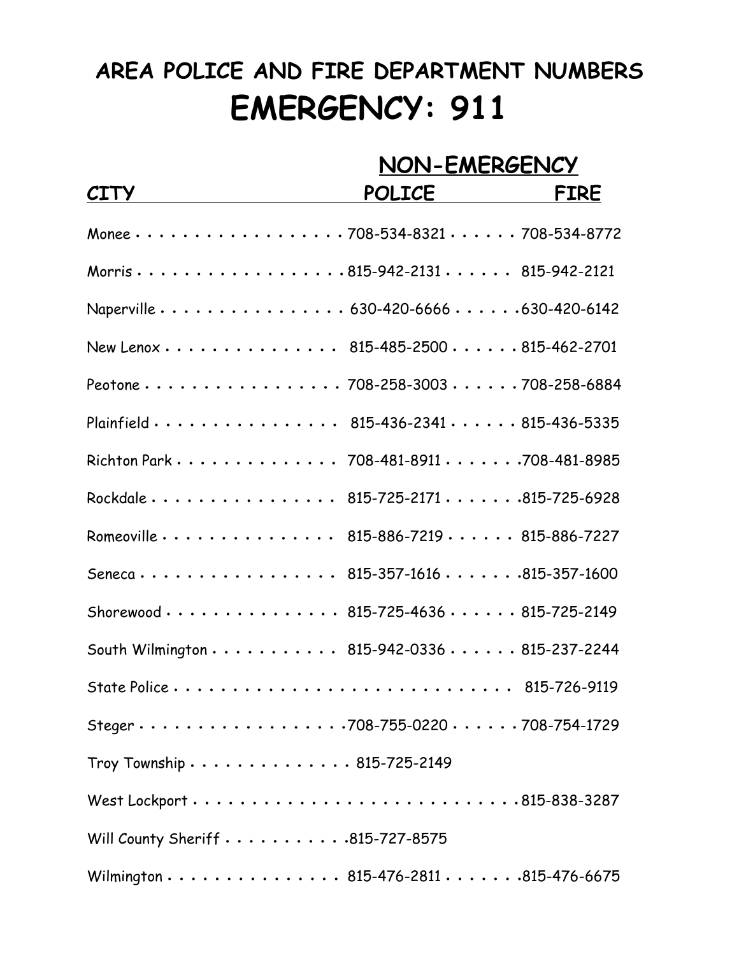# **AREA POLICE AND FIRE DEPARTMENT NUMBERS EMERGENCY: 911**

 **NON-EMERGENCY**

| <b>CITY</b>                                             | <b>POLICE</b>                              | <b>FIRE</b> |
|---------------------------------------------------------|--------------------------------------------|-------------|
|                                                         |                                            |             |
|                                                         | Morris 815-942-2131 815-942-2121           |             |
|                                                         | Naperville 630-420-6666 630-420-6142       |             |
|                                                         | New Lenox 815-485-2500 815-462-2701        |             |
|                                                         | Peotone 708-258-3003 708-258-6884          |             |
|                                                         | Plainfield 815-436-2341 815-436-5335       |             |
|                                                         | Richton Park 708-481-8911 708-481-8985     |             |
|                                                         | Rockdale 815-725-2171 815-725-6928         |             |
|                                                         | Romeoville 815-886-7219 815-886-7227       |             |
|                                                         | Seneca 815-357-1616 815-357-1600           |             |
|                                                         | Shorewood 815-725-4636 815-725-2149        |             |
|                                                         | South Wilmington 815-942-0336 815-237-2244 |             |
|                                                         |                                            |             |
|                                                         | Steger 708-755-0220 708-754-1729           |             |
| Troy Township 815-725-2149                              |                                            |             |
|                                                         |                                            |             |
| Will County Sheriff $\cdots \cdots \cdots$ 815-727-8575 |                                            |             |
|                                                         | Wilmington 815-476-2811 815-476-6675       |             |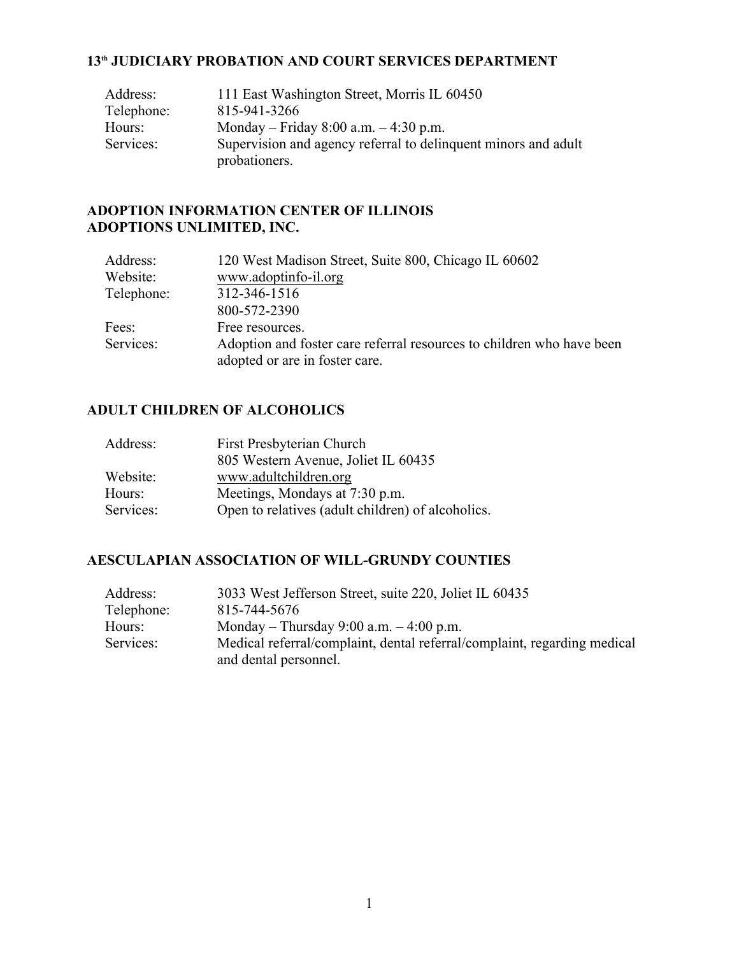### **13th JUDICIARY PROBATION AND COURT SERVICES DEPARTMENT**

| Address:   | 111 East Washington Street, Morris IL 60450                                     |
|------------|---------------------------------------------------------------------------------|
| Telephone: | 815-941-3266                                                                    |
| Hours:     | Monday – Friday 8:00 a.m. $-4:30$ p.m.                                          |
| Services:  | Supervision and agency referral to delinquent minors and adult<br>probationers. |

#### **ADOPTION INFORMATION CENTER OF ILLINOIS ADOPTIONS UNLIMITED, INC.**

| Address:   | 120 West Madison Street, Suite 800, Chicago IL 60602                  |
|------------|-----------------------------------------------------------------------|
| Website:   | www.adoptinfo-il.org                                                  |
| Telephone: | 312-346-1516                                                          |
|            | 800-572-2390                                                          |
| Fees:      | Free resources.                                                       |
| Services:  | Adoption and foster care referral resources to children who have been |
|            | adopted or are in foster care.                                        |

#### **ADULT CHILDREN OF ALCOHOLICS**

| First Presbyterian Church                         |
|---------------------------------------------------|
| 805 Western Avenue, Joliet IL 60435               |
| www.adultchildren.org                             |
| Meetings, Mondays at 7:30 p.m.                    |
| Open to relatives (adult children) of alcoholics. |
|                                                   |

#### **AESCULAPIAN ASSOCIATION OF WILL-GRUNDY COUNTIES**

| Address:   | 3033 West Jefferson Street, suite 220, Joliet IL 60435                   |
|------------|--------------------------------------------------------------------------|
| Telephone: | 815-744-5676                                                             |
| Hours:     | Monday – Thursday 9:00 a.m. $-4:00$ p.m.                                 |
| Services:  | Medical referral/complaint, dental referral/complaint, regarding medical |
|            | and dental personnel.                                                    |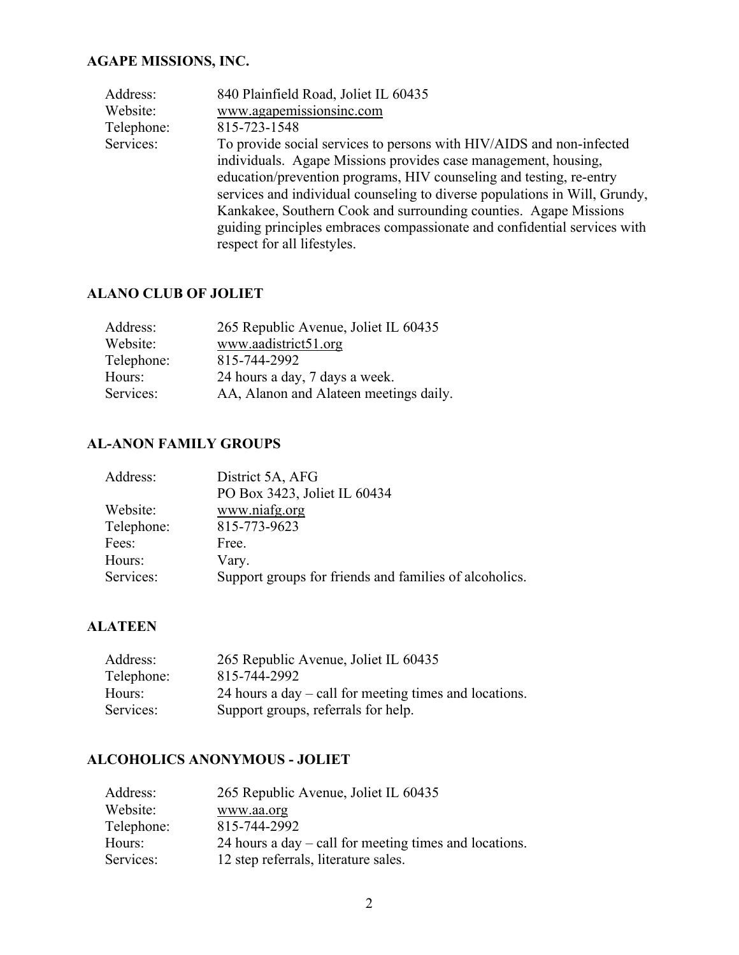#### **AGAPE MISSIONS, INC.**

#### **ALANO CLUB OF JOLIET**

| Address:   | 265 Republic Avenue, Joliet IL 60435   |
|------------|----------------------------------------|
| Website:   | www.aadistrict51.org                   |
| Telephone: | 815-744-2992                           |
| Hours:     | 24 hours a day, 7 days a week.         |
| Services:  | AA, Alanon and Alateen meetings daily. |
|            |                                        |

#### **AL-ANON FAMILY GROUPS**

| Address:   | District 5A, AFG                                       |
|------------|--------------------------------------------------------|
|            | PO Box 3423, Joliet IL 60434                           |
| Website:   | www.niafg.org                                          |
| Telephone: | 815-773-9623                                           |
| Fees:      | Free.                                                  |
| Hours:     | Vary.                                                  |
| Services:  | Support groups for friends and families of alcoholics. |
|            |                                                        |

#### **ALATEEN**

| Address:   | 265 Republic Avenue, Joliet IL 60435                     |
|------------|----------------------------------------------------------|
| Telephone: | 815-744-2992                                             |
| Hours:     | 24 hours a day $-$ call for meeting times and locations. |
| Services:  | Support groups, referrals for help.                      |

### **ALCOHOLICS ANONYMOUS - JOLIET**

| Address:   | 265 Republic Avenue, Joliet IL 60435                   |
|------------|--------------------------------------------------------|
| Website:   | www.aa.org                                             |
| Telephone: | 815-744-2992                                           |
| Hours:     | 24 hours a day – call for meeting times and locations. |
| Services:  | 12 step referrals, literature sales.                   |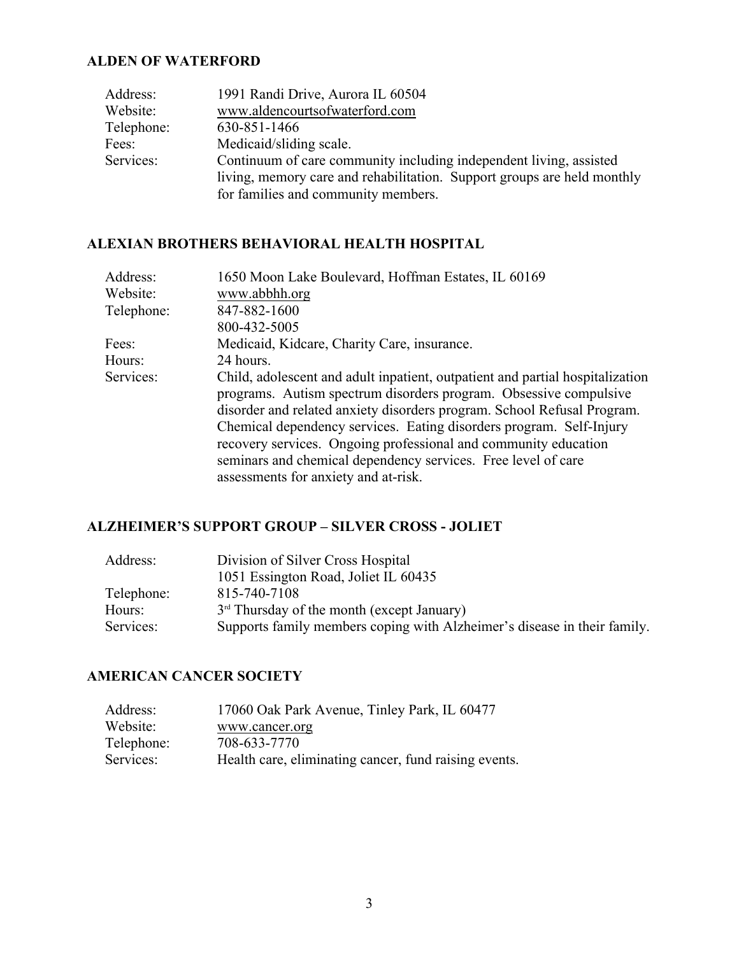#### **ALDEN OF WATERFORD**

| Address:   | 1991 Randi Drive, Aurora IL 60504                                       |
|------------|-------------------------------------------------------------------------|
| Website:   | www.aldencourtsofwaterford.com                                          |
| Telephone: | 630-851-1466                                                            |
| Fees:      | Medicaid/sliding scale.                                                 |
| Services:  | Continuum of care community including independent living, assisted      |
|            | living, memory care and rehabilitation. Support groups are held monthly |
|            | for families and community members.                                     |

#### **ALEXIAN BROTHERS BEHAVIORAL HEALTH HOSPITAL**

| Address:   | 1650 Moon Lake Boulevard, Hoffman Estates, IL 60169                           |
|------------|-------------------------------------------------------------------------------|
| Website:   | www.abbhh.org                                                                 |
| Telephone: | 847-882-1600                                                                  |
|            | 800-432-5005                                                                  |
| Fees:      | Medicaid, Kidcare, Charity Care, insurance.                                   |
| Hours:     | 24 hours.                                                                     |
| Services:  | Child, adolescent and adult inpatient, outpatient and partial hospitalization |
|            | programs. Autism spectrum disorders program. Obsessive compulsive             |
|            | disorder and related anxiety disorders program. School Refusal Program.       |
|            | Chemical dependency services. Eating disorders program. Self-Injury           |
|            | recovery services. Ongoing professional and community education               |
|            | seminars and chemical dependency services. Free level of care                 |
|            | assessments for anxiety and at-risk.                                          |

### **ALZHEIMER'S SUPPORT GROUP – SILVER CROSS - JOLIET**

| Address:   | Division of Silver Cross Hospital                                        |
|------------|--------------------------------------------------------------------------|
|            | 1051 Essington Road, Joliet IL 60435                                     |
| Telephone: | 815-740-7108                                                             |
| Hours:     | $3rd$ Thursday of the month (except January)                             |
| Services:  | Supports family members coping with Alzheimer's disease in their family. |

#### **AMERICAN CANCER SOCIETY**

| Address:   | 17060 Oak Park Avenue, Tinley Park, IL 60477          |
|------------|-------------------------------------------------------|
| Website:   | www.cancer.org                                        |
| Telephone: | 708-633-7770                                          |
| Services:  | Health care, eliminating cancer, fund raising events. |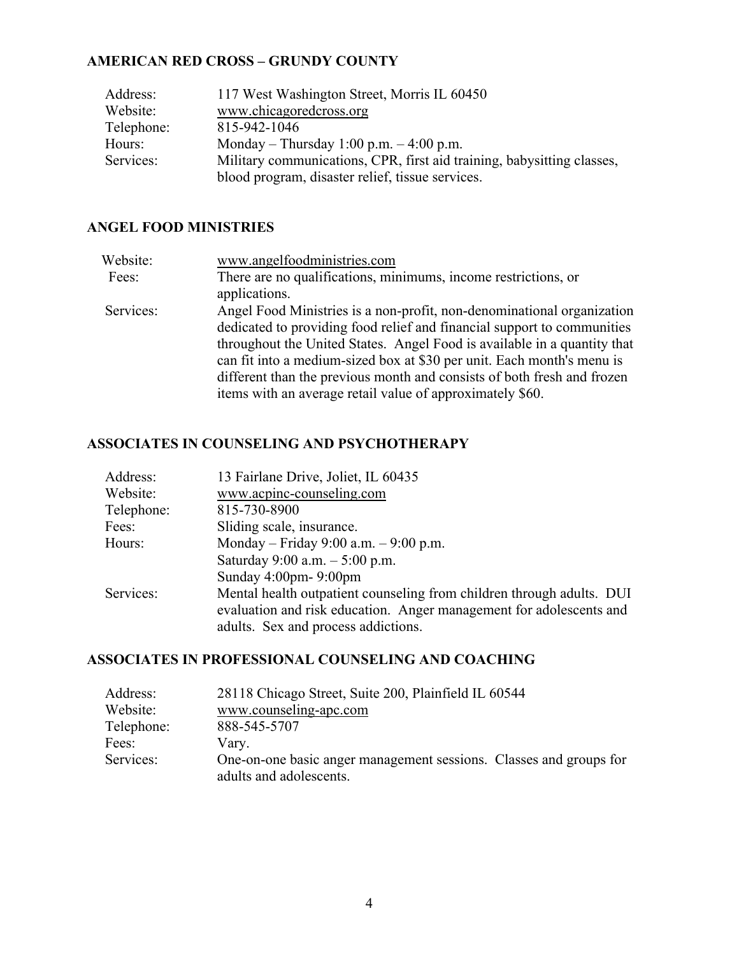#### **AMERICAN RED CROSS – GRUNDY COUNTY**

| Address:   | 117 West Washington Street, Morris IL 60450                            |
|------------|------------------------------------------------------------------------|
| Website:   | www.chicagoredcross.org                                                |
| Telephone: | 815-942-1046                                                           |
| Hours:     | Monday – Thursday 1:00 p.m. $-4:00$ p.m.                               |
| Services:  | Military communications, CPR, first aid training, babysitting classes, |
|            | blood program, disaster relief, tissue services.                       |

#### **ANGEL FOOD MINISTRIES**

| Website:  | www.angelfoodministries.com                                              |
|-----------|--------------------------------------------------------------------------|
| Fees:     | There are no qualifications, minimums, income restrictions, or           |
|           | applications.                                                            |
| Services: | Angel Food Ministries is a non-profit, non-denominational organization   |
|           | dedicated to providing food relief and financial support to communities  |
|           | throughout the United States. Angel Food is available in a quantity that |
|           | can fit into a medium-sized box at \$30 per unit. Each month's menu is   |
|           | different than the previous month and consists of both fresh and frozen  |
|           | items with an average retail value of approximately \$60.                |

#### **ASSOCIATES IN COUNSELING AND PSYCHOTHERAPY**

| Address:   | 13 Fairlane Drive, Joliet, IL 60435                                   |
|------------|-----------------------------------------------------------------------|
| Website:   | www.acpinc-counseling.com                                             |
| Telephone: | 815-730-8900                                                          |
| Fees:      | Sliding scale, insurance.                                             |
| Hours:     | Monday – Friday 9:00 a.m. – 9:00 p.m.                                 |
|            | Saturday 9:00 a.m. $-$ 5:00 p.m.                                      |
|            | Sunday 4:00pm-9:00pm                                                  |
| Services:  | Mental health outpatient counseling from children through adults. DUI |
|            | evaluation and risk education. Anger management for adolescents and   |
|            | adults. Sex and process addictions.                                   |

#### **ASSOCIATES IN PROFESSIONAL COUNSELING AND COACHING**

| Address:   | 28118 Chicago Street, Suite 200, Plainfield IL 60544                                          |
|------------|-----------------------------------------------------------------------------------------------|
| Website:   | www.counseling-apc.com                                                                        |
| Telephone: | 888-545-5707                                                                                  |
| Fees:      | Vary.                                                                                         |
| Services:  | One-on-one basic anger management sessions. Classes and groups for<br>adults and adolescents. |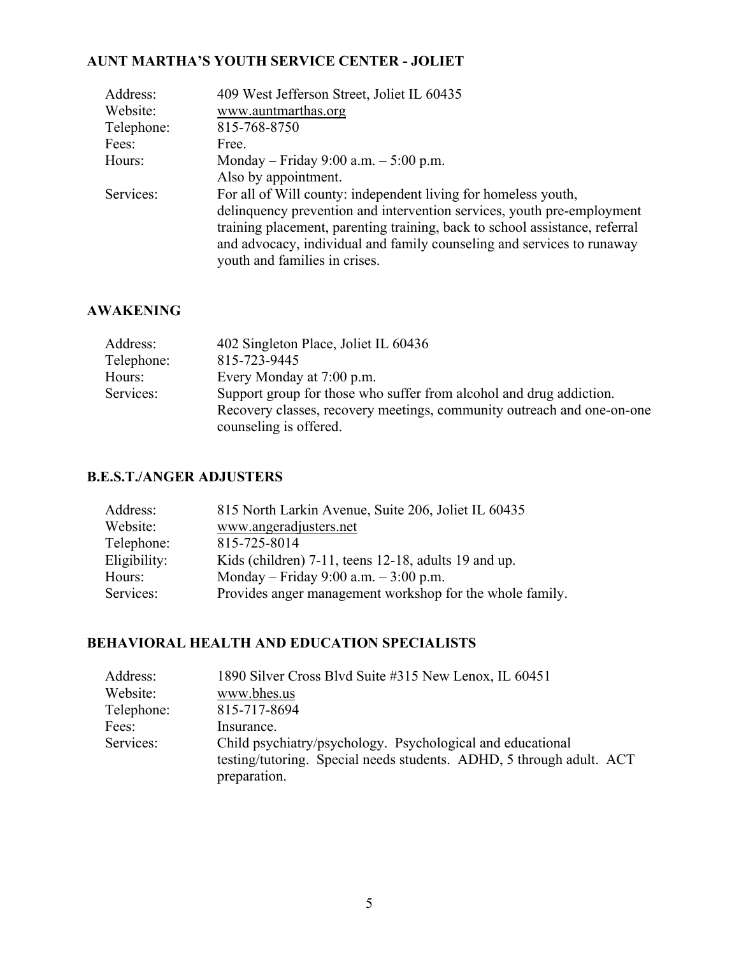### **AUNT MARTHA'S YOUTH SERVICE CENTER - JOLIET**

| Address:   | 409 West Jefferson Street, Joliet IL 60435                                  |
|------------|-----------------------------------------------------------------------------|
| Website:   | www.auntmarthas.org                                                         |
| Telephone: | 815-768-8750                                                                |
| Fees:      | Free.                                                                       |
| Hours:     | Monday – Friday 9:00 a.m. – $5:00$ p.m.                                     |
|            | Also by appointment.                                                        |
| Services:  | For all of Will county: independent living for homeless youth,              |
|            | delinquency prevention and intervention services, youth pre-employment      |
|            | training placement, parenting training, back to school assistance, referral |
|            | and advocacy, individual and family counseling and services to runaway      |
|            | youth and families in crises.                                               |

#### **AWAKENING**

| Address:   | 402 Singleton Place, Joliet IL 60436                                   |
|------------|------------------------------------------------------------------------|
| Telephone: | 815-723-9445                                                           |
| Hours:     | Every Monday at 7:00 p.m.                                              |
| Services:  | Support group for those who suffer from alcohol and drug addiction.    |
|            | Recovery classes, recovery meetings, community outreach and one-on-one |
|            | counseling is offered.                                                 |

#### **B.E.S.T./ANGER ADJUSTERS**

| Address:     | 815 North Larkin Avenue, Suite 206, Joliet IL 60435      |  |
|--------------|----------------------------------------------------------|--|
| Website:     | www.angeradjusters.net                                   |  |
| Telephone:   | 815-725-8014                                             |  |
| Eligibility: | Kids (children) 7-11, teens 12-18, adults 19 and up.     |  |
| Hours:       | Monday – Friday 9:00 a.m. – 3:00 p.m.                    |  |
| Services:    | Provides anger management workshop for the whole family. |  |

### **BEHAVIORAL HEALTH AND EDUCATION SPECIALISTS**

| Address:   | 1890 Silver Cross Blvd Suite #315 New Lenox, IL 60451                |
|------------|----------------------------------------------------------------------|
| Website:   | www.bhes.us                                                          |
| Telephone: | 815-717-8694                                                         |
| Fees:      | Insurance.                                                           |
| Services:  | Child psychiatry/psychology. Psychological and educational           |
|            | testing/tutoring. Special needs students. ADHD, 5 through adult. ACT |
|            | preparation.                                                         |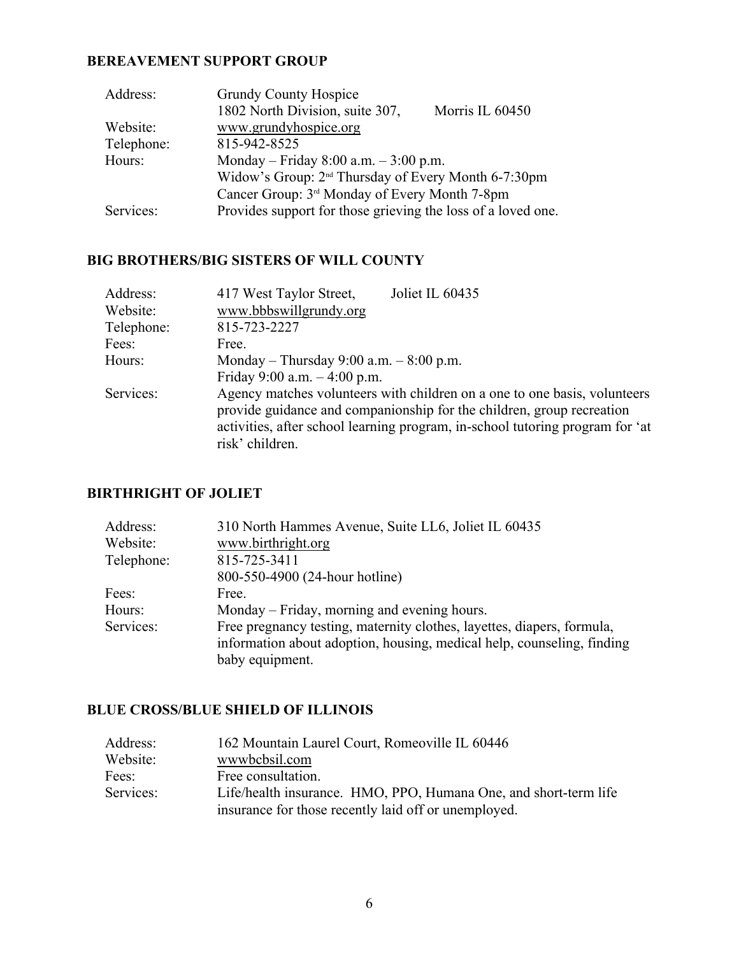#### **BEREAVEMENT SUPPORT GROUP**

| <b>Grundy County Hospice</b>                                    |
|-----------------------------------------------------------------|
| 1802 North Division, suite 307,<br>Morris IL 60450              |
| www.grundyhospice.org                                           |
| 815-942-8525                                                    |
| Monday – Friday 8:00 a.m. – $3:00$ p.m.                         |
| Widow's Group: 2 <sup>nd</sup> Thursday of Every Month 6-7:30pm |
| Cancer Group: 3 <sup>rd</sup> Monday of Every Month 7-8pm       |
| Provides support for those grieving the loss of a loved one.    |
|                                                                 |

#### **BIG BROTHERS/BIG SISTERS OF WILL COUNTY**

| Address:   | 417 West Taylor Street,<br>Joliet IL 60435                                                                                                                                                                                                             |
|------------|--------------------------------------------------------------------------------------------------------------------------------------------------------------------------------------------------------------------------------------------------------|
| Website:   | www.bbbswillgrundy.org                                                                                                                                                                                                                                 |
| Telephone: | 815-723-2227                                                                                                                                                                                                                                           |
| Fees:      | Free.                                                                                                                                                                                                                                                  |
| Hours:     | Monday – Thursday 9:00 a.m. $-8:00$ p.m.                                                                                                                                                                                                               |
|            | Friday 9:00 a.m. $-4:00$ p.m.                                                                                                                                                                                                                          |
| Services:  | Agency matches volunteers with children on a one to one basis, volunteers<br>provide guidance and companionship for the children, group recreation<br>activities, after school learning program, in-school tutoring program for 'at<br>risk' children. |

### **BIRTHRIGHT OF JOLIET**

| Address:   | 310 North Hammes Avenue, Suite LL6, Joliet IL 60435                    |
|------------|------------------------------------------------------------------------|
| Website:   | www.birthright.org                                                     |
| Telephone: | 815-725-3411                                                           |
|            | 800-550-4900 (24-hour hotline)                                         |
| Fees:      | Free.                                                                  |
| Hours:     | Monday – Friday, morning and evening hours.                            |
| Services:  | Free pregnancy testing, maternity clothes, layettes, diapers, formula, |
|            | information about adoption, housing, medical help, counseling, finding |
|            | baby equipment.                                                        |

#### **BLUE CROSS/BLUE SHIELD OF ILLINOIS**

| Address:  | 162 Mountain Laurel Court, Romeoville IL 60446                   |
|-----------|------------------------------------------------------------------|
| Website:  | wwwbcbsil.com                                                    |
| Fees:     | Free consultation.                                               |
| Services: | Life/health insurance. HMO, PPO, Humana One, and short-term life |
|           | insurance for those recently laid off or unemployed.             |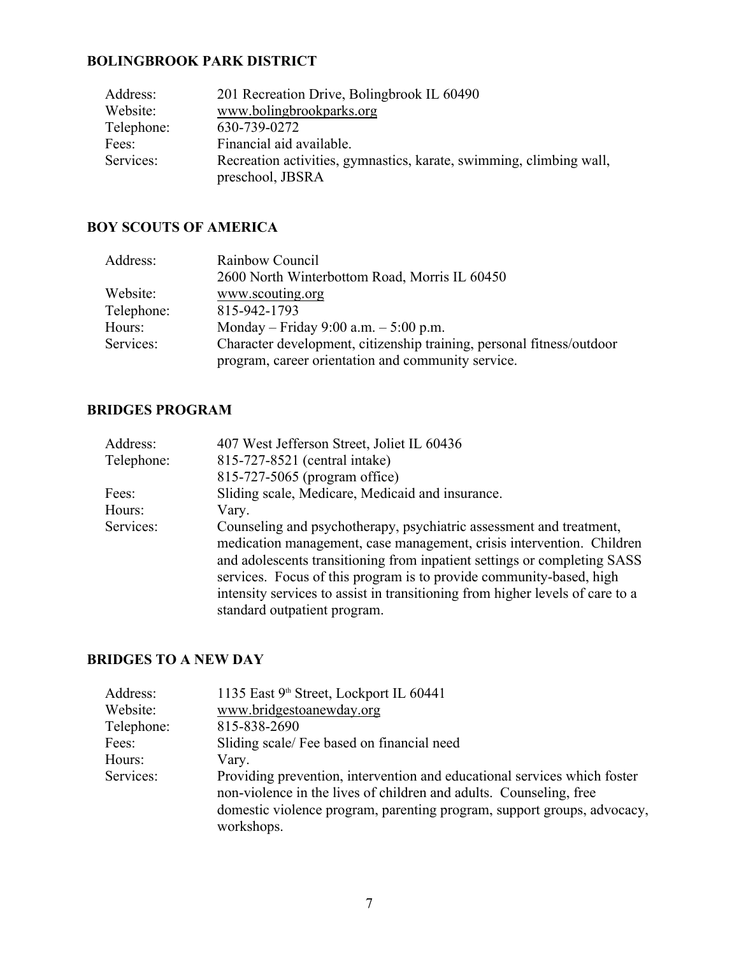### **BOLINGBROOK PARK DISTRICT**

| Address:   | 201 Recreation Drive, Bolingbrook IL 60490                                              |
|------------|-----------------------------------------------------------------------------------------|
| Website:   | www.bolingbrookparks.org                                                                |
| Telephone: | 630-739-0272                                                                            |
| Fees:      | Financial aid available.                                                                |
| Services:  | Recreation activities, gymnastics, karate, swimming, climbing wall,<br>preschool, JBSRA |

#### **BOY SCOUTS OF AMERICA**

| Address:   | Rainbow Council                                                       |
|------------|-----------------------------------------------------------------------|
|            | 2600 North Winterbottom Road, Morris IL 60450                         |
| Website:   | www.scouting.org                                                      |
| Telephone: | 815-942-1793                                                          |
| Hours:     | Monday – Friday 9:00 a.m. – $5:00$ p.m.                               |
| Services:  | Character development, citizenship training, personal fitness/outdoor |
|            | program, career orientation and community service.                    |

#### **BRIDGES PROGRAM**

| Address:   | 407 West Jefferson Street, Joliet IL 60436                                                                                                                                                                                                                                                                                                                                                                       |
|------------|------------------------------------------------------------------------------------------------------------------------------------------------------------------------------------------------------------------------------------------------------------------------------------------------------------------------------------------------------------------------------------------------------------------|
| Telephone: | 815-727-8521 (central intake)                                                                                                                                                                                                                                                                                                                                                                                    |
|            | 815-727-5065 (program office)                                                                                                                                                                                                                                                                                                                                                                                    |
| Fees:      | Sliding scale, Medicare, Medicaid and insurance.                                                                                                                                                                                                                                                                                                                                                                 |
| Hours:     | Vary.                                                                                                                                                                                                                                                                                                                                                                                                            |
| Services:  | Counseling and psychotherapy, psychiatric assessment and treatment,<br>medication management, case management, crisis intervention. Children<br>and adolescents transitioning from inpatient settings or completing SASS<br>services. Focus of this program is to provide community-based, high<br>intensity services to assist in transitioning from higher levels of care to a<br>standard outpatient program. |

### **BRIDGES TO A NEW DAY**

| Address:   | 1135 East 9th Street, Lockport IL 60441                                  |
|------------|--------------------------------------------------------------------------|
| Website:   | www.bridgestoanewday.org                                                 |
| Telephone: | 815-838-2690                                                             |
| Fees:      | Sliding scale/Fee based on financial need                                |
| Hours:     | Vary.                                                                    |
| Services:  | Providing prevention, intervention and educational services which foster |
|            | non-violence in the lives of children and adults. Counseling, free       |
|            | domestic violence program, parenting program, support groups, advocacy,  |
|            | workshops.                                                               |
|            |                                                                          |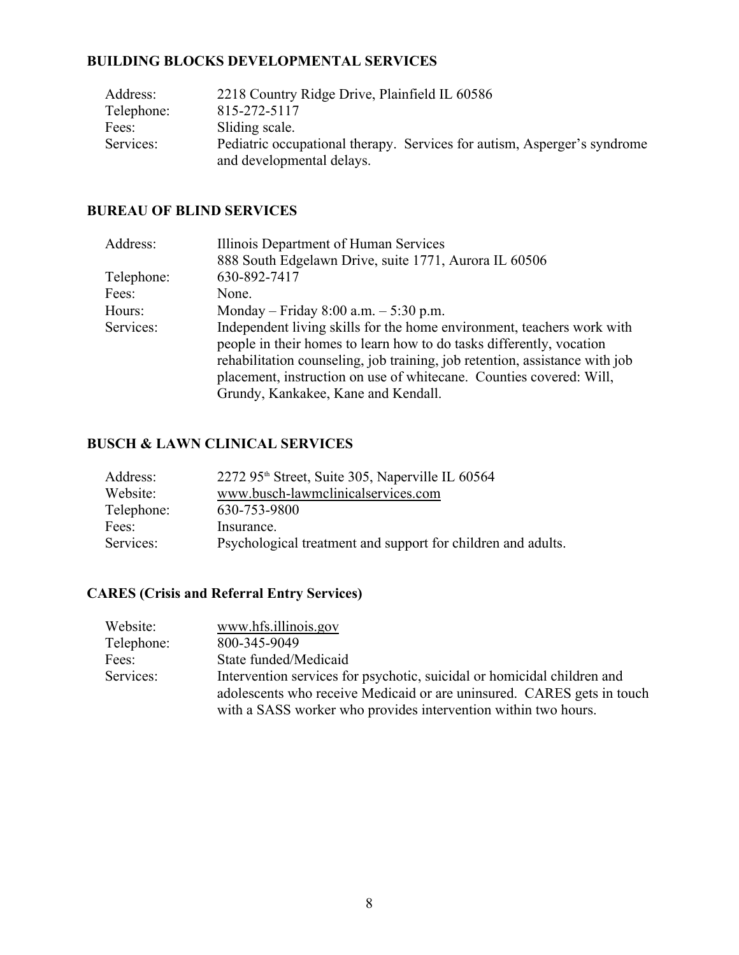#### **BUILDING BLOCKS DEVELOPMENTAL SERVICES**

| Address:   | 2218 Country Ridge Drive, Plainfield IL 60586                                                         |
|------------|-------------------------------------------------------------------------------------------------------|
| Telephone: | 815-272-5117                                                                                          |
| Fees:      | Sliding scale.                                                                                        |
| Services:  | Pediatric occupational therapy. Services for autism, Asperger's syndrome<br>and developmental delays. |

#### **BUREAU OF BLIND SERVICES**

| Address:   | Illinois Department of Human Services                                                                                                                                                                                         |
|------------|-------------------------------------------------------------------------------------------------------------------------------------------------------------------------------------------------------------------------------|
|            | 888 South Edgelawn Drive, suite 1771, Aurora IL 60506                                                                                                                                                                         |
| Telephone: | 630-892-7417                                                                                                                                                                                                                  |
| Fees:      | None.                                                                                                                                                                                                                         |
| Hours:     | Monday – Friday 8:00 a.m. – 5:30 p.m.                                                                                                                                                                                         |
| Services:  | Independent living skills for the home environment, teachers work with<br>people in their homes to learn how to do tasks differently, vocation<br>rehabilitation counseling, job training, job retention, assistance with job |
|            | placement, instruction on use of whitecane. Counties covered: Will,                                                                                                                                                           |
|            | Grundy, Kankakee, Kane and Kendall.                                                                                                                                                                                           |

#### **BUSCH & LAWN CLINICAL SERVICES**

| Address:   | $2272$ 95 <sup>th</sup> Street, Suite 305, Naperville IL 60564 |
|------------|----------------------------------------------------------------|
| Website:   | www.busch-lawmclinicalservices.com                             |
| Telephone: | 630-753-9800                                                   |
| Fees:      | Insurance.                                                     |
| Services:  | Psychological treatment and support for children and adults.   |
|            |                                                                |

### **CARES (Crisis and Referral Entry Services)**

| Website:   | www.hfs.illinois.gov                                                    |
|------------|-------------------------------------------------------------------------|
| Telephone: | 800-345-9049                                                            |
| Fees:      | State funded/Medicaid                                                   |
| Services:  | Intervention services for psychotic, suicidal or homicidal children and |
|            | adolescents who receive Medicaid or are uninsured. CARES gets in touch  |
|            | with a SASS worker who provides intervention within two hours.          |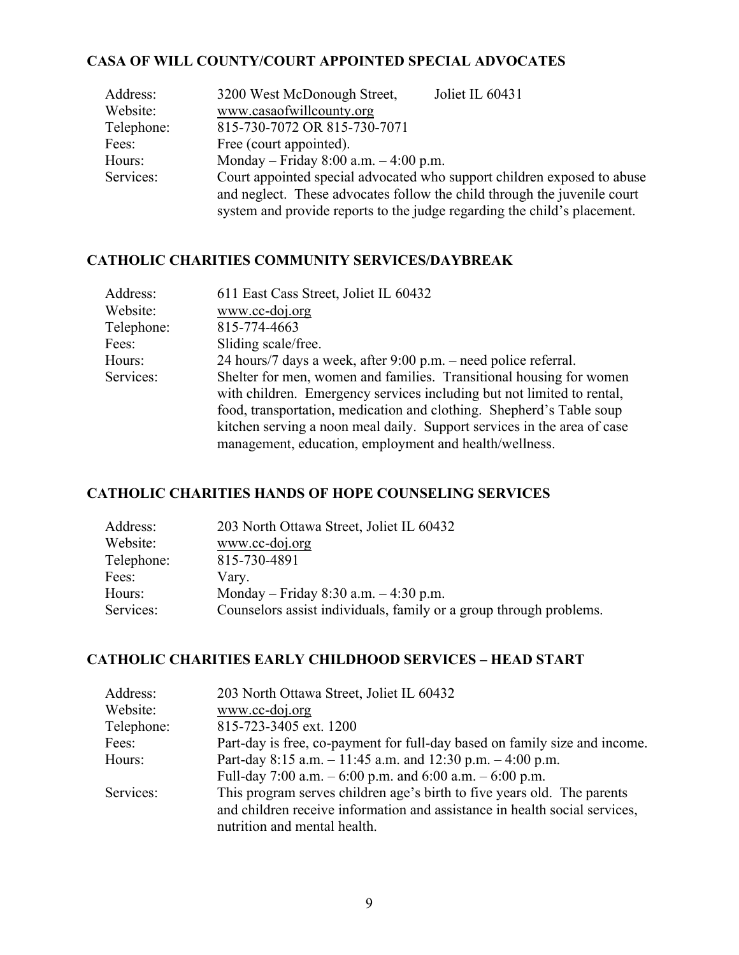#### **CASA OF WILL COUNTY/COURT APPOINTED SPECIAL ADVOCATES**

| Address:<br>Website: | Joliet IL 60431<br>3200 West McDonough Street,<br>www.casaofwillcounty.org |  |
|----------------------|----------------------------------------------------------------------------|--|
| Telephone:           | 815-730-7072 OR 815-730-7071                                               |  |
| Fees:                | Free (court appointed).                                                    |  |
| Hours:               | Monday – Friday 8:00 a.m. – 4:00 p.m.                                      |  |
| Services:            | Court appointed special advocated who support children exposed to abuse    |  |
|                      | and neglect. These advocates follow the child through the juvenile court   |  |
|                      | system and provide reports to the judge regarding the child's placement.   |  |

#### **CATHOLIC CHARITIES COMMUNITY SERVICES/DAYBREAK**

| Address:   | 611 East Cass Street, Joliet IL 60432                                                                                                         |
|------------|-----------------------------------------------------------------------------------------------------------------------------------------------|
| Website:   | www.cc-doj.org                                                                                                                                |
| Telephone: | 815-774-4663                                                                                                                                  |
| Fees:      | Sliding scale/free.                                                                                                                           |
| Hours:     | 24 hours/7 days a week, after 9:00 p.m. – need police referral.                                                                               |
| Services:  | Shelter for men, women and families. Transitional housing for women<br>with children. Emergency services including but not limited to rental, |
|            | food, transportation, medication and clothing. Shepherd's Table soup                                                                          |
|            | kitchen serving a noon meal daily. Support services in the area of case                                                                       |
|            | management, education, employment and health/wellness.                                                                                        |

### **CATHOLIC CHARITIES HANDS OF HOPE COUNSELING SERVICES**

| Address:   | 203 North Ottawa Street, Joliet IL 60432                           |
|------------|--------------------------------------------------------------------|
| Website:   | www.cc-doj.org                                                     |
| Telephone: | 815-730-4891                                                       |
| Fees:      | Vary.                                                              |
| Hours:     | Monday – Friday 8:30 a.m. – 4:30 p.m.                              |
| Services:  | Counselors assist individuals, family or a group through problems. |
|            |                                                                    |

#### **CATHOLIC CHARITIES EARLY CHILDHOOD SERVICES – HEAD START**

| Address:   | 203 North Ottawa Street, Joliet IL 60432                                   |
|------------|----------------------------------------------------------------------------|
| Website:   | www.cc-doj.org                                                             |
| Telephone: | 815-723-3405 ext. 1200                                                     |
| Fees:      | Part-day is free, co-payment for full-day based on family size and income. |
| Hours:     | Part-day 8:15 a.m. $-11:45$ a.m. and 12:30 p.m. $-4:00$ p.m.               |
|            | Full-day 7:00 a.m. $-6:00$ p.m. and 6:00 a.m. $-6:00$ p.m.                 |
| Services:  | This program serves children age's birth to five years old. The parents    |
|            | and children receive information and assistance in health social services, |
|            | nutrition and mental health.                                               |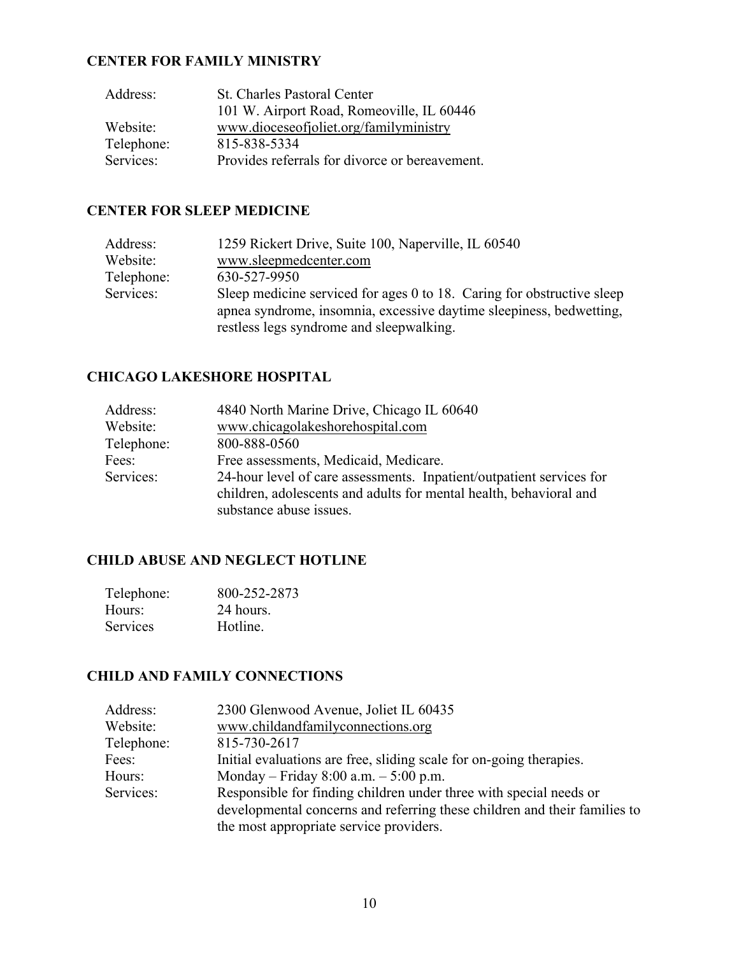#### **CENTER FOR FAMILY MINISTRY**

| Address:   | St. Charles Pastoral Center                    |  |
|------------|------------------------------------------------|--|
|            | 101 W. Airport Road, Romeoville, IL 60446      |  |
| Website:   | www.dioceseofjoliet.org/familyministry         |  |
| Telephone: | 815-838-5334                                   |  |
| Services:  | Provides referrals for divorce or bereavement. |  |

#### **CENTER FOR SLEEP MEDICINE**

| Address:   | 1259 Rickert Drive, Suite 100, Naperville, IL 60540                                                                                                                                       |
|------------|-------------------------------------------------------------------------------------------------------------------------------------------------------------------------------------------|
| Website:   | www.sleepmedcenter.com                                                                                                                                                                    |
| Telephone: | 630-527-9950                                                                                                                                                                              |
| Services:  | Sleep medicine serviced for ages 0 to 18. Caring for obstructive sleep<br>apnea syndrome, insomnia, excessive daytime sleepiness, bedwetting,<br>restless legs syndrome and sleepwalking. |

#### **CHICAGO LAKESHORE HOSPITAL**

| Address:   | 4840 North Marine Drive, Chicago IL 60640                            |
|------------|----------------------------------------------------------------------|
| Website:   | www.chicagolakeshorehospital.com                                     |
| Telephone: | 800-888-0560                                                         |
| Fees:      | Free assessments, Medicaid, Medicare.                                |
| Services:  | 24-hour level of care assessments. Inpatient/outpatient services for |
|            | children, adolescents and adults for mental health, behavioral and   |
|            | substance abuse issues.                                              |

#### **CHILD ABUSE AND NEGLECT HOTLINE**

| Telephone:      | 800-252-2873 |  |
|-----------------|--------------|--|
| Hours:          | 24 hours.    |  |
| <b>Services</b> | Hotline.     |  |

#### **CHILD AND FAMILY CONNECTIONS**

| Address:   | 2300 Glenwood Avenue, Joliet IL 60435                                     |
|------------|---------------------------------------------------------------------------|
| Website:   | www.childandfamilyconnections.org                                         |
| Telephone: | 815-730-2617                                                              |
| Fees:      | Initial evaluations are free, sliding scale for on-going therapies.       |
| Hours:     | Monday – Friday 8:00 a.m. – 5:00 p.m.                                     |
| Services:  | Responsible for finding children under three with special needs or        |
|            | developmental concerns and referring these children and their families to |
|            | the most appropriate service providers.                                   |
|            |                                                                           |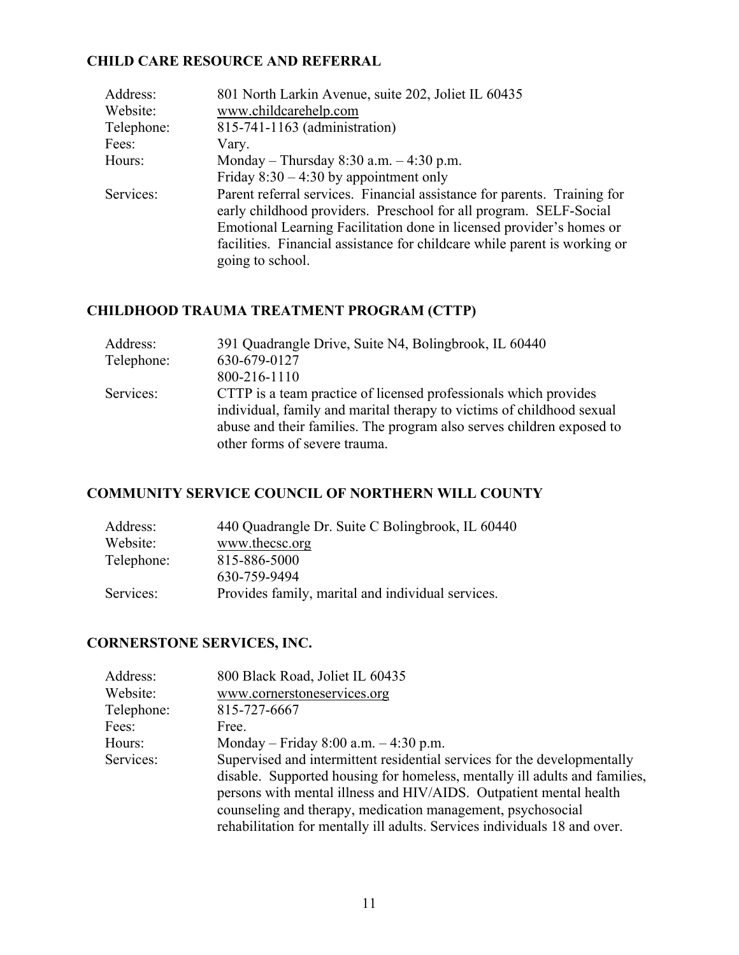#### **CHILD CARE RESOURCE AND REFERRAL**

| Address:   | 801 North Larkin Avenue, suite 202, Joliet IL 60435                       |
|------------|---------------------------------------------------------------------------|
| Website:   | www.childcarehelp.com                                                     |
| Telephone: | 815-741-1163 (administration)                                             |
| Fees:      | Vary.                                                                     |
| Hours:     | Monday – Thursday 8:30 a.m. $-4:30$ p.m.                                  |
|            | Friday $8:30 - 4:30$ by appointment only                                  |
| Services:  | Parent referral services. Financial assistance for parents. Training for  |
|            | early childhood providers. Preschool for all program. SELF-Social         |
|            | Emotional Learning Facilitation done in licensed provider's homes or      |
|            | facilities. Financial assistance for childcare while parent is working or |
|            | going to school.                                                          |

#### **CHILDHOOD TRAUMA TREATMENT PROGRAM (CTTP)**

| Address:   | 391 Quadrangle Drive, Suite N4, Bolingbrook, IL 60440                 |
|------------|-----------------------------------------------------------------------|
| Telephone: | 630-679-0127                                                          |
|            | 800-216-1110                                                          |
| Services:  | CTTP is a team practice of licensed professionals which provides      |
|            | individual, family and marital therapy to victims of childhood sexual |
|            | abuse and their families. The program also serves children exposed to |
|            | other forms of severe trauma.                                         |

### **COMMUNITY SERVICE COUNCIL OF NORTHERN WILL COUNTY**

| Address:   | 440 Quadrangle Dr. Suite C Bolingbrook, IL 60440  |
|------------|---------------------------------------------------|
| Website:   | www.thecsc.org                                    |
| Telephone: | 815-886-5000                                      |
|            | 630-759-9494                                      |
| Services:  | Provides family, marital and individual services. |

#### **CORNERSTONE SERVICES, INC.**

| Address:   | 800 Black Road, Joliet IL 60435                                            |
|------------|----------------------------------------------------------------------------|
| Website:   | www.cornerstoneservices.org                                                |
| Telephone: | 815-727-6667                                                               |
| Fees:      | Free.                                                                      |
| Hours:     | Monday – Friday 8:00 a.m. – 4:30 p.m.                                      |
| Services:  | Supervised and intermittent residential services for the developmentally   |
|            | disable. Supported housing for homeless, mentally ill adults and families, |
|            | persons with mental illness and HIV/AIDS. Outpatient mental health         |
|            | counseling and therapy, medication management, psychosocial                |
|            | rehabilitation for mentally ill adults. Services individuals 18 and over.  |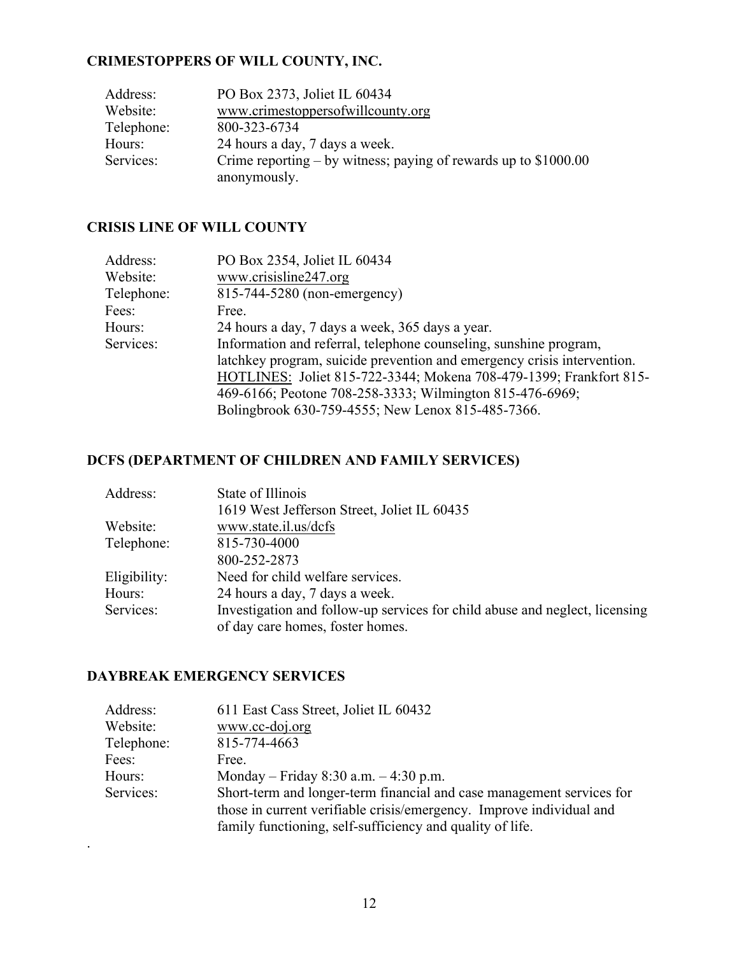#### **CRIMESTOPPERS OF WILL COUNTY, INC.**

| Address:   | PO Box 2373, Joliet IL 60434                                                      |
|------------|-----------------------------------------------------------------------------------|
| Website:   | www.crimestoppersofwillcounty.org                                                 |
| Telephone: | 800-323-6734                                                                      |
| Hours:     | 24 hours a day, 7 days a week.                                                    |
| Services:  | Crime reporting $-$ by witness; paying of rewards up to \$1000.00<br>anonymously. |

#### **CRISIS LINE OF WILL COUNTY**

| Address:   | PO Box 2354, Joliet IL 60434                                            |
|------------|-------------------------------------------------------------------------|
| Website:   | www.crisisline247.org                                                   |
| Telephone: | 815-744-5280 (non-emergency)                                            |
| Fees:      | Free.                                                                   |
| Hours:     | 24 hours a day, 7 days a week, 365 days a year.                         |
| Services:  | Information and referral, telephone counseling, sunshine program,       |
|            | latchkey program, suicide prevention and emergency crisis intervention. |
|            | HOTLINES: Joliet 815-722-3344; Mokena 708-479-1399; Frankfort 815-      |
|            | 469-6166; Peotone 708-258-3333; Wilmington 815-476-6969;                |
|            | Bolingbrook 630-759-4555; New Lenox 815-485-7366.                       |

### **DCFS (DEPARTMENT OF CHILDREN AND FAMILY SERVICES)**

| Address:     | State of Illinois                                                           |
|--------------|-----------------------------------------------------------------------------|
|              | 1619 West Jefferson Street, Joliet IL 60435                                 |
| Website:     | www.state.il.us/dcfs                                                        |
| Telephone:   | 815-730-4000                                                                |
|              | 800-252-2873                                                                |
| Eligibility: | Need for child welfare services.                                            |
| Hours:       | 24 hours a day, 7 days a week.                                              |
| Services:    | Investigation and follow-up services for child abuse and neglect, licensing |
|              | of day care homes, foster homes.                                            |

### **DAYBREAK EMERGENCY SERVICES**

.

| 611 East Cass Street, Joliet IL 60432                                                                                                         |
|-----------------------------------------------------------------------------------------------------------------------------------------------|
| www.cc-doj.org                                                                                                                                |
| 815-774-4663                                                                                                                                  |
| Free.                                                                                                                                         |
| Monday – Friday 8:30 a.m. – 4:30 p.m.                                                                                                         |
| Short-term and longer-term financial and case management services for<br>those in current verifiable crisis/emergency. Improve individual and |
| family functioning, self-sufficiency and quality of life.                                                                                     |
|                                                                                                                                               |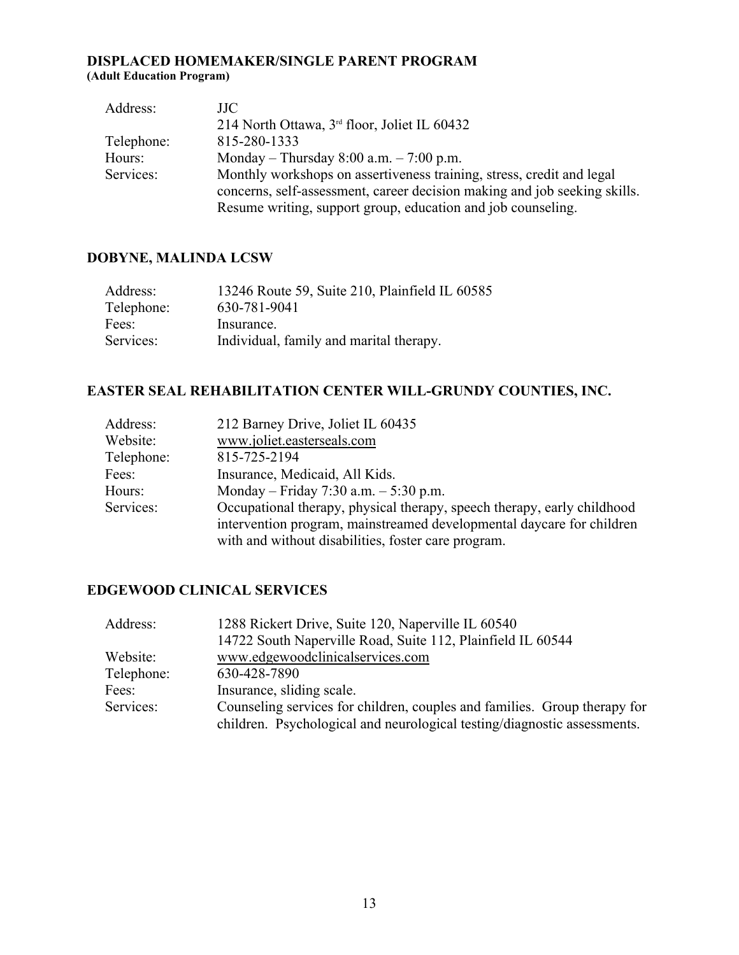#### **DISPLACED HOMEMAKER/SINGLE PARENT PROGRAM (Adult Education Program)**

| Address:   | JJC                                                                       |
|------------|---------------------------------------------------------------------------|
|            | 214 North Ottawa, $3rd$ floor, Joliet IL 60432                            |
| Telephone: | 815-280-1333                                                              |
| Hours:     | Monday – Thursday $8:00$ a.m. – $7:00$ p.m.                               |
| Services:  | Monthly workshops on assertiveness training, stress, credit and legal     |
|            | concerns, self-assessment, career decision making and job seeking skills. |
|            | Resume writing, support group, education and job counseling.              |

#### **DOBYNE, MALINDA LCSW**

| Address:   | 13246 Route 59, Suite 210, Plainfield IL 60585 |
|------------|------------------------------------------------|
| Telephone: | 630-781-9041                                   |
| Fees:      | Insurance.                                     |
| Services:  | Individual, family and marital therapy.        |

#### **EASTER SEAL REHABILITATION CENTER WILL-GRUNDY COUNTIES, INC.**

| 212 Barney Drive, Joliet IL 60435                                       |
|-------------------------------------------------------------------------|
| www.joliet.easterseals.com                                              |
| 815-725-2194                                                            |
| Insurance, Medicaid, All Kids.                                          |
| Monday – Friday 7:30 a.m. – 5:30 p.m.                                   |
| Occupational therapy, physical therapy, speech therapy, early childhood |
| intervention program, mainstreamed developmental daycare for children   |
| with and without disabilities, foster care program.                     |
|                                                                         |

#### **EDGEWOOD CLINICAL SERVICES**

| Address:   | 1288 Rickert Drive, Suite 120, Naperville IL 60540                                                                                                    |
|------------|-------------------------------------------------------------------------------------------------------------------------------------------------------|
|            | 14722 South Naperville Road, Suite 112, Plainfield IL 60544                                                                                           |
| Website:   | www.edgewoodclinicalservices.com                                                                                                                      |
| Telephone: | 630-428-7890                                                                                                                                          |
| Fees:      | Insurance, sliding scale.                                                                                                                             |
| Services:  | Counseling services for children, couples and families. Group therapy for<br>children. Psychological and neurological testing/diagnostic assessments. |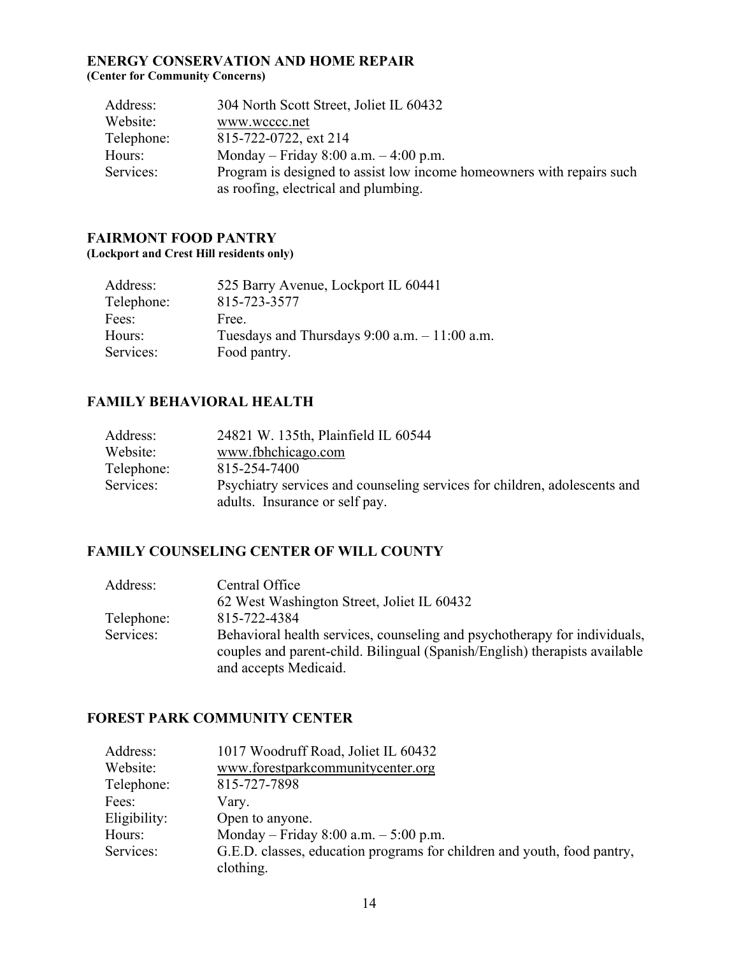#### **ENERGY CONSERVATION AND HOME REPAIR (Center for Community Concerns)**

| Address:   | 304 North Scott Street, Joliet IL 60432                                                                       |
|------------|---------------------------------------------------------------------------------------------------------------|
| Website:   | www.wcccc.net                                                                                                 |
| Telephone: | 815-722-0722, ext 214                                                                                         |
| Hours:     | Monday – Friday 8:00 a.m. – 4:00 p.m.                                                                         |
| Services:  | Program is designed to assist low income homeowners with repairs such<br>as roofing, electrical and plumbing. |

### **FAIRMONT FOOD PANTRY**

**(Lockport and Crest Hill residents only)**

| Address:   | 525 Barry Avenue, Lockport IL 60441              |
|------------|--------------------------------------------------|
| Telephone: | 815-723-3577                                     |
| Fees:      | Free.                                            |
| Hours:     | Tuesdays and Thursdays $9:00$ a.m. $-11:00$ a.m. |
| Services:  | Food pantry.                                     |
|            |                                                  |

#### **FAMILY BEHAVIORAL HEALTH**

| Address:   | 24821 W. 135th, Plainfield IL 60544                                       |
|------------|---------------------------------------------------------------------------|
| Website:   | www.fbhchicago.com                                                        |
| Telephone: | 815-254-7400                                                              |
| Services:  | Psychiatry services and counseling services for children, adolescents and |
|            | adults. Insurance or self pay.                                            |

#### **FAMILY COUNSELING CENTER OF WILL COUNTY**

| Address:   | Central Office                                                             |
|------------|----------------------------------------------------------------------------|
|            | 62 West Washington Street, Joliet IL 60432                                 |
| Telephone: | 815-722-4384                                                               |
| Services:  | Behavioral health services, counseling and psychotherapy for individuals,  |
|            | couples and parent-child. Bilingual (Spanish/English) therapists available |
|            | and accepts Medicaid.                                                      |

#### **FOREST PARK COMMUNITY CENTER**

| Address:     | 1017 Woodruff Road, Joliet IL 60432                                     |
|--------------|-------------------------------------------------------------------------|
| Website:     | www.forestparkcommunitycenter.org                                       |
| Telephone:   | 815-727-7898                                                            |
| Fees:        | Vary.                                                                   |
| Eligibility: | Open to anyone.                                                         |
| Hours:       | Monday – Friday 8:00 a.m. – $5:00$ p.m.                                 |
| Services:    | G.E.D. classes, education programs for children and youth, food pantry, |
|              | clothing.                                                               |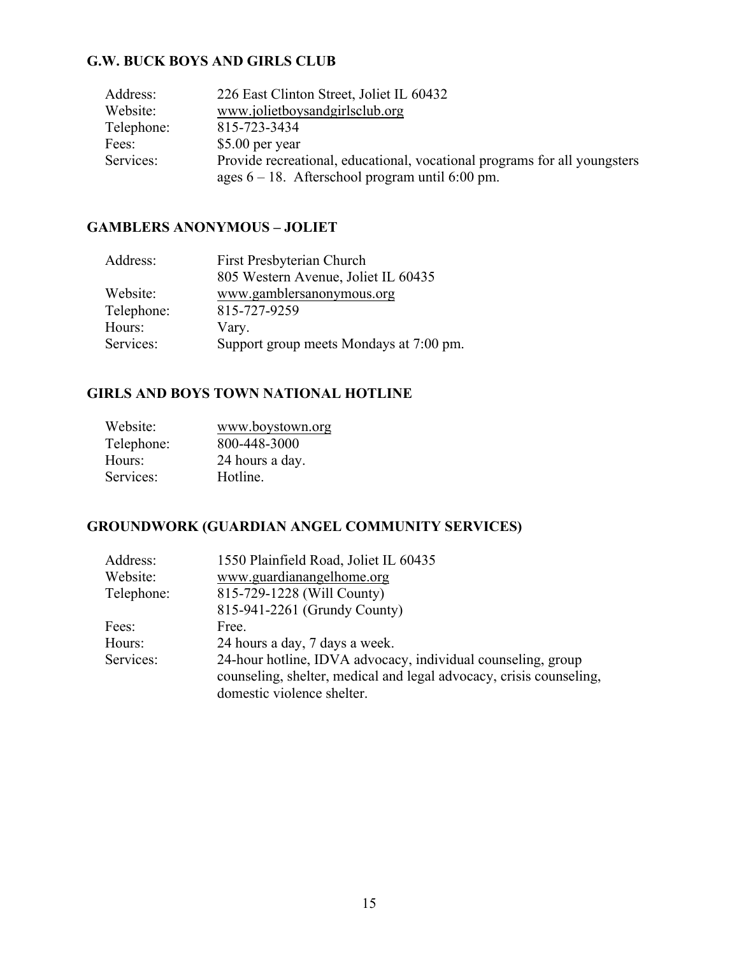#### **G.W. BUCK BOYS AND GIRLS CLUB**

| Address:   | 226 East Clinton Street, Joliet IL 60432                                  |
|------------|---------------------------------------------------------------------------|
| Website:   | www.jolietboysandgirlsclub.org                                            |
| Telephone: | 815-723-3434                                                              |
| Fees:      | $$5.00$ per year                                                          |
| Services:  | Provide recreational, educational, vocational programs for all youngsters |
|            | ages $6 - 18$ . Afterschool program until 6:00 pm.                        |

#### **GAMBLERS ANONYMOUS – JOLIET**

| First Presbyterian Church               |
|-----------------------------------------|
| 805 Western Avenue, Joliet IL 60435     |
| www.gamblersanonymous.org               |
| 815-727-9259                            |
| Vary.                                   |
| Support group meets Mondays at 7:00 pm. |
|                                         |

#### **GIRLS AND BOYS TOWN NATIONAL HOTLINE**

| Website:   | www.boystown.org |  |
|------------|------------------|--|
| Telephone: | 800-448-3000     |  |
| Hours:     | 24 hours a day.  |  |
| Services:  | Hotline.         |  |

#### **GROUNDWORK (GUARDIAN ANGEL COMMUNITY SERVICES)**

| Address:   | 1550 Plainfield Road, Joliet IL 60435                               |
|------------|---------------------------------------------------------------------|
| Website:   | www.guardianangelhome.org                                           |
| Telephone: | 815-729-1228 (Will County)                                          |
|            | 815-941-2261 (Grundy County)                                        |
| Fees:      | Free.                                                               |
| Hours:     | 24 hours a day, 7 days a week.                                      |
| Services:  | 24-hour hotline, IDVA advocacy, individual counseling, group        |
|            | counseling, shelter, medical and legal advocacy, crisis counseling, |
|            | domestic violence shelter.                                          |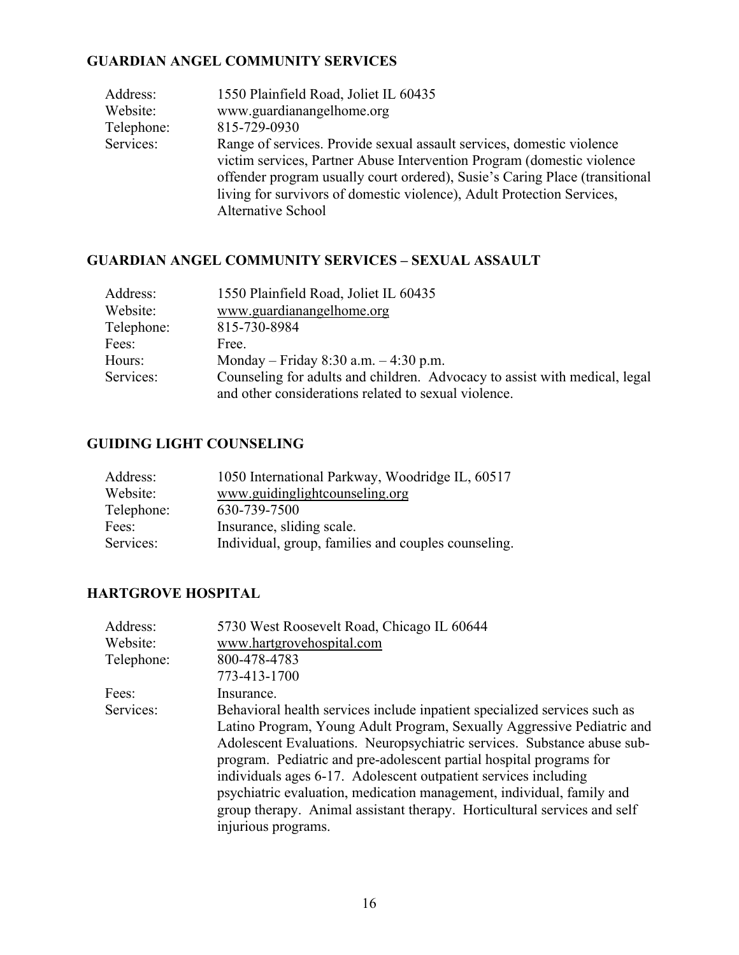#### **GUARDIAN ANGEL COMMUNITY SERVICES**

| Address:   | 1550 Plainfield Road, Joliet IL 60435                                       |
|------------|-----------------------------------------------------------------------------|
| Website:   | www.guardianangelhome.org                                                   |
| Telephone: | 815-729-0930                                                                |
| Services:  | Range of services. Provide sexual assault services, domestic violence       |
|            | victim services, Partner Abuse Intervention Program (domestic violence      |
|            | offender program usually court ordered), Susie's Caring Place (transitional |
|            | living for survivors of domestic violence), Adult Protection Services,      |
|            | Alternative School                                                          |

#### **GUARDIAN ANGEL COMMUNITY SERVICES – SEXUAL ASSAULT**

| Address:   | 1550 Plainfield Road, Joliet IL 60435                                      |
|------------|----------------------------------------------------------------------------|
| Website:   | www.guardianangelhome.org                                                  |
| Telephone: | 815-730-8984                                                               |
| Fees:      | Free.                                                                      |
| Hours:     | Monday – Friday 8:30 a.m. – 4:30 p.m.                                      |
| Services:  | Counseling for adults and children. Advocacy to assist with medical, legal |
|            | and other considerations related to sexual violence.                       |

#### **GUIDING LIGHT COUNSELING**

| Address:   | 1050 International Parkway, Woodridge IL, 60517     |
|------------|-----------------------------------------------------|
| Website:   | www.guidinglightcounseling.org                      |
| Telephone: | 630-739-7500                                        |
| Fees:      | Insurance, sliding scale.                           |
| Services:  | Individual, group, families and couples counseling. |

### **HARTGROVE HOSPITAL**

| Address:   | 5730 West Roosevelt Road, Chicago IL 60644                                |
|------------|---------------------------------------------------------------------------|
| Website:   | www.hartgrovehospital.com                                                 |
| Telephone: | 800-478-4783                                                              |
|            | 773-413-1700                                                              |
| Fees:      | Insurance.                                                                |
| Services:  | Behavioral health services include inpatient specialized services such as |
|            | Latino Program, Young Adult Program, Sexually Aggressive Pediatric and    |
|            | Adolescent Evaluations. Neuropsychiatric services. Substance abuse sub-   |
|            | program. Pediatric and pre-adolescent partial hospital programs for       |
|            | individuals ages 6-17. Adolescent outpatient services including           |
|            | psychiatric evaluation, medication management, individual, family and     |
|            | group therapy. Animal assistant therapy. Horticultural services and self  |
|            | injurious programs.                                                       |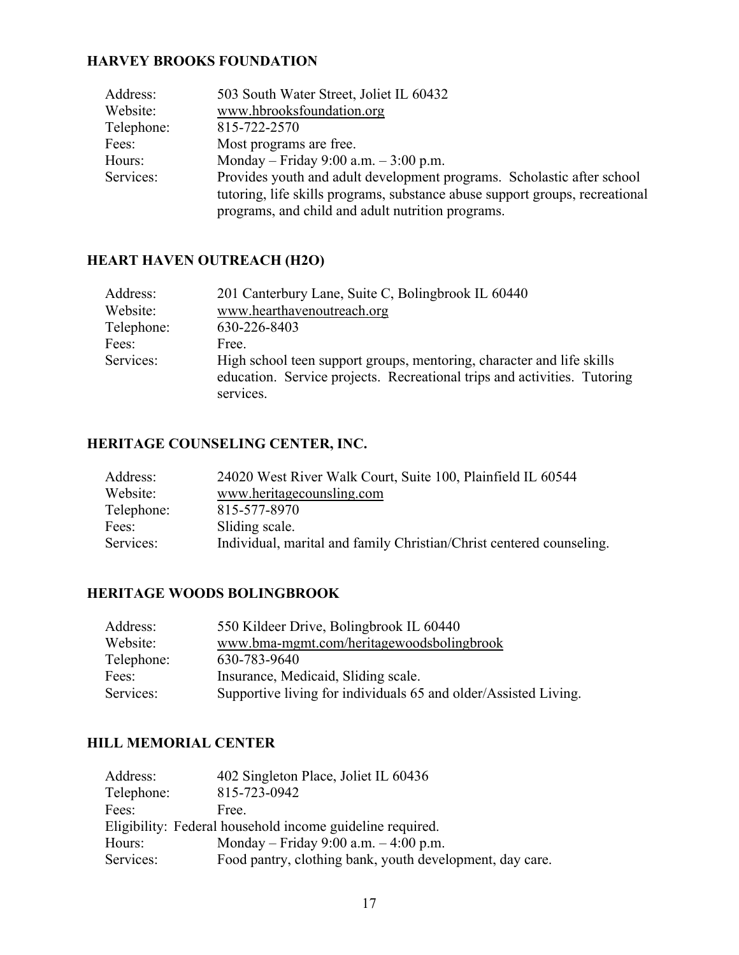#### **HARVEY BROOKS FOUNDATION**

| Address:   | 503 South Water Street, Joliet IL 60432                                      |
|------------|------------------------------------------------------------------------------|
| Website:   | www.hbrooksfoundation.org                                                    |
| Telephone: | 815-722-2570                                                                 |
| Fees:      | Most programs are free.                                                      |
| Hours:     | Monday – Friday 9:00 a.m. – $3:00$ p.m.                                      |
| Services:  | Provides youth and adult development programs. Scholastic after school       |
|            | tutoring, life skills programs, substance abuse support groups, recreational |
|            | programs, and child and adult nutrition programs.                            |

#### **HEART HAVEN OUTREACH (H2O)**

| Address:   | 201 Canterbury Lane, Suite C, Bolingbrook IL 60440                       |
|------------|--------------------------------------------------------------------------|
| Website:   | www.hearthavenoutreach.org                                               |
| Telephone: | 630-226-8403                                                             |
| Fees:      | Free.                                                                    |
| Services:  | High school teen support groups, mentoring, character and life skills    |
|            | education. Service projects. Recreational trips and activities. Tutoring |
|            | services.                                                                |

#### **HERITAGE COUNSELING CENTER, INC.**

| Address:   | 24020 West River Walk Court, Suite 100, Plainfield IL 60544          |
|------------|----------------------------------------------------------------------|
| Website:   | www.heritagecounsling.com                                            |
| Telephone: | 815-577-8970                                                         |
| Fees:      | Sliding scale.                                                       |
| Services:  | Individual, marital and family Christian/Christ centered counseling. |

### **HERITAGE WOODS BOLINGBROOK**

| Address:   | 550 Kildeer Drive, Bolingbrook IL 60440                         |
|------------|-----------------------------------------------------------------|
| Website:   | www.bma-mgmt.com/heritagewoodsbolingbrook                       |
| Telephone: | 630-783-9640                                                    |
| Fees:      | Insurance, Medicaid, Sliding scale.                             |
| Services:  | Supportive living for individuals 65 and older/Assisted Living. |

#### **HILL MEMORIAL CENTER**

| Address:   | 402 Singleton Place, Joliet IL 60436                      |
|------------|-----------------------------------------------------------|
| Telephone: | 815-723-0942                                              |
| Fees:      | Free                                                      |
|            | Eligibility: Federal household income guideline required. |
| Hours:     | Monday – Friday 9:00 a.m. – 4:00 p.m.                     |
| Services:  | Food pantry, clothing bank, youth development, day care.  |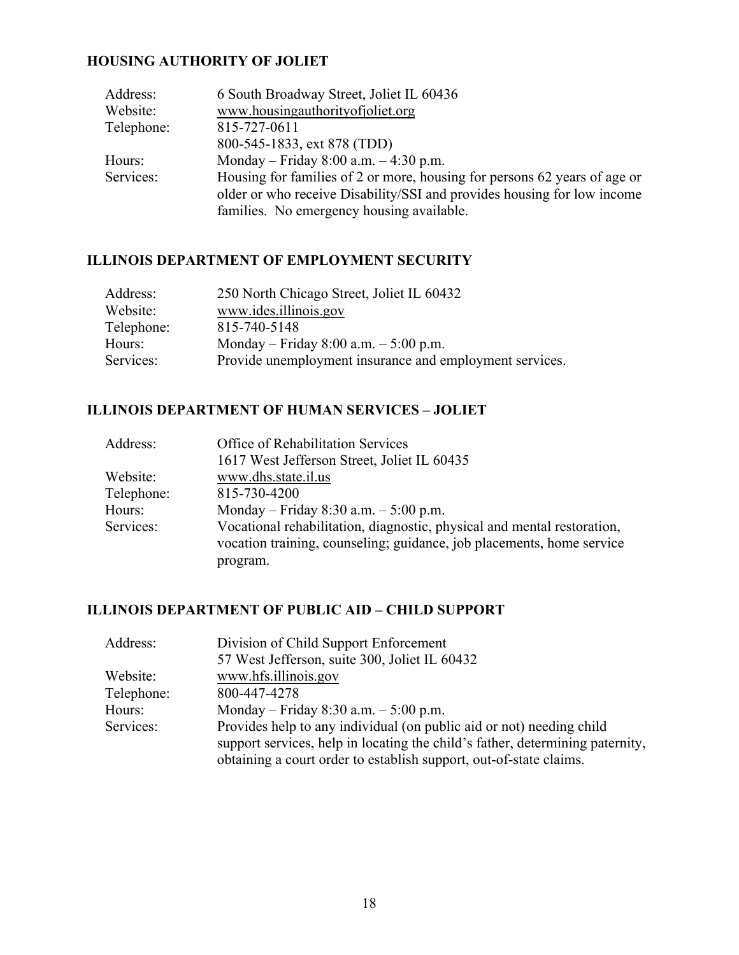#### **HOUSING AUTHORITY OF JOLIET**

#### **ILLINOIS DEPARTMENT OF EMPLOYMENT SECURITY**

| Address:   | 250 North Chicago Street, Joliet IL 60432               |
|------------|---------------------------------------------------------|
| Website:   | www.ides.illinois.gov                                   |
| Telephone: | 815-740-5148                                            |
| Hours:     | Monday – Friday 8:00 a.m. – 5:00 p.m.                   |
| Services:  | Provide unemployment insurance and employment services. |

#### **ILLINOIS DEPARTMENT OF HUMAN SERVICES – JOLIET**

| Address:   | Office of Rehabilitation Services                                       |
|------------|-------------------------------------------------------------------------|
|            | 1617 West Jefferson Street, Joliet IL 60435                             |
| Website:   | www.dhs.state.il.us                                                     |
| Telephone: | 815-730-4200                                                            |
| Hours:     | Monday – Friday 8:30 a.m. – $5:00$ p.m.                                 |
| Services:  | Vocational rehabilitation, diagnostic, physical and mental restoration, |
|            | vocation training, counseling; guidance, job placements, home service   |
|            | program.                                                                |
|            |                                                                         |

### **ILLINOIS DEPARTMENT OF PUBLIC AID – CHILD SUPPORT**

| Address:   | Division of Child Support Enforcement                                         |
|------------|-------------------------------------------------------------------------------|
|            | 57 West Jefferson, suite 300, Joliet IL 60432                                 |
| Website:   | www.hfs.illinois.gov                                                          |
| Telephone: | 800-447-4278                                                                  |
| Hours:     | Monday – Friday 8:30 a.m. – 5:00 p.m.                                         |
| Services:  | Provides help to any individual (on public aid or not) needing child          |
|            | support services, help in locating the child's father, determining paternity, |
|            | obtaining a court order to establish support, out-of-state claims.            |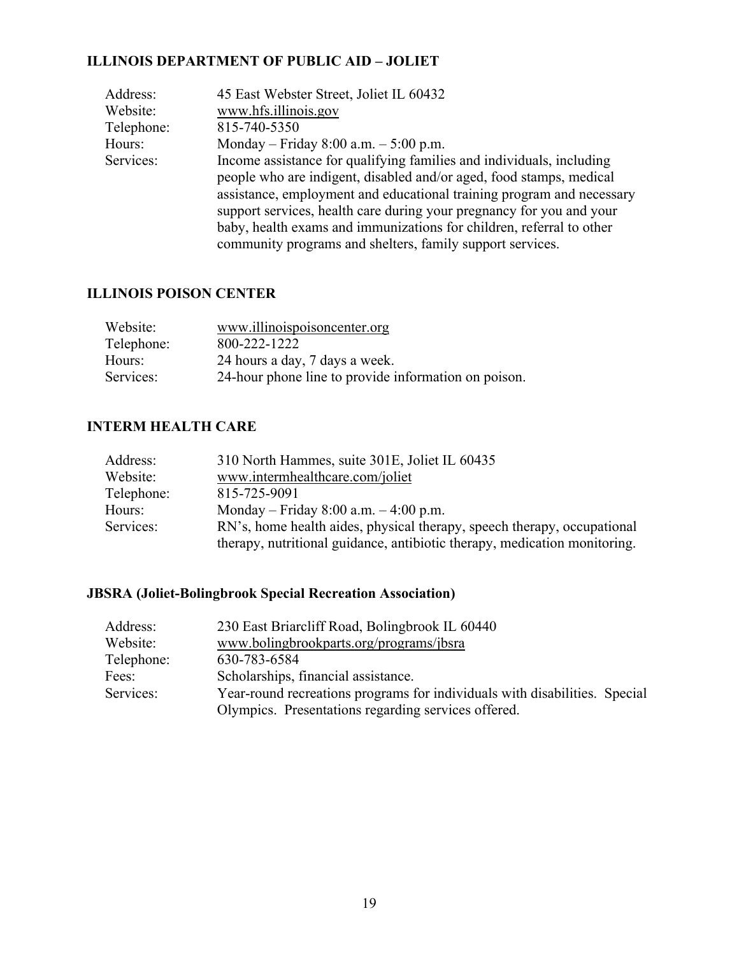### **ILLINOIS DEPARTMENT OF PUBLIC AID – JOLIET**

| Address:   | 45 East Webster Street, Joliet IL 60432                               |
|------------|-----------------------------------------------------------------------|
| Website:   | www.hfs.illinois.gov                                                  |
| Telephone: | 815-740-5350                                                          |
| Hours:     | Monday – Friday 8:00 a.m. – 5:00 p.m.                                 |
| Services:  | Income assistance for qualifying families and individuals, including  |
|            | people who are indigent, disabled and/or aged, food stamps, medical   |
|            | assistance, employment and educational training program and necessary |
|            | support services, health care during your pregnancy for you and your  |
|            | baby, health exams and immunizations for children, referral to other  |
|            | community programs and shelters, family support services.             |
|            |                                                                       |

#### **ILLINOIS POISON CENTER**

| Website:   | www.illinoispoisoncenter.org                         |
|------------|------------------------------------------------------|
| Telephone: | 800-222-1222                                         |
| Hours:     | 24 hours a day, 7 days a week.                       |
| Services:  | 24-hour phone line to provide information on poison. |

#### **INTERM HEALTH CARE**

| Address:   | 310 North Hammes, suite 301E, Joliet IL 60435                             |
|------------|---------------------------------------------------------------------------|
| Website:   | www.intermhealthcare.com/joliet                                           |
| Telephone: | 815-725-9091                                                              |
| Hours:     | Monday – Friday 8:00 a.m. – 4:00 p.m.                                     |
| Services:  | RN's, home health aides, physical therapy, speech therapy, occupational   |
|            | therapy, nutritional guidance, antibiotic therapy, medication monitoring. |

### **JBSRA (Joliet-Bolingbrook Special Recreation Association)**

| Address:   | 230 East Briarcliff Road, Bolingbrook IL 60440                             |
|------------|----------------------------------------------------------------------------|
| Website:   | www.bolingbrookparts.org/programs/jbsra                                    |
| Telephone: | 630-783-6584                                                               |
| Fees:      | Scholarships, financial assistance.                                        |
| Services:  | Year-round recreations programs for individuals with disabilities. Special |
|            | Olympics. Presentations regarding services offered.                        |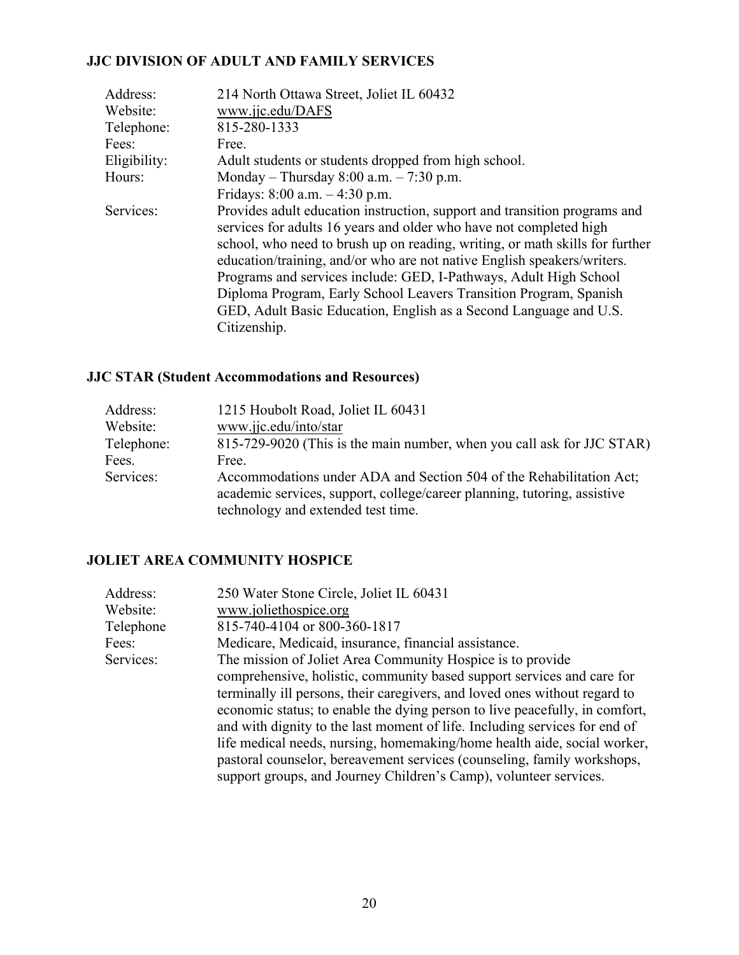### **JJC DIVISION OF ADULT AND FAMILY SERVICES**

| Address:     | 214 North Ottawa Street, Joliet IL 60432                                                                                                                                                                                                                                                                                                                                                                                                                                                                                                  |
|--------------|-------------------------------------------------------------------------------------------------------------------------------------------------------------------------------------------------------------------------------------------------------------------------------------------------------------------------------------------------------------------------------------------------------------------------------------------------------------------------------------------------------------------------------------------|
| Website:     | www.jjc.edu/DAFS                                                                                                                                                                                                                                                                                                                                                                                                                                                                                                                          |
| Telephone:   | 815-280-1333                                                                                                                                                                                                                                                                                                                                                                                                                                                                                                                              |
| Fees:        | Free.                                                                                                                                                                                                                                                                                                                                                                                                                                                                                                                                     |
| Eligibility: | Adult students or students dropped from high school.                                                                                                                                                                                                                                                                                                                                                                                                                                                                                      |
| Hours:       | Monday – Thursday $8:00$ a.m. – 7:30 p.m.                                                                                                                                                                                                                                                                                                                                                                                                                                                                                                 |
|              | Fridays: $8:00$ a.m. $-4:30$ p.m.                                                                                                                                                                                                                                                                                                                                                                                                                                                                                                         |
| Services:    | Provides adult education instruction, support and transition programs and<br>services for adults 16 years and older who have not completed high<br>school, who need to brush up on reading, writing, or math skills for further<br>education/training, and/or who are not native English speakers/writers.<br>Programs and services include: GED, I-Pathways, Adult High School<br>Diploma Program, Early School Leavers Transition Program, Spanish<br>GED, Adult Basic Education, English as a Second Language and U.S.<br>Citizenship. |

#### **JJC STAR (Student Accommodations and Resources)**

| Address:   | 1215 Houbolt Road, Joliet IL 60431                                                                                                                                                    |
|------------|---------------------------------------------------------------------------------------------------------------------------------------------------------------------------------------|
| Website:   | www.jjc.edu/into/star                                                                                                                                                                 |
| Telephone: | 815-729-9020 (This is the main number, when you call ask for JJC STAR)                                                                                                                |
| Fees.      | Free.                                                                                                                                                                                 |
| Services:  | Accommodations under ADA and Section 504 of the Rehabilitation Act;<br>academic services, support, college/career planning, tutoring, assistive<br>technology and extended test time. |

### **JOLIET AREA COMMUNITY HOSPICE**

| Address:  | 250 Water Stone Circle, Joliet IL 60431                                     |
|-----------|-----------------------------------------------------------------------------|
| Website:  | www.joliethospice.org                                                       |
| Telephone | 815-740-4104 or 800-360-1817                                                |
| Fees:     | Medicare, Medicaid, insurance, financial assistance.                        |
| Services: | The mission of Joliet Area Community Hospice is to provide                  |
|           | comprehensive, holistic, community based support services and care for      |
|           | terminally ill persons, their caregivers, and loved ones without regard to  |
|           | economic status; to enable the dying person to live peacefully, in comfort, |
|           | and with dignity to the last moment of life. Including services for end of  |
|           | life medical needs, nursing, homemaking/home health aide, social worker,    |
|           | pastoral counselor, bereavement services (counseling, family workshops,     |
|           | support groups, and Journey Children's Camp), volunteer services.           |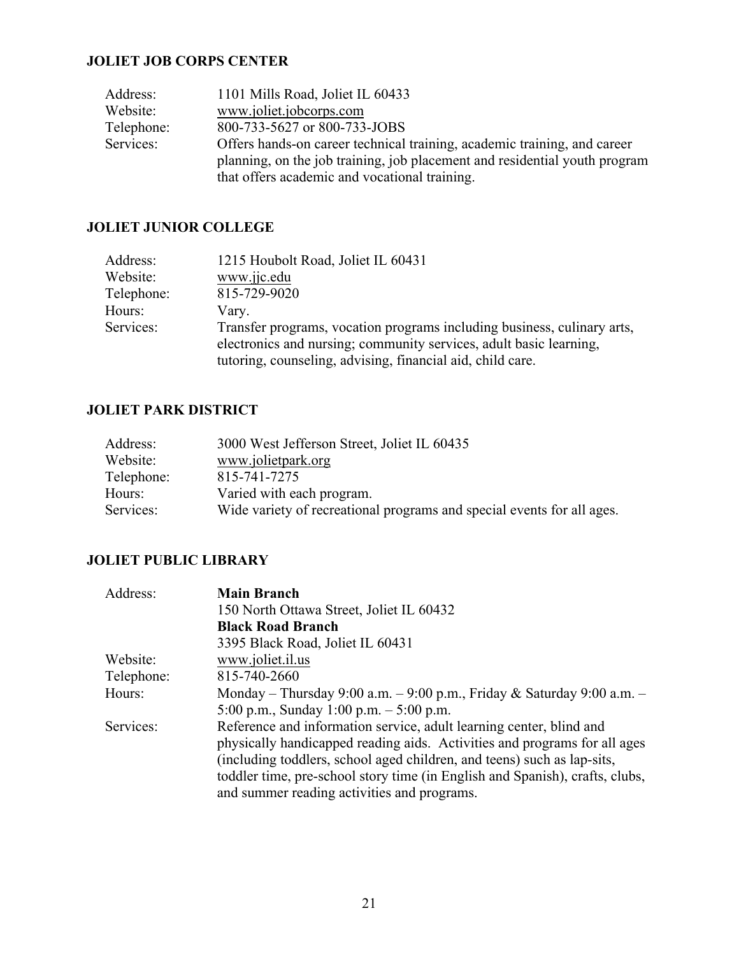#### **JOLIET JOB CORPS CENTER**

| Address:   | 1101 Mills Road, Joliet IL 60433                                           |
|------------|----------------------------------------------------------------------------|
| Website:   | www.joliet.jobcorps.com                                                    |
| Telephone: | 800-733-5627 or 800-733-JOBS                                               |
| Services:  | Offers hands-on career technical training, academic training, and career   |
|            | planning, on the job training, job placement and residential youth program |
|            | that offers academic and vocational training.                              |

#### **JOLIET JUNIOR COLLEGE**

| Address:   | 1215 Houbolt Road, Joliet IL 60431                                      |
|------------|-------------------------------------------------------------------------|
| Website:   | www.jjc.edu                                                             |
| Telephone: | 815-729-9020                                                            |
| Hours:     | Vary.                                                                   |
| Services:  | Transfer programs, vocation programs including business, culinary arts, |
|            | electronics and nursing; community services, adult basic learning,      |
|            | tutoring, counseling, advising, financial aid, child care.              |

#### **JOLIET PARK DISTRICT**

| Address:   | 3000 West Jefferson Street, Joliet IL 60435                            |
|------------|------------------------------------------------------------------------|
| Website:   | www.jolietpark.org                                                     |
| Telephone: | 815-741-7275                                                           |
| Hours:     | Varied with each program.                                              |
| Services:  | Wide variety of recreational programs and special events for all ages. |

### **JOLIET PUBLIC LIBRARY**

| Address:   | <b>Main Branch</b>                                                           |
|------------|------------------------------------------------------------------------------|
|            | 150 North Ottawa Street, Joliet IL 60432                                     |
|            | <b>Black Road Branch</b>                                                     |
|            | 3395 Black Road, Joliet IL 60431                                             |
| Website:   | www.joliet.il.us                                                             |
| Telephone: | 815-740-2660                                                                 |
| Hours:     | Monday – Thursday 9:00 a.m. – 9:00 p.m., Friday & Saturday 9:00 a.m. –       |
|            | 5:00 p.m., Sunday 1:00 p.m. $-$ 5:00 p.m.                                    |
| Services:  | Reference and information service, adult learning center, blind and          |
|            | physically handicapped reading aids. Activities and programs for all ages    |
|            | (including toddlers, school aged children, and teens) such as lap-sits,      |
|            | toddler time, pre-school story time (in English and Spanish), crafts, clubs, |
|            | and summer reading activities and programs.                                  |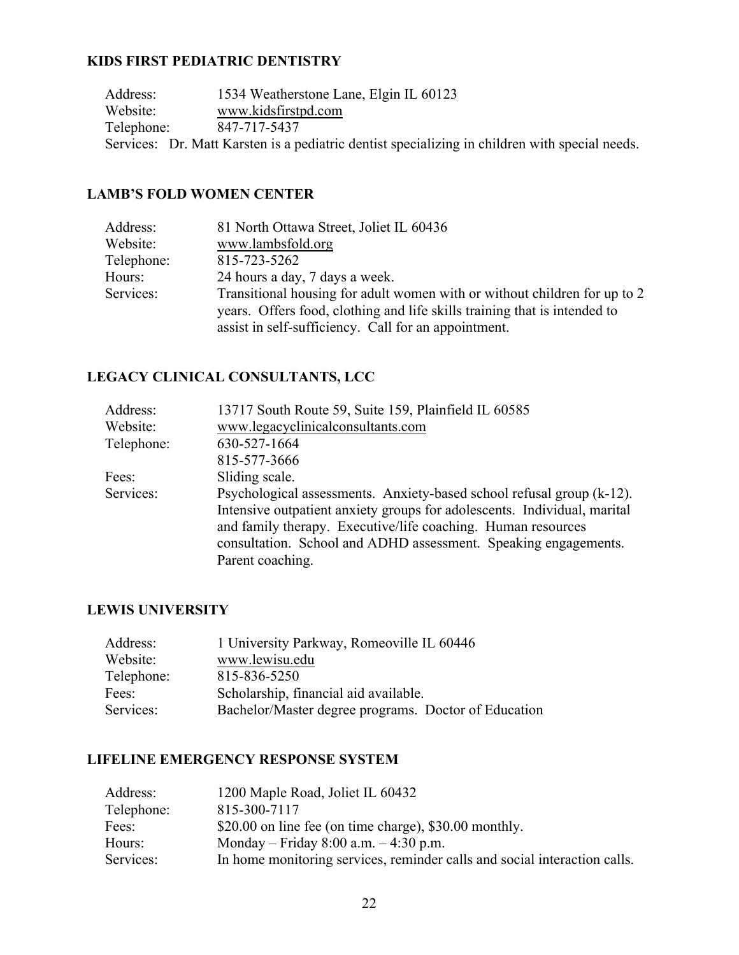#### **KIDS FIRST PEDIATRIC DENTISTRY**

| Address:   | 1534 Weatherstone Lane, Elgin IL 60123                                                         |
|------------|------------------------------------------------------------------------------------------------|
| Website:   | www.kidsfirstpd.com                                                                            |
| Telephone: | 847-717-5437                                                                                   |
|            | Services: Dr. Matt Karsten is a pediatric dentist specializing in children with special needs. |
|            |                                                                                                |

#### **LAMB'S FOLD WOMEN CENTER**

| Address:   | 81 North Ottawa Street, Joliet IL 60436                                                                                                                                                                        |
|------------|----------------------------------------------------------------------------------------------------------------------------------------------------------------------------------------------------------------|
| Website:   | www.lambsfold.org                                                                                                                                                                                              |
| Telephone: | 815-723-5262                                                                                                                                                                                                   |
| Hours:     | 24 hours a day, 7 days a week.                                                                                                                                                                                 |
| Services:  | Transitional housing for adult women with or without children for up to 2<br>years. Offers food, clothing and life skills training that is intended to<br>assist in self-sufficiency. Call for an appointment. |

#### **LEGACY CLINICAL CONSULTANTS, LCC**

| Address:   | 13717 South Route 59, Suite 159, Plainfield IL 60585                                                                                                                                                                                                                                                     |
|------------|----------------------------------------------------------------------------------------------------------------------------------------------------------------------------------------------------------------------------------------------------------------------------------------------------------|
| Website:   | www.legacyclinicalconsultants.com                                                                                                                                                                                                                                                                        |
| Telephone: | 630-527-1664                                                                                                                                                                                                                                                                                             |
|            | 815-577-3666                                                                                                                                                                                                                                                                                             |
| Fees:      | Sliding scale.                                                                                                                                                                                                                                                                                           |
| Services:  | Psychological assessments. Anxiety-based school refusal group (k-12).<br>Intensive outpatient anxiety groups for adolescents. Individual, marital<br>and family therapy. Executive/life coaching. Human resources<br>consultation. School and ADHD assessment. Speaking engagements.<br>Parent coaching. |

#### **LEWIS UNIVERSITY**

| Address:   | 1 University Parkway, Romeoville IL 60446            |
|------------|------------------------------------------------------|
| Website:   | www.lewisu.edu                                       |
| Telephone: | 815-836-5250                                         |
| Fees:      | Scholarship, financial aid available.                |
| Services:  | Bachelor/Master degree programs. Doctor of Education |

#### **LIFELINE EMERGENCY RESPONSE SYSTEM**

| 1200 Maple Road, Joliet IL 60432                                          |
|---------------------------------------------------------------------------|
| 815-300-7117                                                              |
| \$20.00 on line fee (on time charge), \$30.00 monthly.                    |
| Monday – Friday 8:00 a.m. – 4:30 p.m.                                     |
| In home monitoring services, reminder calls and social interaction calls. |
|                                                                           |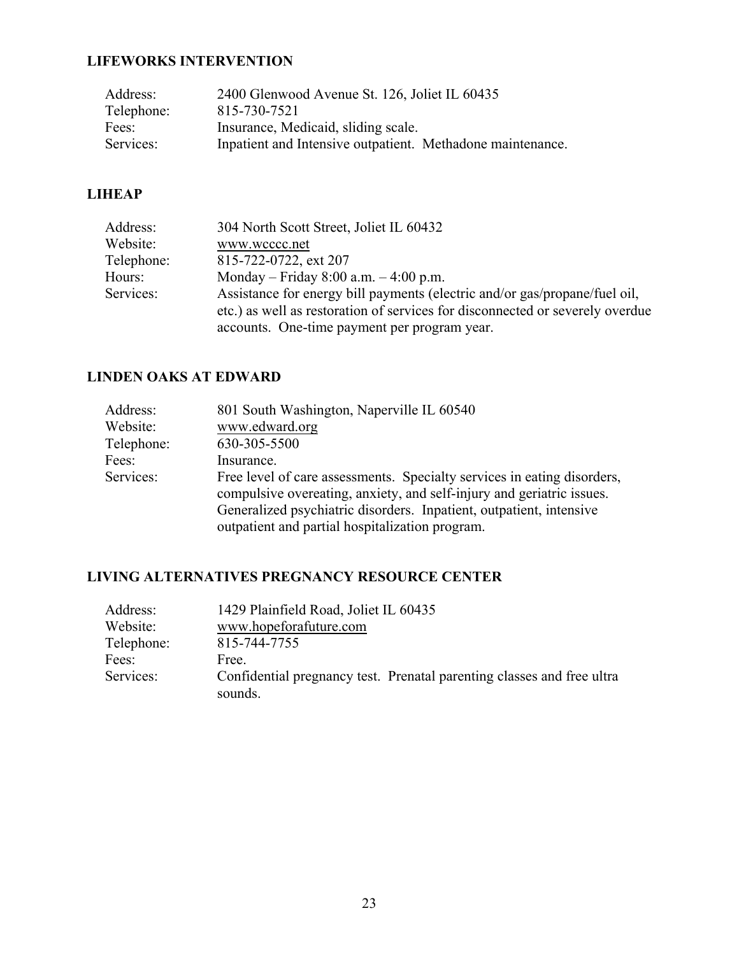### **LIFEWORKS INTERVENTION**

| Address:   | 2400 Glenwood Avenue St. 126, Joliet IL 60435              |
|------------|------------------------------------------------------------|
| Telephone: | 815-730-7521                                               |
| Fees:      | Insurance, Medicaid, sliding scale.                        |
| Services:  | Inpatient and Intensive outpatient. Methadone maintenance. |

#### **LIHEAP**

#### **LINDEN OAKS AT EDWARD**

| Address:   | 801 South Washington, Naperville IL 60540                                                                                                                                                                                                                                  |
|------------|----------------------------------------------------------------------------------------------------------------------------------------------------------------------------------------------------------------------------------------------------------------------------|
| Website:   | www.edward.org                                                                                                                                                                                                                                                             |
| Telephone: | 630-305-5500                                                                                                                                                                                                                                                               |
| Fees:      | Insurance.                                                                                                                                                                                                                                                                 |
| Services:  | Free level of care assessments. Specialty services in eating disorders,<br>compulsive overeating, anxiety, and self-injury and geriatric issues.<br>Generalized psychiatric disorders. Inpatient, outpatient, intensive<br>outpatient and partial hospitalization program. |

### **LIVING ALTERNATIVES PREGNANCY RESOURCE CENTER**

| Address:   | 1429 Plainfield Road, Joliet IL 60435                                             |
|------------|-----------------------------------------------------------------------------------|
| Website:   | www.hopeforafuture.com                                                            |
| Telephone: | 815-744-7755                                                                      |
| Fees:      | Free.                                                                             |
| Services:  | Confidential pregnancy test. Prenatal parenting classes and free ultra<br>sounds. |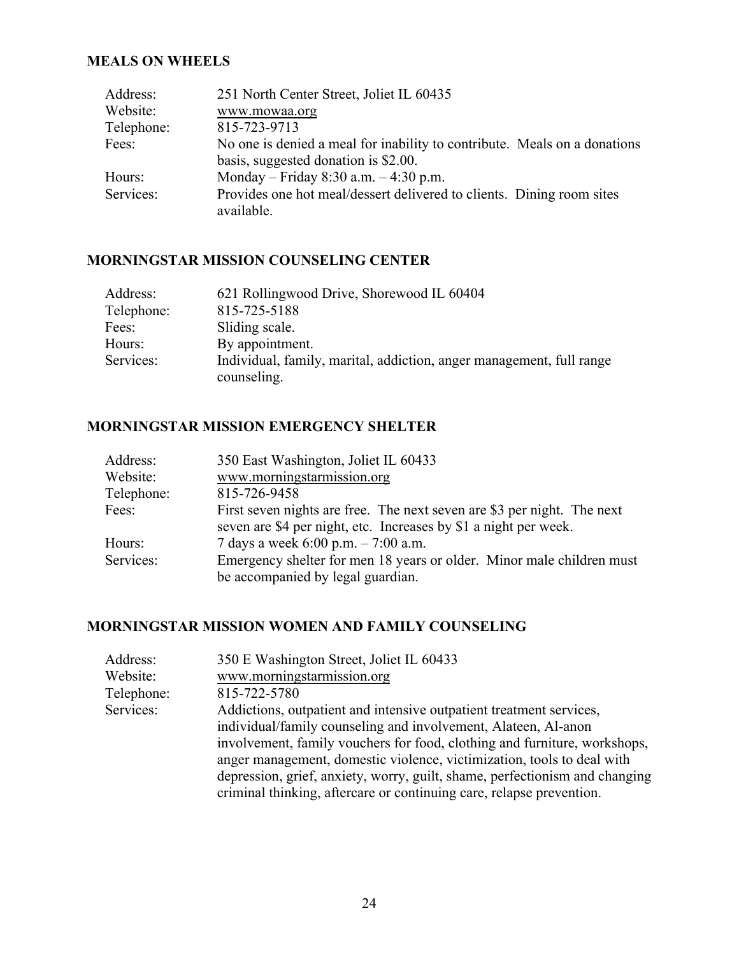#### **MEALS ON WHEELS**

| Address:   | 251 North Center Street, Joliet IL 60435                                  |
|------------|---------------------------------------------------------------------------|
| Website:   | www.mowaa.org                                                             |
| Telephone: | 815-723-9713                                                              |
| Fees:      | No one is denied a meal for inability to contribute. Meals on a donations |
|            | basis, suggested donation is \$2.00.                                      |
| Hours:     | Monday – Friday 8:30 a.m. $-4:30$ p.m.                                    |
| Services:  | Provides one hot meal/dessert delivered to clients. Dining room sites     |
|            | available.                                                                |

#### **MORNINGSTAR MISSION COUNSELING CENTER**

| Address:   | 621 Rollingwood Drive, Shorewood IL 60404                            |
|------------|----------------------------------------------------------------------|
| Telephone: | 815-725-5188                                                         |
| Fees:      | Sliding scale.                                                       |
| Hours:     | By appointment.                                                      |
| Services:  | Individual, family, marital, addiction, anger management, full range |
|            | counseling.                                                          |

#### **MORNINGSTAR MISSION EMERGENCY SHELTER**

| 350 East Washington, Joliet IL 60433                                    |
|-------------------------------------------------------------------------|
| www.morningstarmission.org                                              |
| 815-726-9458                                                            |
| First seven nights are free. The next seven are \$3 per night. The next |
| seven are \$4 per night, etc. Increases by \$1 a night per week.        |
| 7 days a week $6:00$ p.m. $-7:00$ a.m.                                  |
| Emergency shelter for men 18 years or older. Minor male children must   |
| be accompanied by legal guardian.                                       |
|                                                                         |

### **MORNINGSTAR MISSION WOMEN AND FAMILY COUNSELING**

| Address:   | 350 E Washington Street, Joliet IL 60433                                    |
|------------|-----------------------------------------------------------------------------|
| Website:   | www.morningstarmission.org                                                  |
| Telephone: | 815-722-5780                                                                |
| Services:  | Addictions, outpatient and intensive outpatient treatment services,         |
|            | individual/family counseling and involvement, Alateen, Al-anon              |
|            | involvement, family vouchers for food, clothing and furniture, workshops,   |
|            | anger management, domestic violence, victimization, tools to deal with      |
|            | depression, grief, anxiety, worry, guilt, shame, perfectionism and changing |
|            | criminal thinking, aftercare or continuing care, relapse prevention.        |
|            |                                                                             |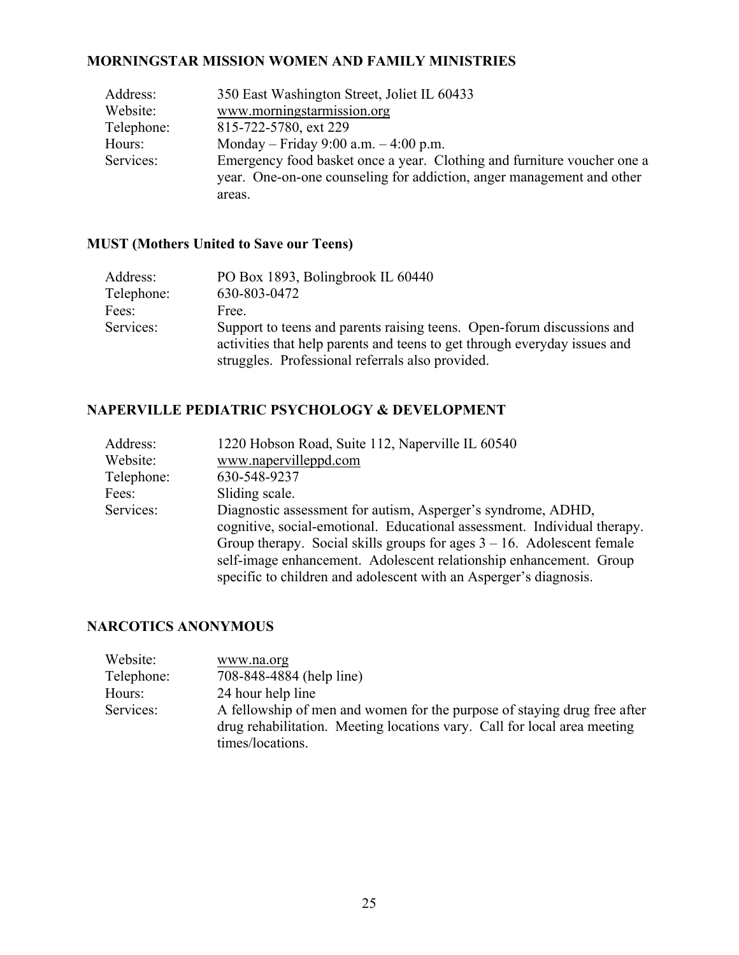#### **MORNINGSTAR MISSION WOMEN AND FAMILY MINISTRIES**

| Address:   | 350 East Washington Street, Joliet IL 60433                             |
|------------|-------------------------------------------------------------------------|
| Website:   | www.morningstarmission.org                                              |
| Telephone: | 815-722-5780, ext 229                                                   |
| Hours:     | Monday – Friday 9:00 a.m. – 4:00 p.m.                                   |
| Services:  | Emergency food basket once a year. Clothing and furniture voucher one a |
|            | year. One-on-one counseling for addiction, anger management and other   |
|            | areas.                                                                  |

#### **MUST (Mothers United to Save our Teens)**

| Address:   | PO Box 1893, Bolingbrook IL 60440                                                                                                                   |
|------------|-----------------------------------------------------------------------------------------------------------------------------------------------------|
| Telephone: | 630-803-0472                                                                                                                                        |
| Fees:      | Free.                                                                                                                                               |
| Services:  | Support to teens and parents raising teens. Open-forum discussions and<br>activities that help parents and teens to get through everyday issues and |
|            | struggles. Professional referrals also provided.                                                                                                    |

#### **NAPERVILLE PEDIATRIC PSYCHOLOGY & DEVELOPMENT**

| Address:   | 1220 Hobson Road, Suite 112, Naperville IL 60540                          |
|------------|---------------------------------------------------------------------------|
| Website:   | www.napervilleppd.com                                                     |
| Telephone: | 630-548-9237                                                              |
| Fees:      | Sliding scale.                                                            |
| Services:  | Diagnostic assessment for autism, Asperger's syndrome, ADHD,              |
|            | cognitive, social-emotional. Educational assessment. Individual therapy.  |
|            | Group therapy. Social skills groups for ages $3 - 16$ . Adolescent female |
|            | self-image enhancement. Adolescent relationship enhancement. Group        |
|            | specific to children and adolescent with an Asperger's diagnosis.         |

### **NARCOTICS ANONYMOUS**

| Website:   | www.na.org                                                               |
|------------|--------------------------------------------------------------------------|
| Telephone: | 708-848-4884 (help line)                                                 |
| Hours:     | 24 hour help line                                                        |
| Services:  | A fellowship of men and women for the purpose of staying drug free after |
|            | drug rehabilitation. Meeting locations vary. Call for local area meeting |
|            | times/locations.                                                         |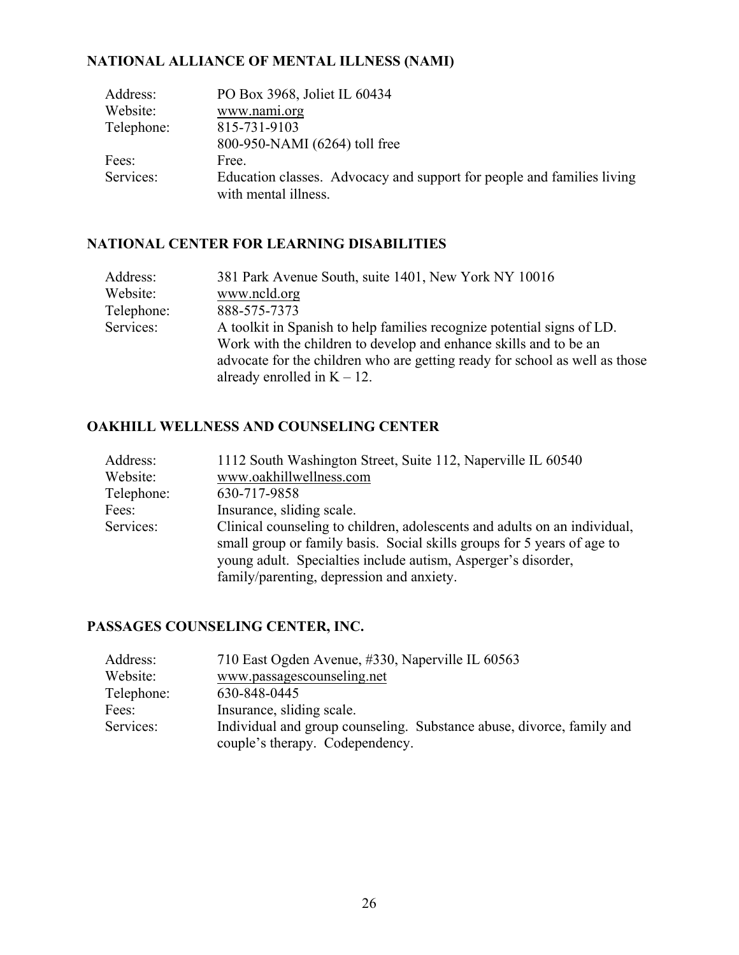#### **NATIONAL ALLIANCE OF MENTAL ILLNESS (NAMI)**

| Address:   | PO Box 3968, Joliet IL 60434                                                                   |
|------------|------------------------------------------------------------------------------------------------|
| Website:   | www.nami.org                                                                                   |
| Telephone: | 815-731-9103                                                                                   |
|            | 800-950-NAMI (6264) toll free                                                                  |
| Fees:      | Free.                                                                                          |
| Services:  | Education classes. Advocacy and support for people and families living<br>with mental illness. |

### **NATIONAL CENTER FOR LEARNING DISABILITIES**

| Address:   | 381 Park Avenue South, suite 1401, New York NY 10016                        |
|------------|-----------------------------------------------------------------------------|
| Website:   | www.ncld.org                                                                |
| Telephone: | 888-575-7373                                                                |
| Services:  | A toolkit in Spanish to help families recognize potential signs of LD.      |
|            | Work with the children to develop and enhance skills and to be an           |
|            | advocate for the children who are getting ready for school as well as those |
|            | already enrolled in $K - 12$ .                                              |

#### **OAKHILL WELLNESS AND COUNSELING CENTER**

| Address:   | 1112 South Washington Street, Suite 112, Naperville IL 60540              |
|------------|---------------------------------------------------------------------------|
| Website:   | www.oakhillwellness.com                                                   |
| Telephone: | 630-717-9858                                                              |
| Fees:      | Insurance, sliding scale.                                                 |
| Services:  | Clinical counseling to children, adolescents and adults on an individual, |
|            | small group or family basis. Social skills groups for 5 years of age to   |
|            | young adult. Specialties include autism, Asperger's disorder,             |
|            | family/parenting, depression and anxiety.                                 |

#### **PASSAGES COUNSELING CENTER, INC.**

| Address:   | 710 East Ogden Avenue, #330, Naperville IL 60563                      |
|------------|-----------------------------------------------------------------------|
| Website:   | www.passagescounseling.net                                            |
| Telephone: | 630-848-0445                                                          |
| Fees:      | Insurance, sliding scale.                                             |
| Services:  | Individual and group counseling. Substance abuse, divorce, family and |
|            | couple's therapy. Codependency.                                       |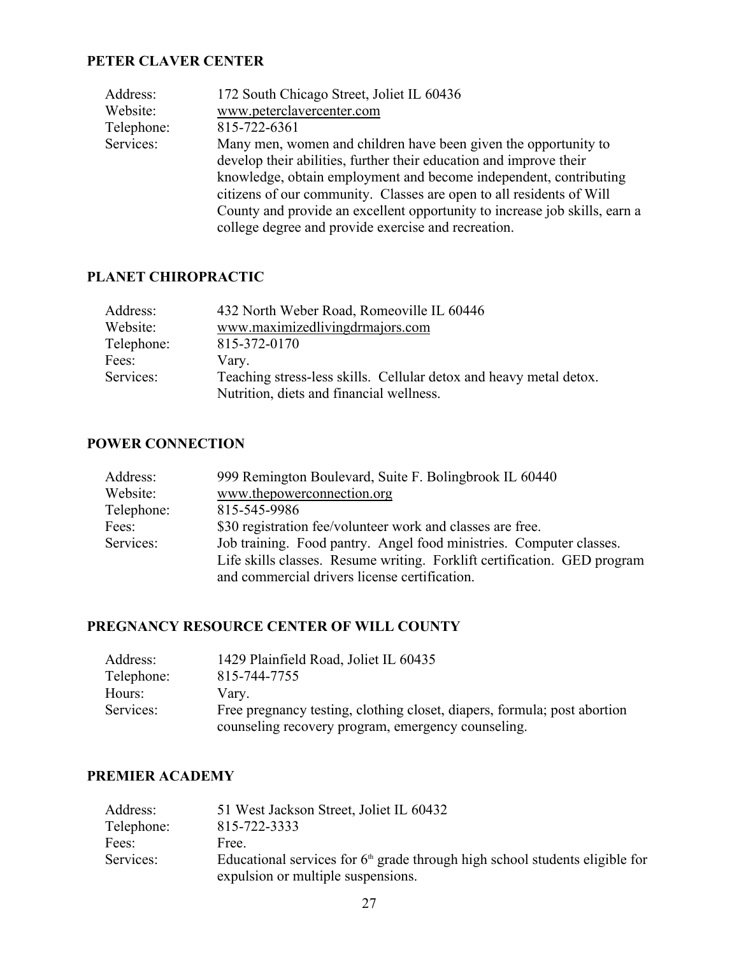### **PETER CLAVER CENTER**

| Address:   | 172 South Chicago Street, Joliet IL 60436                                  |
|------------|----------------------------------------------------------------------------|
| Website:   | www.peterclavercenter.com                                                  |
| Telephone: | 815-722-6361                                                               |
| Services:  | Many men, women and children have been given the opportunity to            |
|            | develop their abilities, further their education and improve their         |
|            | knowledge, obtain employment and become independent, contributing          |
|            | citizens of our community. Classes are open to all residents of Will       |
|            | County and provide an excellent opportunity to increase job skills, earn a |
|            | college degree and provide exercise and recreation.                        |
|            |                                                                            |

#### **PLANET CHIROPRACTIC**

| Address:   | 432 North Weber Road, Romeoville IL 60446                          |
|------------|--------------------------------------------------------------------|
| Website:   | www.maximizedlivingdrmajors.com                                    |
| Telephone: | 815-372-0170                                                       |
| Fees:      | Vary.                                                              |
| Services:  | Teaching stress-less skills. Cellular detox and heavy metal detox. |
|            | Nutrition, diets and financial wellness.                           |

#### **POWER CONNECTION**

| Address:   | 999 Remington Boulevard, Suite F. Bolingbrook IL 60440                   |
|------------|--------------------------------------------------------------------------|
| Website:   | www.thepowerconnection.org                                               |
| Telephone: | 815-545-9986                                                             |
| Fees:      | \$30 registration fee/volunteer work and classes are free.               |
| Services:  | Job training. Food pantry. Angel food ministries. Computer classes.      |
|            | Life skills classes. Resume writing. Forklift certification. GED program |
|            | and commercial drivers license certification.                            |

### **PREGNANCY RESOURCE CENTER OF WILL COUNTY**

| Address:   | 1429 Plainfield Road, Joliet IL 60435                                    |
|------------|--------------------------------------------------------------------------|
| Telephone: | 815-744-7755                                                             |
| Hours:     | Varv.                                                                    |
| Services:  | Free pregnancy testing, clothing closet, diapers, formula; post abortion |
|            | counseling recovery program, emergency counseling.                       |

#### **PREMIER ACADEMY**

| Address:   | 51 West Jackson Street, Joliet IL 60432                                        |
|------------|--------------------------------------------------------------------------------|
| Telephone: | 815-722-3333                                                                   |
| Fees:      | Free.                                                                          |
| Services:  | Educational services for $6th$ grade through high school students eligible for |
|            | expulsion or multiple suspensions.                                             |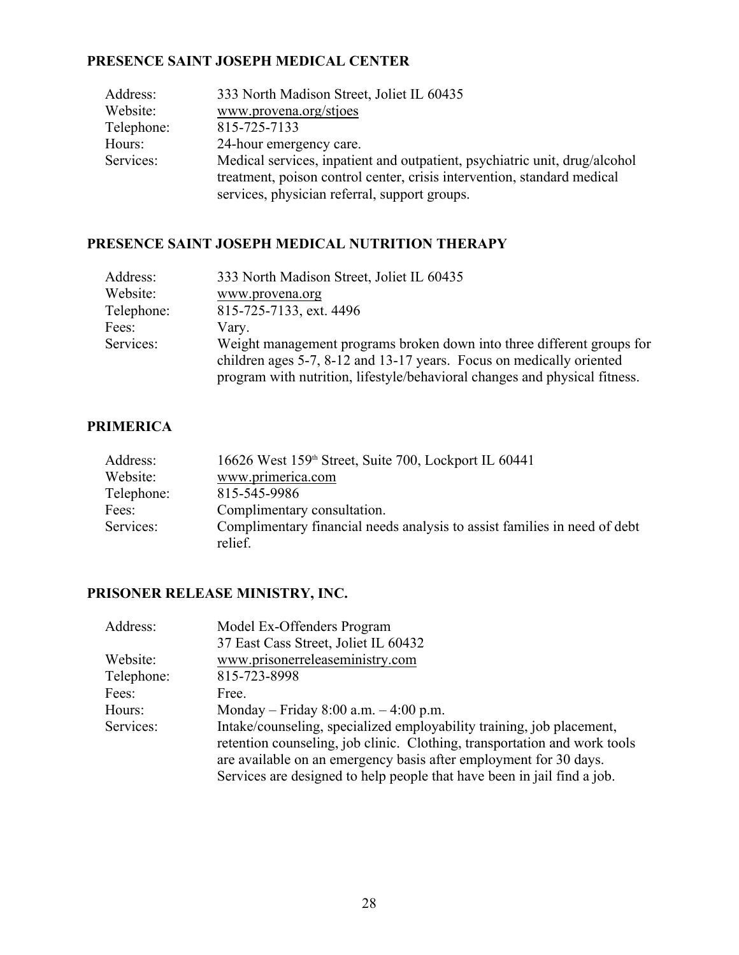#### **PRESENCE SAINT JOSEPH MEDICAL CENTER**

| 333 North Madison Street, Joliet IL 60435                                  |
|----------------------------------------------------------------------------|
| www.provena.org/stjoes                                                     |
| 815-725-7133                                                               |
| 24-hour emergency care.                                                    |
| Medical services, inpatient and outpatient, psychiatric unit, drug/alcohol |
| treatment, poison control center, crisis intervention, standard medical    |
| services, physician referral, support groups.                              |
|                                                                            |

#### **PRESENCE SAINT JOSEPH MEDICAL NUTRITION THERAPY**

| Address:   | 333 North Madison Street, Joliet IL 60435                                  |
|------------|----------------------------------------------------------------------------|
| Website:   | www.provena.org                                                            |
| Telephone: | 815-725-7133, ext. 4496                                                    |
| Fees:      | Vary.                                                                      |
| Services:  | Weight management programs broken down into three different groups for     |
|            | children ages 5-7, 8-12 and 13-17 years. Focus on medically oriented       |
|            | program with nutrition, lifestyle/behavioral changes and physical fitness. |

#### **PRIMERICA**

| Address:   | 16626 West 159 <sup>th</sup> Street, Suite 700, Lockport IL 60441         |
|------------|---------------------------------------------------------------------------|
| Website:   | www.primerica.com                                                         |
| Telephone: | 815-545-9986                                                              |
| Fees:      | Complimentary consultation.                                               |
| Services:  | Complimentary financial needs analysis to assist families in need of debt |
|            | relief.                                                                   |

### **PRISONER RELEASE MINISTRY, INC.**

| Address:   | Model Ex-Offenders Program                                                |
|------------|---------------------------------------------------------------------------|
|            | 37 East Cass Street, Joliet IL 60432                                      |
| Website:   | www.prisonerreleaseministry.com                                           |
| Telephone: | 815-723-8998                                                              |
| Fees:      | Free.                                                                     |
| Hours:     | Monday – Friday 8:00 a.m. – 4:00 p.m.                                     |
| Services:  | Intake/counseling, specialized employability training, job placement,     |
|            | retention counseling, job clinic. Clothing, transportation and work tools |
|            | are available on an emergency basis after employment for 30 days.         |
|            | Services are designed to help people that have been in jail find a job.   |
|            |                                                                           |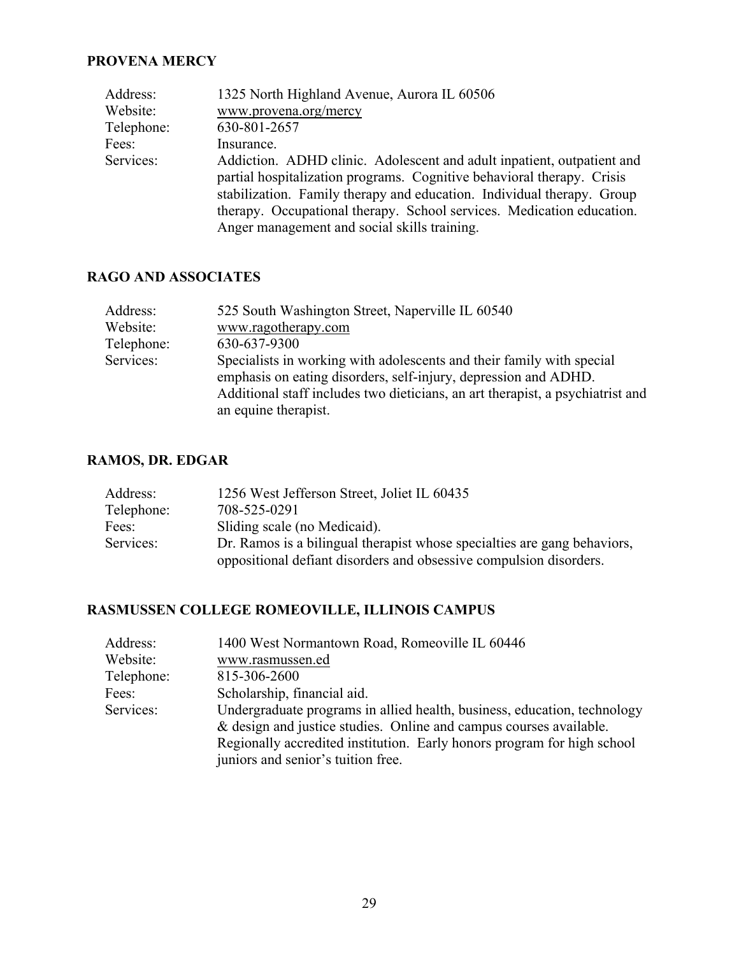#### **PROVENA MERCY**

| Address:   | 1325 North Highland Avenue, Aurora IL 60506                                                                                                                                                                                                                                                                                                         |
|------------|-----------------------------------------------------------------------------------------------------------------------------------------------------------------------------------------------------------------------------------------------------------------------------------------------------------------------------------------------------|
| Website:   | www.provena.org/mercy                                                                                                                                                                                                                                                                                                                               |
| Telephone: | 630-801-2657                                                                                                                                                                                                                                                                                                                                        |
| Fees:      | Insurance.                                                                                                                                                                                                                                                                                                                                          |
| Services:  | Addiction. ADHD clinic. Adolescent and adult inpatient, outpatient and<br>partial hospitalization programs. Cognitive behavioral therapy. Crisis<br>stabilization. Family therapy and education. Individual therapy. Group<br>therapy. Occupational therapy. School services. Medication education.<br>Anger management and social skills training. |

### **RAGO AND ASSOCIATES**

| Address:   | 525 South Washington Street, Naperville IL 60540                               |
|------------|--------------------------------------------------------------------------------|
| Website:   | www.ragotherapy.com                                                            |
| Telephone: | 630-637-9300                                                                   |
| Services:  | Specialists in working with adolescents and their family with special          |
|            | emphasis on eating disorders, self-injury, depression and ADHD.                |
|            | Additional staff includes two dieticians, an art therapist, a psychiatrist and |
|            | an equine therapist.                                                           |

### **RAMOS, DR. EDGAR**

| Address:   | 1256 West Jefferson Street, Joliet IL 60435                              |
|------------|--------------------------------------------------------------------------|
| Telephone: | 708-525-0291                                                             |
| Fees:      | Sliding scale (no Medicaid).                                             |
| Services:  | Dr. Ramos is a bilingual therapist whose specialties are gang behaviors, |
|            | oppositional defiant disorders and obsessive compulsion disorders.       |

#### **RASMUSSEN COLLEGE ROMEOVILLE, ILLINOIS CAMPUS**

| Address:   | 1400 West Normantown Road, Romeoville IL 60446                           |
|------------|--------------------------------------------------------------------------|
| Website:   | www.rasmussen.ed                                                         |
| Telephone: | 815-306-2600                                                             |
| Fees:      | Scholarship, financial aid.                                              |
| Services:  | Undergraduate programs in allied health, business, education, technology |
|            | & design and justice studies. Online and campus courses available.       |
|            | Regionally accredited institution. Early honors program for high school  |
|            | juniors and senior's tuition free.                                       |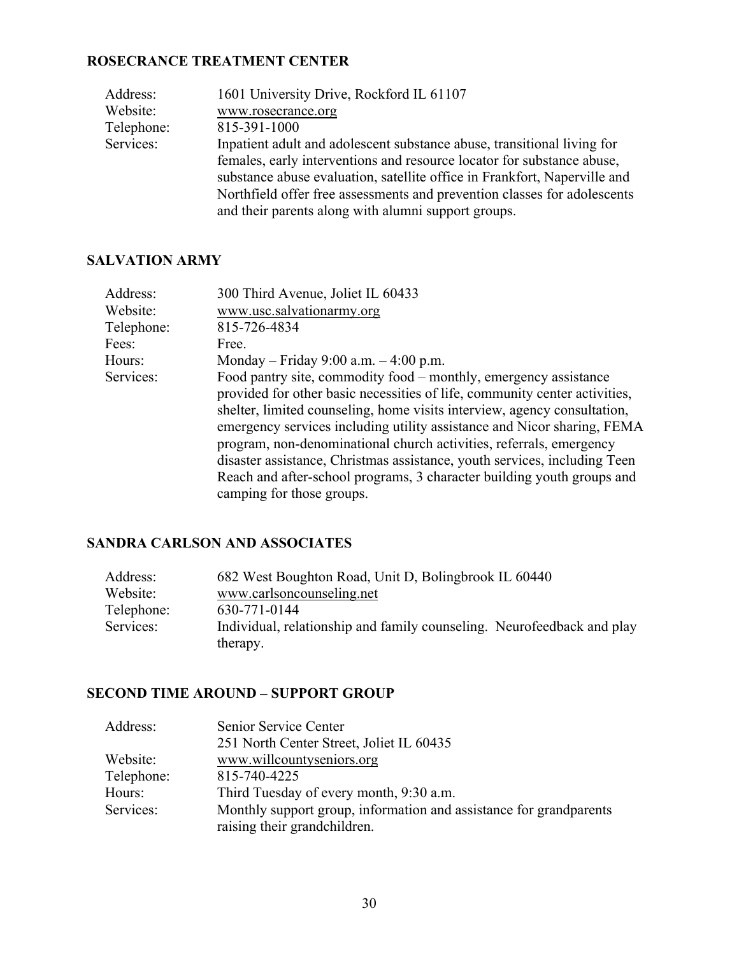#### **ROSECRANCE TREATMENT CENTER**

| Inpatient adult and adolescent substance abuse, transitional living for   |
|---------------------------------------------------------------------------|
| females, early interventions and resource locator for substance abuse,    |
| substance abuse evaluation, satellite office in Frankfort, Naperville and |
| Northfield offer free assessments and prevention classes for adolescents  |
|                                                                           |
|                                                                           |

#### **SALVATION ARMY**

| Address:   | 300 Third Avenue, Joliet IL 60433                                                                                                                                                                                                                                                                                                                                                                                                                                                                                                                                |
|------------|------------------------------------------------------------------------------------------------------------------------------------------------------------------------------------------------------------------------------------------------------------------------------------------------------------------------------------------------------------------------------------------------------------------------------------------------------------------------------------------------------------------------------------------------------------------|
| Website:   | www.usc.salvationarmy.org                                                                                                                                                                                                                                                                                                                                                                                                                                                                                                                                        |
| Telephone: | 815-726-4834                                                                                                                                                                                                                                                                                                                                                                                                                                                                                                                                                     |
| Fees:      | Free.                                                                                                                                                                                                                                                                                                                                                                                                                                                                                                                                                            |
| Hours:     | Monday – Friday 9:00 a.m. – 4:00 p.m.                                                                                                                                                                                                                                                                                                                                                                                                                                                                                                                            |
| Services:  | Food pantry site, commodity food – monthly, emergency assistance<br>provided for other basic necessities of life, community center activities,<br>shelter, limited counseling, home visits interview, agency consultation,<br>emergency services including utility assistance and Nicor sharing, FEMA<br>program, non-denominational church activities, referrals, emergency<br>disaster assistance, Christmas assistance, youth services, including Teen<br>Reach and after-school programs, 3 character building youth groups and<br>camping for those groups. |

#### **SANDRA CARLSON AND ASSOCIATES**

| Address:   | 682 West Boughton Road, Unit D, Bolingbrook IL 60440                   |
|------------|------------------------------------------------------------------------|
| Website:   | www.carlsoncounseling.net                                              |
| Telephone: | 630-771-0144                                                           |
| Services:  | Individual, relationship and family counseling. Neurofeedback and play |
|            | therapy.                                                               |

#### **SECOND TIME AROUND – SUPPORT GROUP**

| Address:   | Senior Service Center                                              |
|------------|--------------------------------------------------------------------|
|            | 251 North Center Street, Joliet IL 60435                           |
| Website:   | www.willcountyseniors.org                                          |
| Telephone: | 815-740-4225                                                       |
| Hours:     | Third Tuesday of every month, 9:30 a.m.                            |
| Services:  | Monthly support group, information and assistance for grandparents |
|            | raising their grandchildren.                                       |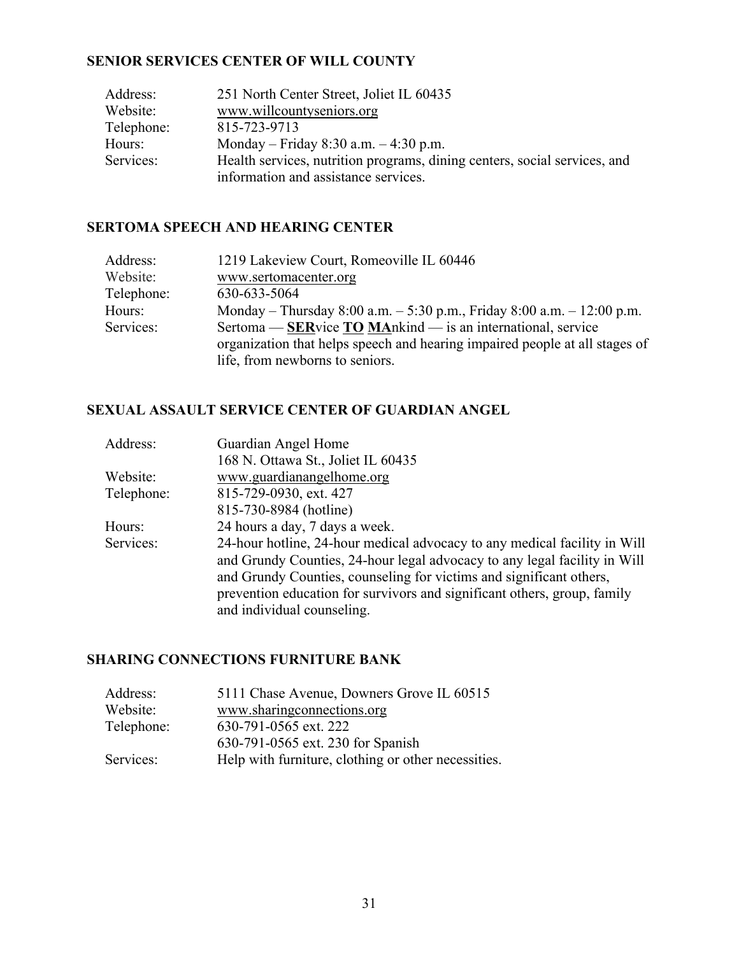#### **SENIOR SERVICES CENTER OF WILL COUNTY**

| Address:   | 251 North Center Street, Joliet IL 60435                                  |
|------------|---------------------------------------------------------------------------|
| Website:   | www.willcountyseniors.org                                                 |
| Telephone: | 815-723-9713                                                              |
| Hours:     | Monday – Friday 8:30 a.m. – 4:30 p.m.                                     |
| Services:  | Health services, nutrition programs, dining centers, social services, and |
|            | information and assistance services.                                      |

#### **SERTOMA SPEECH AND HEARING CENTER**

| Address:   | 1219 Lakeview Court, Romeoville IL 60446                                    |
|------------|-----------------------------------------------------------------------------|
| Website:   | www.sertomacenter.org                                                       |
| Telephone: | 630-633-5064                                                                |
| Hours:     | Monday – Thursday 8:00 a.m. – 5:30 p.m., Friday 8:00 a.m. – 12:00 p.m.      |
| Services:  | Sertoma — SERvice TO MAnkind — is an international, service                 |
|            | organization that helps speech and hearing impaired people at all stages of |
|            | life, from newborns to seniors.                                             |

#### **SEXUAL ASSAULT SERVICE CENTER OF GUARDIAN ANGEL**

#### **SHARING CONNECTIONS FURNITURE BANK**

| Address:   | 5111 Chase Avenue, Downers Grove IL 60515           |
|------------|-----------------------------------------------------|
| Website:   | www.sharingconnections.org                          |
| Telephone: | 630-791-0565 ext. 222                               |
|            | 630-791-0565 ext. 230 for Spanish                   |
| Services:  | Help with furniture, clothing or other necessities. |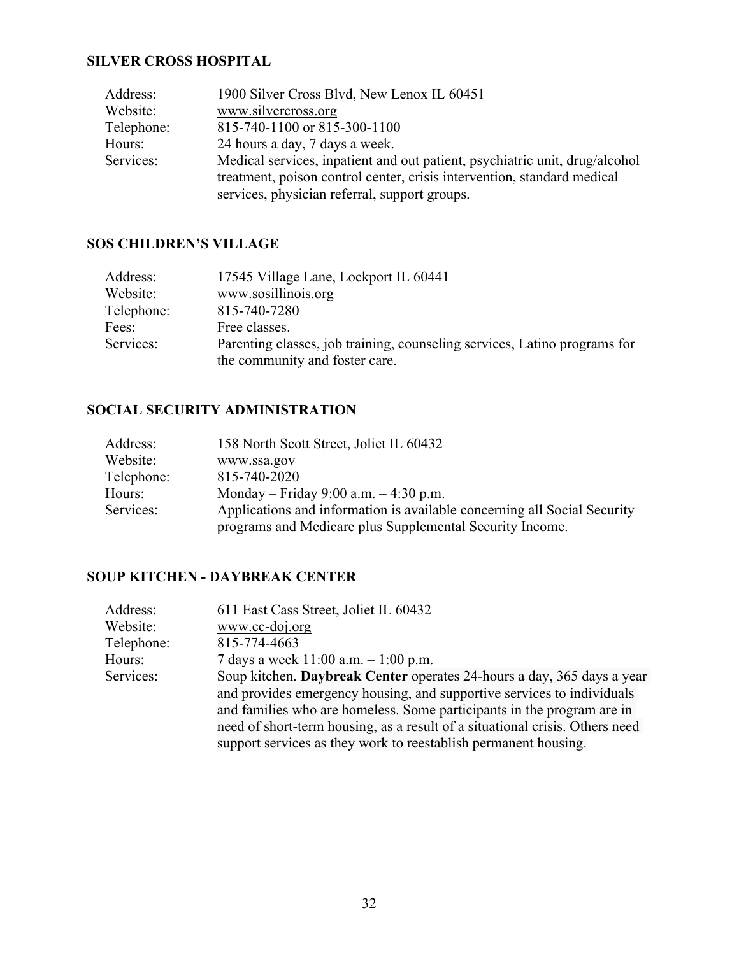#### **SILVER CROSS HOSPITAL**

#### **SOS CHILDREN'S VILLAGE**

| Address:   | 17545 Village Lane, Lockport IL 60441                                                                       |
|------------|-------------------------------------------------------------------------------------------------------------|
| Website:   | www.sosillinois.org                                                                                         |
| Telephone: | 815-740-7280                                                                                                |
| Fees:      | Free classes.                                                                                               |
| Services:  | Parenting classes, job training, counseling services, Latino programs for<br>the community and foster care. |

#### **SOCIAL SECURITY ADMINISTRATION**

| Address:   | 158 North Scott Street, Joliet IL 60432                                  |
|------------|--------------------------------------------------------------------------|
| Website:   | www.ssa.gov                                                              |
| Telephone: | 815-740-2020                                                             |
| Hours:     | Monday – Friday 9:00 a.m. – 4:30 p.m.                                    |
| Services:  | Applications and information is available concerning all Social Security |
|            | programs and Medicare plus Supplemental Security Income.                 |

### **SOUP KITCHEN - DAYBREAK CENTER**

| Address:   | 611 East Cass Street, Joliet IL 60432                                        |
|------------|------------------------------------------------------------------------------|
| Website:   | www.cc-doj.org                                                               |
| Telephone: | 815-774-4663                                                                 |
| Hours:     | 7 days a week $11:00$ a.m. $-1:00$ p.m.                                      |
| Services:  | Soup kitchen. Daybreak Center operates 24-hours a day, 365 days a year       |
|            | and provides emergency housing, and supportive services to individuals       |
|            | and families who are homeless. Some participants in the program are in       |
|            | need of short-term housing, as a result of a situational crisis. Others need |
|            | support services as they work to reestablish permanent housing.              |
|            |                                                                              |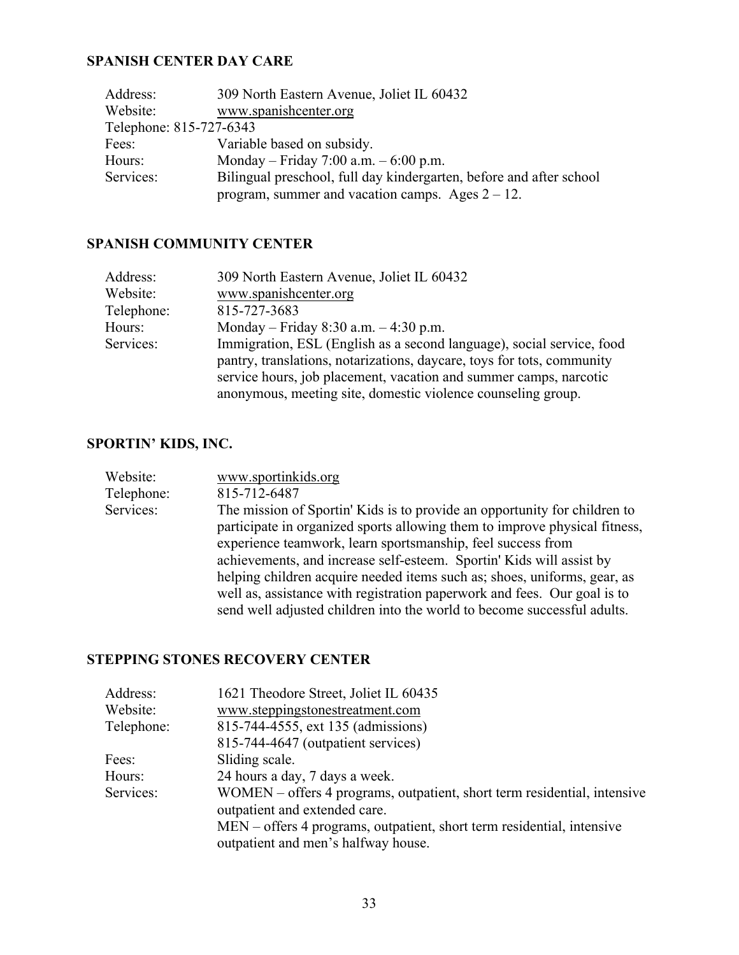#### **SPANISH CENTER DAY CARE**

| 309 North Eastern Avenue, Joliet IL 60432                           |
|---------------------------------------------------------------------|
| www.spanishcenter.org                                               |
| Telephone: 815-727-6343                                             |
| Variable based on subsidy.                                          |
| Monday – Friday 7:00 a.m. – 6:00 p.m.                               |
| Bilingual preschool, full day kindergarten, before and after school |
| program, summer and vacation camps. Ages $2 - 12$ .                 |
|                                                                     |

#### **SPANISH COMMUNITY CENTER**

| Address:   | 309 North Eastern Avenue, Joliet IL 60432                                                                                                                                                                                                                                            |
|------------|--------------------------------------------------------------------------------------------------------------------------------------------------------------------------------------------------------------------------------------------------------------------------------------|
| Website:   | www.spanishcenter.org                                                                                                                                                                                                                                                                |
| Telephone: | 815-727-3683                                                                                                                                                                                                                                                                         |
| Hours:     | Monday – Friday 8:30 a.m. $-4:30$ p.m.                                                                                                                                                                                                                                               |
| Services:  | Immigration, ESL (English as a second language), social service, food<br>pantry, translations, notarizations, daycare, toys for tots, community<br>service hours, job placement, vacation and summer camps, narcotic<br>anonymous, meeting site, domestic violence counseling group. |

#### **SPORTIN' KIDS, INC.**

| Website:   | www.sportinkids.org                                                        |
|------------|----------------------------------------------------------------------------|
| Telephone: | 815-712-6487                                                               |
| Services:  | The mission of Sportin' Kids is to provide an opportunity for children to  |
|            | participate in organized sports allowing them to improve physical fitness, |
|            | experience teamwork, learn sportsmanship, feel success from                |
|            | achievements, and increase self-esteem. Sportin' Kids will assist by       |
|            | helping children acquire needed items such as; shoes, uniforms, gear, as   |
|            | well as, assistance with registration paperwork and fees. Our goal is to   |
|            | send well adjusted children into the world to become successful adults.    |
|            |                                                                            |

### **STEPPING STONES RECOVERY CENTER**

| Address:   | 1621 Theodore Street, Joliet IL 60435                                    |
|------------|--------------------------------------------------------------------------|
| Website:   | www.steppingstonestreatment.com                                          |
| Telephone: | 815-744-4555, ext 135 (admissions)                                       |
|            | 815-744-4647 (outpatient services)                                       |
| Fees:      | Sliding scale.                                                           |
| Hours:     | 24 hours a day, 7 days a week.                                           |
| Services:  | WOMEN – offers 4 programs, outpatient, short term residential, intensive |
|            | outpatient and extended care.                                            |
|            | MEN – offers 4 programs, outpatient, short term residential, intensive   |
|            | outpatient and men's halfway house.                                      |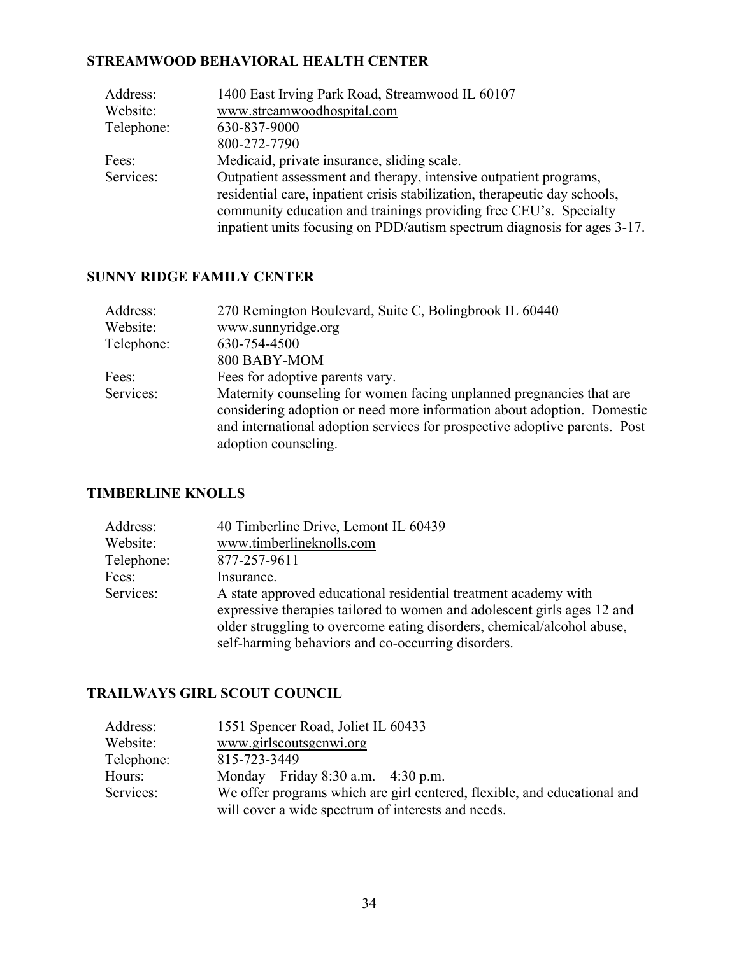#### **STREAMWOOD BEHAVIORAL HEALTH CENTER**

| Address:   | 1400 East Irving Park Road, Streamwood IL 60107                            |
|------------|----------------------------------------------------------------------------|
| Website:   | www.streamwoodhospital.com                                                 |
| Telephone: | 630-837-9000                                                               |
|            | 800-272-7790                                                               |
| Fees:      | Medicaid, private insurance, sliding scale.                                |
| Services:  | Outpatient assessment and therapy, intensive outpatient programs,          |
|            | residential care, inpatient crisis stabilization, therapeutic day schools, |
|            | community education and trainings providing free CEU's. Specialty          |
|            | inpatient units focusing on PDD/autism spectrum diagnosis for ages 3-17.   |
|            |                                                                            |

#### **SUNNY RIDGE FAMILY CENTER**

| Address:   | 270 Remington Boulevard, Suite C, Bolingbrook IL 60440                     |
|------------|----------------------------------------------------------------------------|
| Website:   | www.sunnyridge.org                                                         |
| Telephone: | 630-754-4500                                                               |
|            | 800 BABY-MOM                                                               |
| Fees:      | Fees for adoptive parents vary.                                            |
| Services:  | Maternity counseling for women facing unplanned pregnancies that are       |
|            | considering adoption or need more information about adoption. Domestic     |
|            | and international adoption services for prospective adoptive parents. Post |
|            | adoption counseling.                                                       |
|            |                                                                            |

### **TIMBERLINE KNOLLS**

| Address:   | 40 Timberline Drive, Lemont IL 60439                                    |
|------------|-------------------------------------------------------------------------|
| Website:   | www.timberlineknolls.com                                                |
| Telephone: | 877-257-9611                                                            |
| Fees:      | Insurance.                                                              |
| Services:  | A state approved educational residential treatment academy with         |
|            | expressive therapies tailored to women and adolescent girls ages 12 and |
|            | older struggling to overcome eating disorders, chemical/alcohol abuse,  |
|            | self-harming behaviors and co-occurring disorders.                      |

### **TRAILWAYS GIRL SCOUT COUNCIL**

| Address:   | 1551 Spencer Road, Joliet IL 60433                                       |
|------------|--------------------------------------------------------------------------|
| Website:   | www.girlscoutsgcnwi.org                                                  |
| Telephone: | 815-723-3449                                                             |
| Hours:     | Monday – Friday 8:30 a.m. $-4:30$ p.m.                                   |
| Services:  | We offer programs which are girl centered, flexible, and educational and |
|            | will cover a wide spectrum of interests and needs.                       |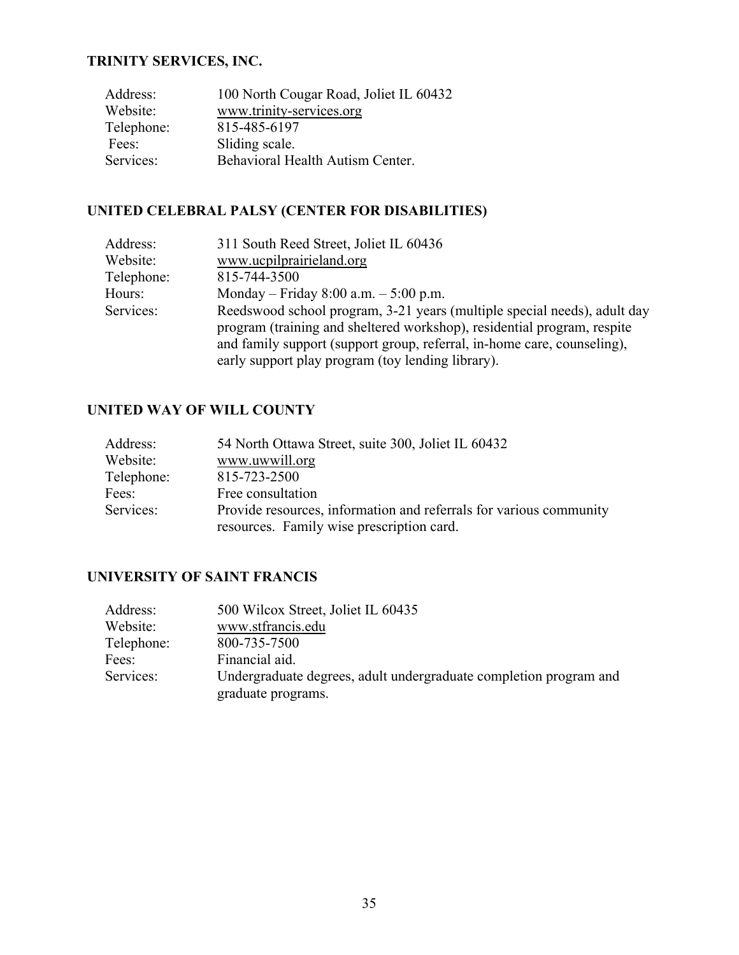#### **TRINITY SERVICES, INC.**

| Address:   | 100 North Cougar Road, Joliet IL 60432 |
|------------|----------------------------------------|
| Website:   | www.trinity-services.org               |
| Telephone: | 815-485-6197                           |
| Fees:      | Sliding scale.                         |
| Services:  | Behavioral Health Autism Center.       |

#### **UNITED CELEBRAL PALSY (CENTER FOR DISABILITIES)**

| Address:   | 311 South Reed Street, Joliet IL 60436                                                                                                                                                                                                                                              |
|------------|-------------------------------------------------------------------------------------------------------------------------------------------------------------------------------------------------------------------------------------------------------------------------------------|
| Website:   | www.ucpilprairieland.org                                                                                                                                                                                                                                                            |
| Telephone: | 815-744-3500                                                                                                                                                                                                                                                                        |
| Hours:     | Monday – Friday 8:00 a.m. – $5:00$ p.m.                                                                                                                                                                                                                                             |
| Services:  | Reedswood school program, 3-21 years (multiple special needs), adult day<br>program (training and sheltered workshop), residential program, respite<br>and family support (support group, referral, in-home care, counseling),<br>early support play program (toy lending library). |

#### **UNITED WAY OF WILL COUNTY**

| Address:   | 54 North Ottawa Street, suite 300, Joliet IL 60432                                                              |
|------------|-----------------------------------------------------------------------------------------------------------------|
| Website:   | www.uwwill.org                                                                                                  |
| Telephone: | 815-723-2500                                                                                                    |
| Fees:      | Free consultation                                                                                               |
| Services:  | Provide resources, information and referrals for various community<br>resources. Family wise prescription card. |

#### **UNIVERSITY OF SAINT FRANCIS**

| Address:   | 500 Wilcox Street, Joliet IL 60435                                |
|------------|-------------------------------------------------------------------|
| Website:   | www.stfrancis.edu                                                 |
| Telephone: | 800-735-7500                                                      |
| Fees:      | Financial aid.                                                    |
| Services:  | Undergraduate degrees, adult undergraduate completion program and |
|            | graduate programs.                                                |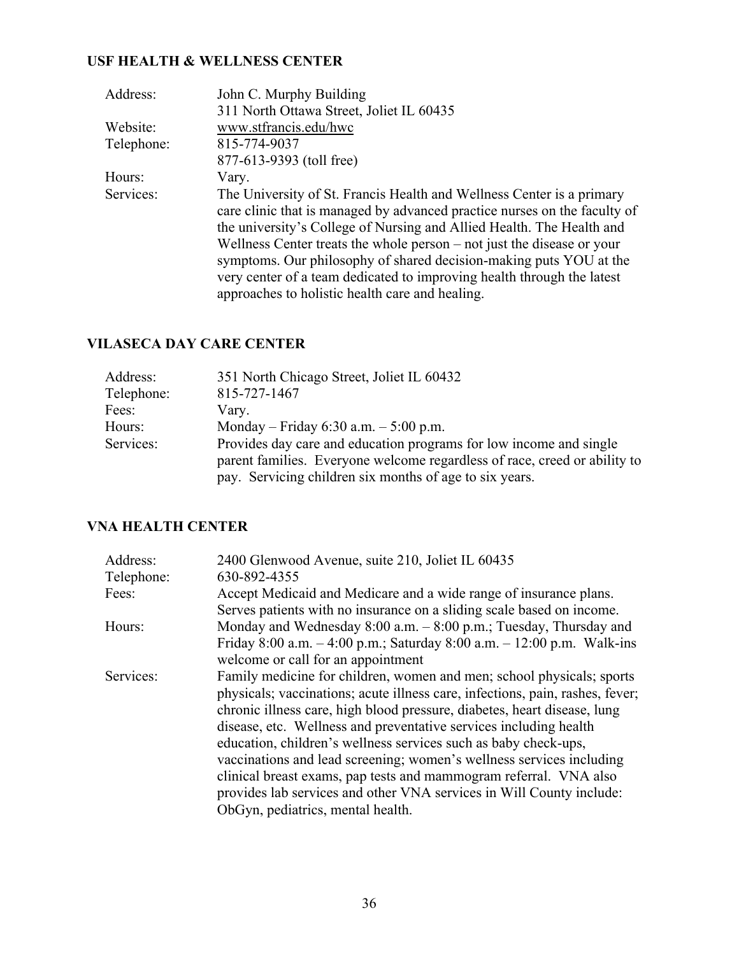### **USF HEALTH & WELLNESS CENTER**

| Address:   | John C. Murphy Building                                                                                                                                                                                                                                                                                                                                                                                                                                                                                  |
|------------|----------------------------------------------------------------------------------------------------------------------------------------------------------------------------------------------------------------------------------------------------------------------------------------------------------------------------------------------------------------------------------------------------------------------------------------------------------------------------------------------------------|
|            | 311 North Ottawa Street, Joliet IL 60435                                                                                                                                                                                                                                                                                                                                                                                                                                                                 |
| Website:   | www.stfrancis.edu/hwc                                                                                                                                                                                                                                                                                                                                                                                                                                                                                    |
| Telephone: | 815-774-9037                                                                                                                                                                                                                                                                                                                                                                                                                                                                                             |
|            | 877-613-9393 (toll free)                                                                                                                                                                                                                                                                                                                                                                                                                                                                                 |
| Hours:     | Vary.                                                                                                                                                                                                                                                                                                                                                                                                                                                                                                    |
| Services:  | The University of St. Francis Health and Wellness Center is a primary<br>care clinic that is managed by advanced practice nurses on the faculty of<br>the university's College of Nursing and Allied Health. The Health and<br>Wellness Center treats the whole person – not just the disease or your<br>symptoms. Our philosophy of shared decision-making puts YOU at the<br>very center of a team dedicated to improving health through the latest<br>approaches to holistic health care and healing. |

#### **VILASECA DAY CARE CENTER**

| Address:   | 351 North Chicago Street, Joliet IL 60432                                 |
|------------|---------------------------------------------------------------------------|
| Telephone: | 815-727-1467                                                              |
| Fees:      | Vary.                                                                     |
| Hours:     | Monday – Friday 6:30 a.m. – 5:00 p.m.                                     |
| Services:  | Provides day care and education programs for low income and single        |
|            | parent families. Everyone welcome regardless of race, creed or ability to |
|            | pay. Servicing children six months of age to six years.                   |

### **VNA HEALTH CENTER**

| Address:   | 2400 Glenwood Avenue, suite 210, Joliet IL 60435                              |
|------------|-------------------------------------------------------------------------------|
| Telephone: | 630-892-4355                                                                  |
| Fees:      | Accept Medicaid and Medicare and a wide range of insurance plans.             |
|            | Serves patients with no insurance on a sliding scale based on income.         |
| Hours:     | Monday and Wednesday $8:00$ a.m. $-8:00$ p.m.; Tuesday, Thursday and          |
|            | Friday 8:00 a.m. $-4:00$ p.m.; Saturday 8:00 a.m. $-12:00$ p.m. Walk-ins      |
|            | welcome or call for an appointment                                            |
| Services:  | Family medicine for children, women and men; school physicals; sports         |
|            | physicals; vaccinations; acute illness care, infections, pain, rashes, fever; |
|            | chronic illness care, high blood pressure, diabetes, heart disease, lung      |
|            | disease, etc. Wellness and preventative services including health             |
|            | education, children's wellness services such as baby check-ups,               |
|            | vaccinations and lead screening; women's wellness services including          |
|            | clinical breast exams, pap tests and mammogram referral. VNA also             |
|            | provides lab services and other VNA services in Will County include:          |
|            | ObGyn, pediatrics, mental health.                                             |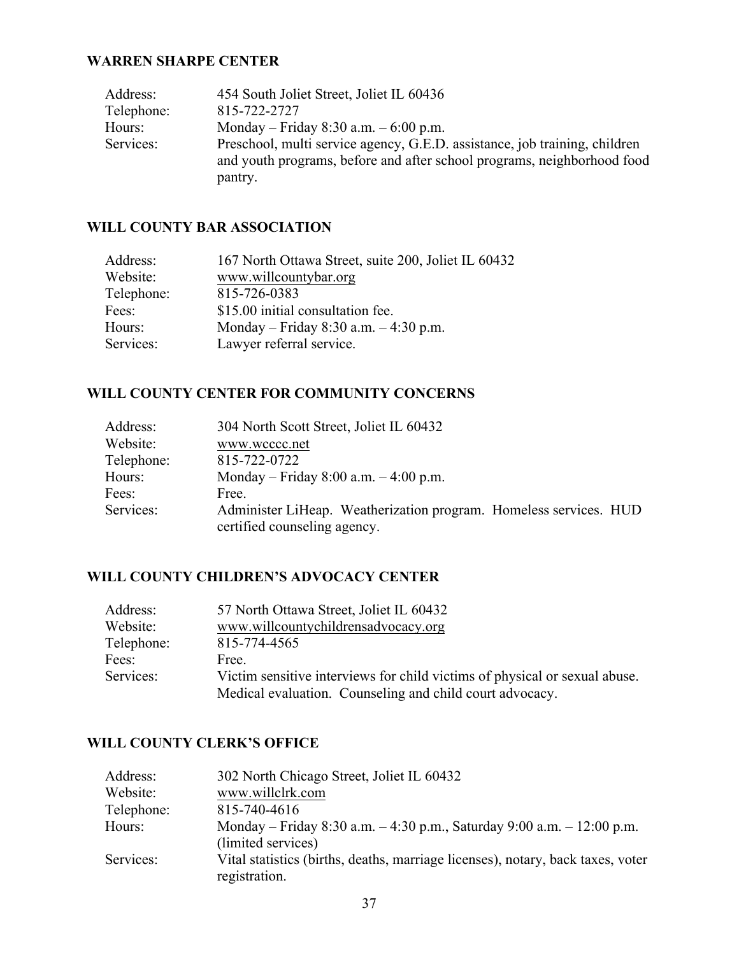#### **WARREN SHARPE CENTER**

| Address:   | 454 South Joliet Street, Joliet IL 60436                                                                                                              |
|------------|-------------------------------------------------------------------------------------------------------------------------------------------------------|
| Telephone: | 815-722-2727                                                                                                                                          |
| Hours:     | Monday – Friday 8:30 a.m. – 6:00 p.m.                                                                                                                 |
| Services:  | Preschool, multi service agency, G.E.D. assistance, job training, children<br>and youth programs, before and after school programs, neighborhood food |
|            | pantry.                                                                                                                                               |

#### **WILL COUNTY BAR ASSOCIATION**

| Address:   | 167 North Ottawa Street, suite 200, Joliet IL 60432 |
|------------|-----------------------------------------------------|
| Website:   | www.willcountybar.org                               |
| Telephone: | 815-726-0383                                        |
| Fees:      | \$15.00 initial consultation fee.                   |
| Hours:     | Monday – Friday 8:30 a.m. – 4:30 p.m.               |
| Services:  | Lawyer referral service.                            |

### **WILL COUNTY CENTER FOR COMMUNITY CONCERNS**

| Address:   | 304 North Scott Street, Joliet IL 60432                                                           |
|------------|---------------------------------------------------------------------------------------------------|
| Website:   | www.wcccc.net                                                                                     |
| Telephone: | 815-722-0722                                                                                      |
| Hours:     | Monday – Friday 8:00 a.m. – 4:00 p.m.                                                             |
| Fees:      | Free.                                                                                             |
| Services:  | Administer LiHeap. Weatherization program. Homeless services. HUD<br>certified counseling agency. |

#### **WILL COUNTY CHILDREN'S ADVOCACY CENTER**

| Address:   | 57 North Ottawa Street, Joliet IL 60432                                    |
|------------|----------------------------------------------------------------------------|
| Website:   | www.willcountychildrensadvocacy.org                                        |
| Telephone: | 815-774-4565                                                               |
| Fees:      | Free.                                                                      |
| Services:  | Victim sensitive interviews for child victims of physical or sexual abuse. |
|            | Medical evaluation. Counseling and child court advocacy.                   |

#### **WILL COUNTY CLERK'S OFFICE**

| Address:   | 302 North Chicago Street, Joliet IL 60432                                       |
|------------|---------------------------------------------------------------------------------|
| Website:   | www.willclrk.com                                                                |
| Telephone: | 815-740-4616                                                                    |
| Hours:     | Monday – Friday 8:30 a.m. – 4:30 p.m., Saturday 9:00 a.m. – 12:00 p.m.          |
|            | (limited services)                                                              |
| Services:  | Vital statistics (births, deaths, marriage licenses), notary, back taxes, voter |
|            | registration.                                                                   |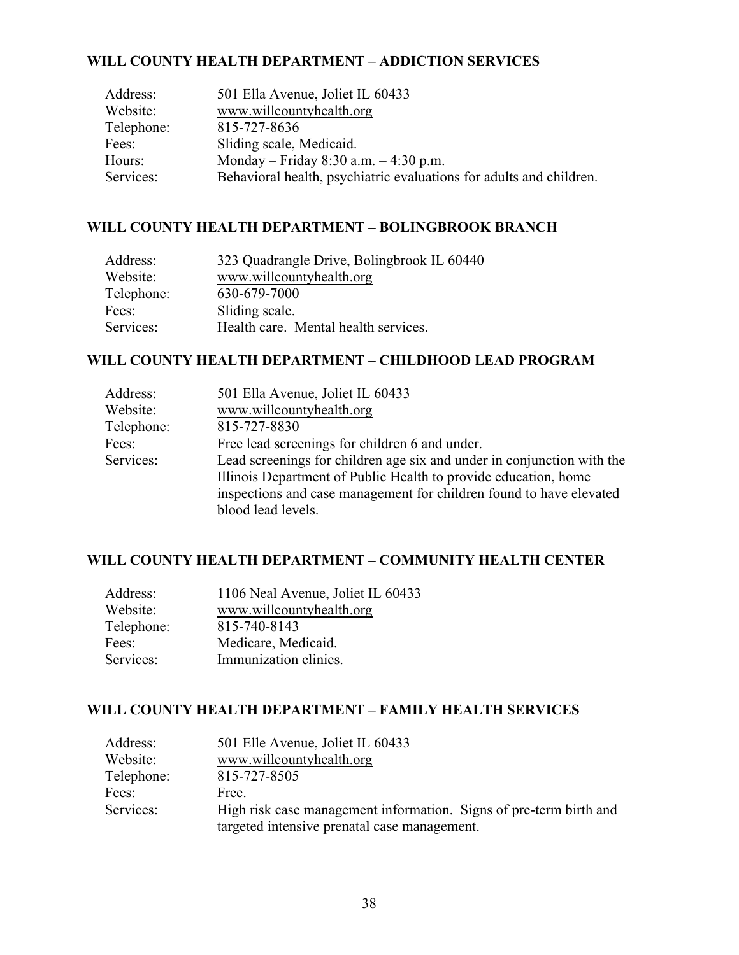#### **WILL COUNTY HEALTH DEPARTMENT – ADDICTION SERVICES**

| Address:   | 501 Ella Avenue, Joliet IL 60433                                    |
|------------|---------------------------------------------------------------------|
| Website:   | www.willcountyhealth.org                                            |
| Telephone: | 815-727-8636                                                        |
| Fees:      | Sliding scale, Medicaid.                                            |
| Hours:     | Monday – Friday 8:30 a.m. $-4:30$ p.m.                              |
| Services:  | Behavioral health, psychiatric evaluations for adults and children. |

#### **WILL COUNTY HEALTH DEPARTMENT – BOLINGBROOK BRANCH**

| Address:   | 323 Quadrangle Drive, Bolingbrook IL 60440 |
|------------|--------------------------------------------|
| Website:   | www.willcountyhealth.org                   |
| Telephone: | 630-679-7000                               |
| Fees:      | Sliding scale.                             |
| Services:  | Health care. Mental health services.       |

#### **WILL COUNTY HEALTH DEPARTMENT – CHILDHOOD LEAD PROGRAM**

| Address:   | 501 Ella Avenue, Joliet IL 60433                                       |  |
|------------|------------------------------------------------------------------------|--|
| Website:   | www.willcountyhealth.org                                               |  |
| Telephone: | 815-727-8830                                                           |  |
| Fees:      | Free lead screenings for children 6 and under.                         |  |
| Services:  | Lead screenings for children age six and under in conjunction with the |  |
|            | Illinois Department of Public Health to provide education, home        |  |
|            | inspections and case management for children found to have elevated    |  |
|            | blood lead levels.                                                     |  |

#### **WILL COUNTY HEALTH DEPARTMENT – COMMUNITY HEALTH CENTER**

| Address:   | 1106 Neal Avenue, Joliet IL 60433 |
|------------|-----------------------------------|
| Website:   | www.willcountyhealth.org          |
| Telephone: | 815-740-8143                      |
| Fees:      | Medicare, Medicaid.               |
| Services:  | Immunization clinics.             |

#### **WILL COUNTY HEALTH DEPARTMENT – FAMILY HEALTH SERVICES**

| Address:   | 501 Elle Avenue, Joliet IL 60433                                                                                   |
|------------|--------------------------------------------------------------------------------------------------------------------|
| Website:   | www.willcountyhealth.org                                                                                           |
| Telephone: | 815-727-8505                                                                                                       |
| Fees:      | Free.                                                                                                              |
| Services:  | High risk case management information. Signs of pre-term birth and<br>targeted intensive prenatal case management. |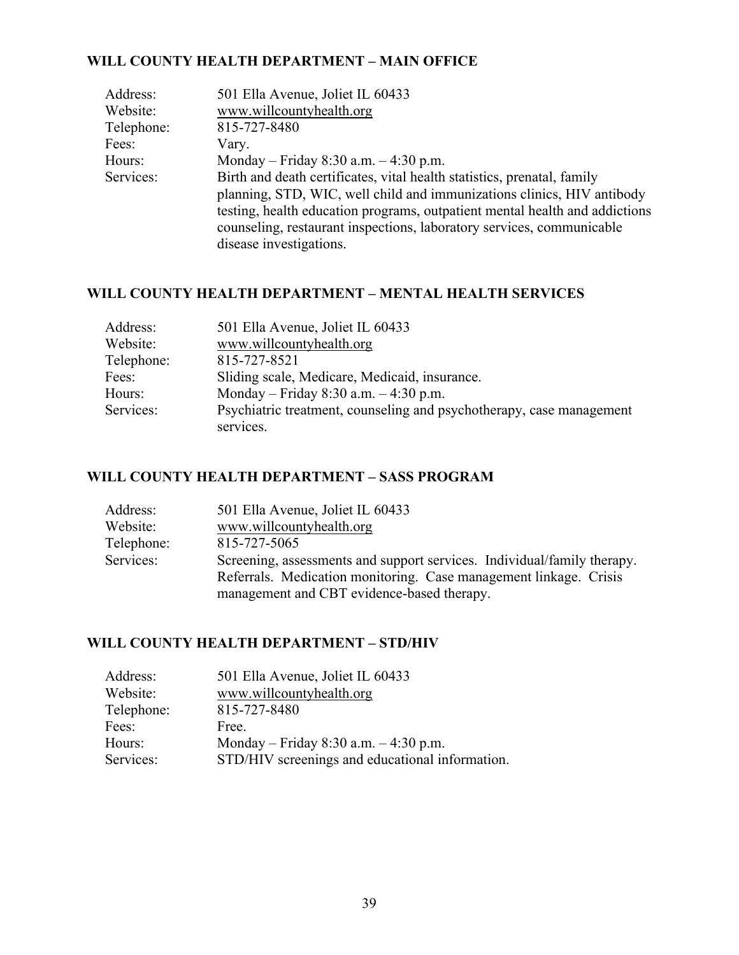#### **WILL COUNTY HEALTH DEPARTMENT – MAIN OFFICE**

| Address:   | 501 Ella Avenue, Joliet IL 60433                                            |
|------------|-----------------------------------------------------------------------------|
| Website:   | www.willcountyhealth.org                                                    |
| Telephone: | 815-727-8480                                                                |
| Fees:      | Vary.                                                                       |
| Hours:     | Monday – Friday 8:30 a.m. – 4:30 p.m.                                       |
| Services:  | Birth and death certificates, vital health statistics, prenatal, family     |
|            | planning, STD, WIC, well child and immunizations clinics, HIV antibody      |
|            | testing, health education programs, outpatient mental health and addictions |
|            | counseling, restaurant inspections, laboratory services, communicable       |
|            | disease investigations.                                                     |

### **WILL COUNTY HEALTH DEPARTMENT – MENTAL HEALTH SERVICES**

| Address:   | 501 Ella Avenue, Joliet IL 60433                                     |
|------------|----------------------------------------------------------------------|
| Website:   | www.willcountyhealth.org                                             |
| Telephone: | 815-727-8521                                                         |
| Fees:      | Sliding scale, Medicare, Medicaid, insurance.                        |
| Hours:     | Monday – Friday 8:30 a.m. $-4:30$ p.m.                               |
| Services:  | Psychiatric treatment, counseling and psychotherapy, case management |
|            | services.                                                            |

#### **WILL COUNTY HEALTH DEPARTMENT – SASS PROGRAM**

| Address:   | 501 Ella Avenue, Joliet IL 60433                                        |
|------------|-------------------------------------------------------------------------|
| Website:   | www.willcountyhealth.org                                                |
| Telephone: | 815-727-5065                                                            |
| Services:  | Screening, assessments and support services. Individual/family therapy. |
|            | Referrals. Medication monitoring. Case management linkage. Crisis       |
|            | management and CBT evidence-based therapy.                              |

#### **WILL COUNTY HEALTH DEPARTMENT – STD/HIV**

| Address:   | 501 Ella Avenue, Joliet IL 60433                |
|------------|-------------------------------------------------|
| Website:   | www.willcountyhealth.org                        |
| Telephone: | 815-727-8480                                    |
| Fees:      | Free.                                           |
| Hours:     | Monday – Friday 8:30 a.m. $-4:30$ p.m.          |
| Services:  | STD/HIV screenings and educational information. |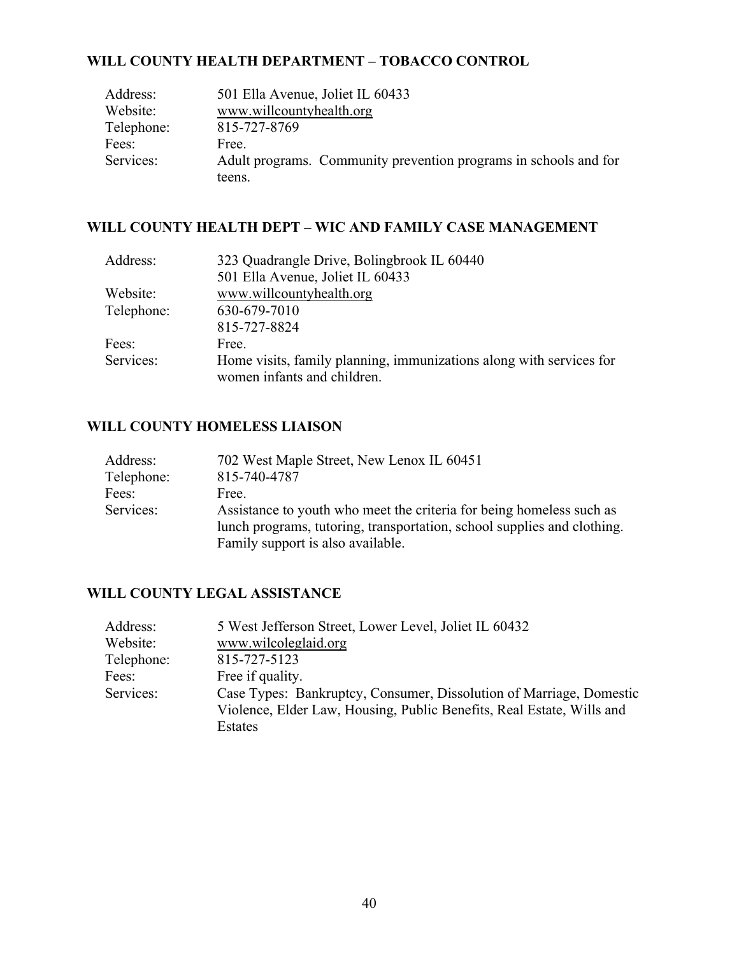#### **WILL COUNTY HEALTH DEPARTMENT – TOBACCO CONTROL**

| Address:   | 501 Ella Avenue, Joliet IL 60433                                 |
|------------|------------------------------------------------------------------|
| Website:   | www.willcountyhealth.org                                         |
| Telephone: | 815-727-8769                                                     |
| Fees:      | Free.                                                            |
| Services:  | Adult programs. Community prevention programs in schools and for |
|            | teens.                                                           |

#### **WILL COUNTY HEALTH DEPT – WIC AND FAMILY CASE MANAGEMENT**

| Address:   | 323 Quadrangle Drive, Bolingbrook IL 60440                          |
|------------|---------------------------------------------------------------------|
|            | 501 Ella Avenue, Joliet IL 60433                                    |
| Website:   | www.willcountyhealth.org                                            |
| Telephone: | 630-679-7010                                                        |
|            | 815-727-8824                                                        |
| Fees:      | Free.                                                               |
| Services:  | Home visits, family planning, immunizations along with services for |
|            | women infants and children.                                         |

#### **WILL COUNTY HOMELESS LIAISON**

| Address:   | 702 West Maple Street, New Lenox IL 60451                               |
|------------|-------------------------------------------------------------------------|
| Telephone: | 815-740-4787                                                            |
| Fees:      | Free.                                                                   |
| Services:  | Assistance to youth who meet the criteria for being homeless such as    |
|            | lunch programs, tutoring, transportation, school supplies and clothing. |
|            | Family support is also available.                                       |

### **WILL COUNTY LEGAL ASSISTANCE**

| Address:   | 5 West Jefferson Street, Lower Level, Joliet IL 60432                 |
|------------|-----------------------------------------------------------------------|
| Website:   | www.wilcoleglaid.org                                                  |
| Telephone: | 815-727-5123                                                          |
| Fees:      | Free if quality.                                                      |
| Services:  | Case Types: Bankruptcy, Consumer, Dissolution of Marriage, Domestic   |
|            | Violence, Elder Law, Housing, Public Benefits, Real Estate, Wills and |
|            | Estates                                                               |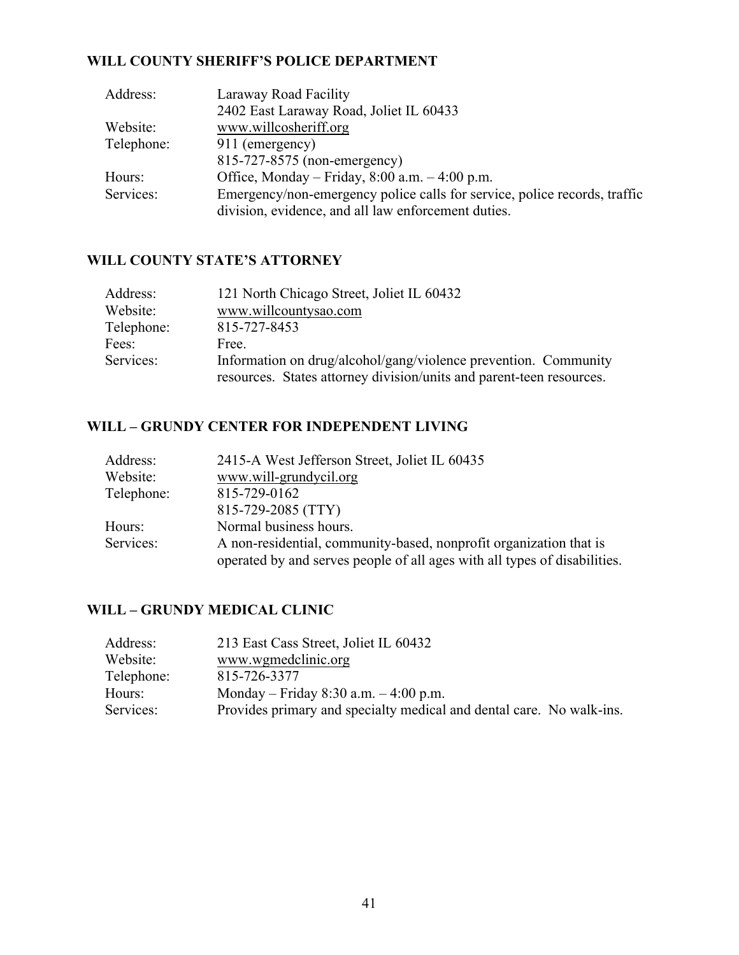#### **WILL COUNTY SHERIFF'S POLICE DEPARTMENT**

| Address:   | Laraway Road Facility                                                     |
|------------|---------------------------------------------------------------------------|
|            | 2402 East Laraway Road, Joliet IL 60433                                   |
| Website:   | www.willcosheriff.org                                                     |
| Telephone: | 911 (emergency)                                                           |
|            | 815-727-8575 (non-emergency)                                              |
| Hours:     | Office, Monday – Friday, $8:00$ a.m. – $4:00$ p.m.                        |
| Services:  | Emergency/non-emergency police calls for service, police records, traffic |
|            | division, evidence, and all law enforcement duties.                       |

#### **WILL COUNTY STATE'S ATTORNEY**

| Address:   | 121 North Chicago Street, Joliet IL 60432                            |
|------------|----------------------------------------------------------------------|
| Website:   | www.willcountysao.com                                                |
| Telephone: | 815-727-8453                                                         |
| Fees:      | Free.                                                                |
| Services:  | Information on drug/alcohol/gang/violence prevention. Community      |
|            | resources. States attorney division/units and parent-teen resources. |

#### **WILL – GRUNDY CENTER FOR INDEPENDENT LIVING**

| Address:   | 2415-A West Jefferson Street, Joliet IL 60435                             |
|------------|---------------------------------------------------------------------------|
| Website:   | www.will-grundycil.org                                                    |
| Telephone: | 815-729-0162                                                              |
|            | 815-729-2085 (TTY)                                                        |
| Hours:     | Normal business hours.                                                    |
| Services:  | A non-residential, community-based, nonprofit organization that is        |
|            | operated by and serves people of all ages with all types of disabilities. |

#### **WILL – GRUNDY MEDICAL CLINIC**

| Address:   | 213 East Cass Street, Joliet IL 60432                                |
|------------|----------------------------------------------------------------------|
| Website:   | www.wgmedclinic.org                                                  |
| Telephone: | 815-726-3377                                                         |
| Hours:     | Monday – Friday 8:30 a.m. – 4:00 p.m.                                |
| Services:  | Provides primary and specialty medical and dental care. No walk-ins. |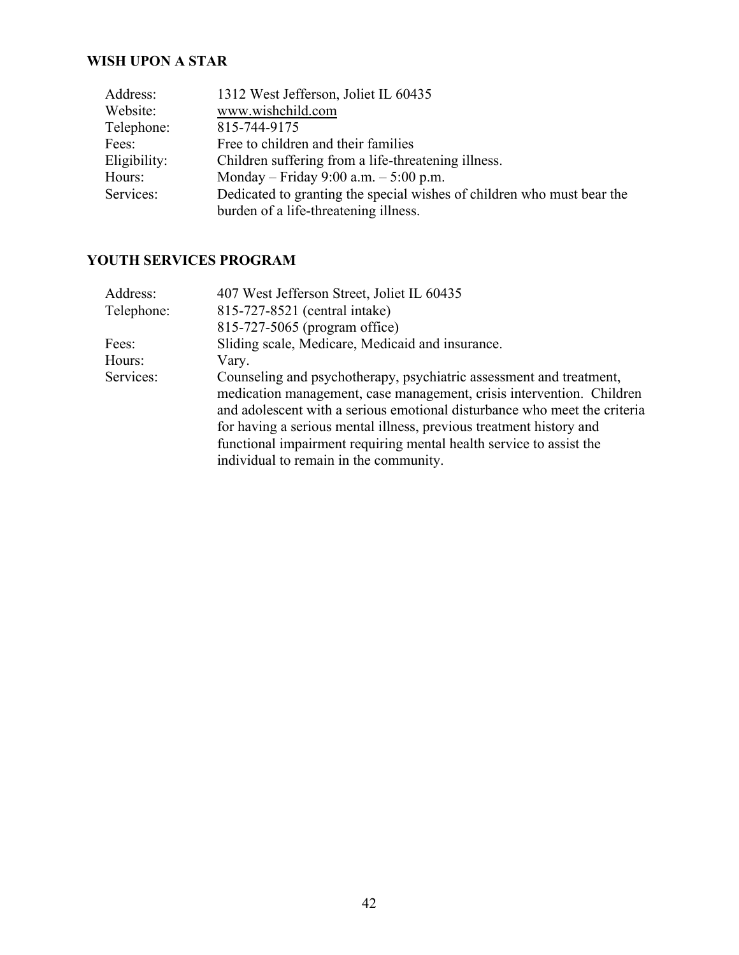### **WISH UPON A STAR**

| Address:     | 1312 West Jefferson, Joliet IL 60435                                   |
|--------------|------------------------------------------------------------------------|
| Website:     | www.wishchild.com                                                      |
| Telephone:   | 815-744-9175                                                           |
| Fees:        | Free to children and their families                                    |
| Eligibility: | Children suffering from a life-threatening illness.                    |
| Hours:       | Monday – Friday 9:00 a.m. – $5:00$ p.m.                                |
| Services:    | Dedicated to granting the special wishes of children who must bear the |
|              | burden of a life-threatening illness.                                  |

### **YOUTH SERVICES PROGRAM**

| Address:   | 407 West Jefferson Street, Joliet IL 60435                                                                                                                                                                                                                                                                                                                                                                        |
|------------|-------------------------------------------------------------------------------------------------------------------------------------------------------------------------------------------------------------------------------------------------------------------------------------------------------------------------------------------------------------------------------------------------------------------|
| Telephone: | 815-727-8521 (central intake)                                                                                                                                                                                                                                                                                                                                                                                     |
|            | 815-727-5065 (program office)                                                                                                                                                                                                                                                                                                                                                                                     |
| Fees:      | Sliding scale, Medicare, Medicaid and insurance.                                                                                                                                                                                                                                                                                                                                                                  |
| Hours:     | Vary.                                                                                                                                                                                                                                                                                                                                                                                                             |
| Services:  | Counseling and psychotherapy, psychiatric assessment and treatment,<br>medication management, case management, crisis intervention. Children<br>and adolescent with a serious emotional disturbance who meet the criteria<br>for having a serious mental illness, previous treatment history and<br>functional impairment requiring mental health service to assist the<br>individual to remain in the community. |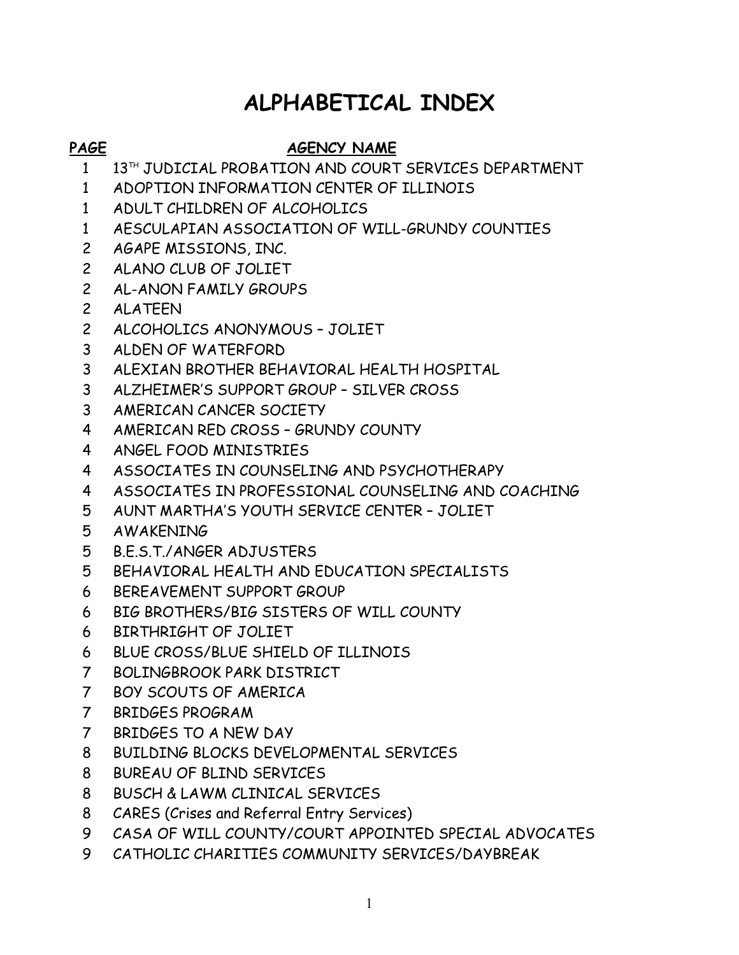- 1 13<sup>TH</sup> JUDICIAL PROBATION AND COURT SERVICES DEPARTMENT
- ADOPTION INFORMATION CENTER OF ILLINOIS
- ADULT CHILDREN OF ALCOHOLICS
- AESCULAPIAN ASSOCIATION OF WILL-GRUNDY COUNTIES
- AGAPE MISSIONS, INC.
- ALANO CLUB OF JOLIET
- AL-ANON FAMILY GROUPS
- ALATEEN
- ALCOHOLICS ANONYMOUS JOLIET
- 3 ALDEN OF WATERFORD
- ALEXIAN BROTHER BEHAVIORAL HEALTH HOSPITAL
- ALZHEIMER'S SUPPORT GROUP SILVER CROSS
- AMERICAN CANCER SOCIETY
- AMERICAN RED CROSS GRUNDY COUNTY
- ANGEL FOOD MINISTRIES
- ASSOCIATES IN COUNSELING AND PSYCHOTHERAPY
- ASSOCIATES IN PROFESSIONAL COUNSELING AND COACHING
- AUNT MARTHA'S YOUTH SERVICE CENTER JOLIET
- AWAKENING
- B.E.S.T./ANGER ADJUSTERS
- BEHAVIORAL HEALTH AND EDUCATION SPECIALISTS
- BEREAVEMENT SUPPORT GROUP
- BIG BROTHERS/BIG SISTERS OF WILL COUNTY
- BIRTHRIGHT OF JOLIET
- BLUE CROSS/BLUE SHIELD OF ILLINOIS
- BOLINGBROOK PARK DISTRICT
- BOY SCOUTS OF AMERICA
- BRIDGES PROGRAM
- BRIDGES TO A NEW DAY
- BUILDING BLOCKS DEVELOPMENTAL SERVICES
- BUREAU OF BLIND SERVICES
- BUSCH & LAWM CLINICAL SERVICES
- CARES (Crises and Referral Entry Services)
- CASA OF WILL COUNTY/COURT APPOINTED SPECIAL ADVOCATES
- CATHOLIC CHARITIES COMMUNITY SERVICES/DAYBREAK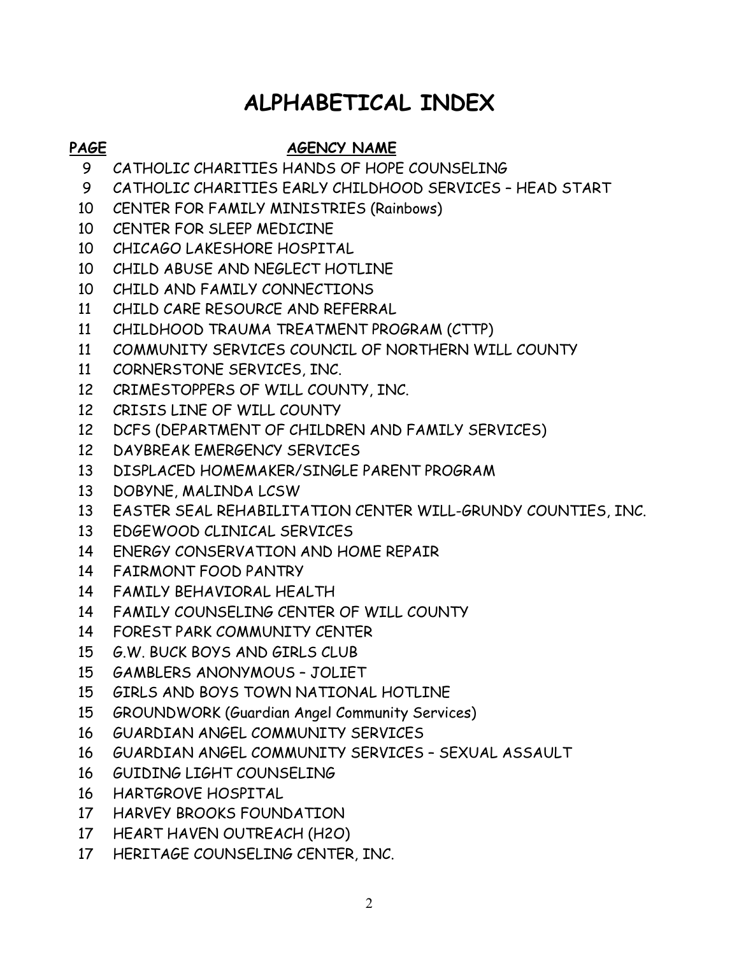- CATHOLIC CHARITIES HANDS OF HOPE COUNSELING
- CATHOLIC CHARITIES EARLY CHILDHOOD SERVICES HEAD START
- CENTER FOR FAMILY MINISTRIES (Rainbows)
- CENTER FOR SLEEP MEDICINE
- CHICAGO LAKESHORE HOSPITAL
- CHILD ABUSE AND NEGLECT HOTLINE
- CHILD AND FAMILY CONNECTIONS
- CHILD CARE RESOURCE AND REFERRAL
- CHILDHOOD TRAUMA TREATMENT PROGRAM (CTTP)
- COMMUNITY SERVICES COUNCIL OF NORTHERN WILL COUNTY
- 11 CORNERSTONE SERVICES, INC.
- CRIMESTOPPERS OF WILL COUNTY, INC.
- CRISIS LINE OF WILL COUNTY
- DCFS (DEPARTMENT OF CHILDREN AND FAMILY SERVICES)
- DAYBREAK EMERGENCY SERVICES
- DISPLACED HOMEMAKER/SINGLE PARENT PROGRAM
- DOBYNE, MALINDA LCSW
- EASTER SEAL REHABILITATION CENTER WILL-GRUNDY COUNTIES, INC.
- EDGEWOOD CLINICAL SERVICES
- ENERGY CONSERVATION AND HOME REPAIR
- FAIRMONT FOOD PANTRY
- FAMILY BEHAVIORAL HEALTH
- FAMILY COUNSELING CENTER OF WILL COUNTY
- FOREST PARK COMMUNITY CENTER
- G.W. BUCK BOYS AND GIRLS CLUB
- GAMBLERS ANONYMOUS JOLIET
- GIRLS AND BOYS TOWN NATIONAL HOTLINE
- GROUNDWORK (Guardian Angel Community Services)
- GUARDIAN ANGEL COMMUNITY SERVICES
- GUARDIAN ANGEL COMMUNITY SERVICES SEXUAL ASSAULT
- GUIDING LIGHT COUNSELING
- HARTGROVE HOSPITAL
- HARVEY BROOKS FOUNDATION
- HEART HAVEN OUTREACH (H2O)
- HERITAGE COUNSELING CENTER, INC.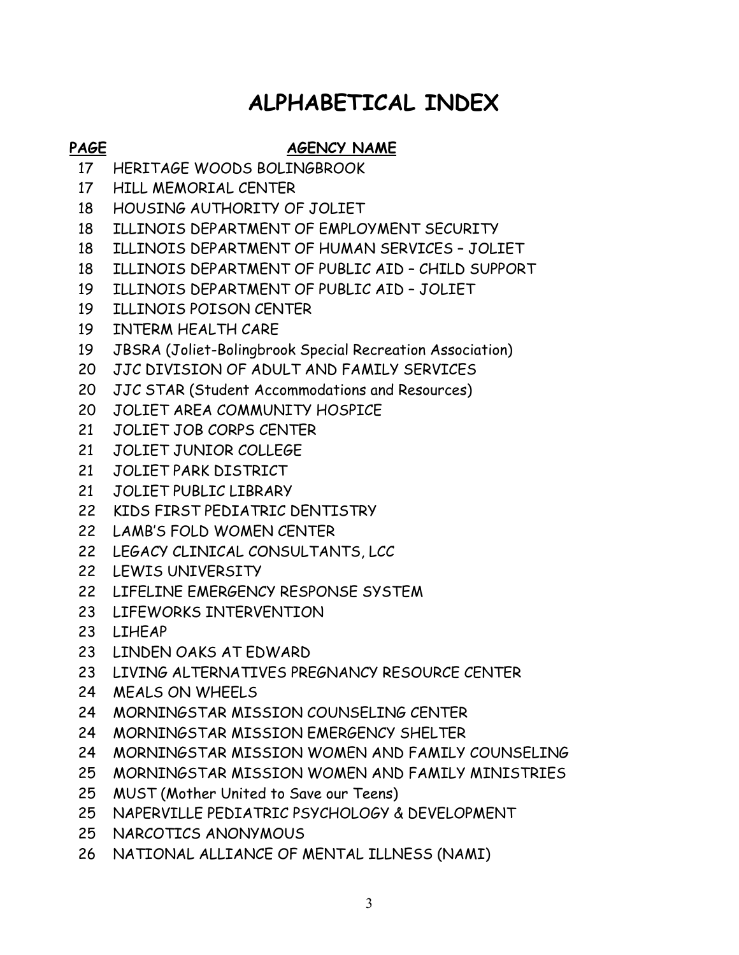- HERITAGE WOODS BOLINGBROOK
- HILL MEMORIAL CENTER
- HOUSING AUTHORITY OF JOLIET
- ILLINOIS DEPARTMENT OF EMPLOYMENT SECURITY
- ILLINOIS DEPARTMENT OF HUMAN SERVICES JOLIET
- ILLINOIS DEPARTMENT OF PUBLIC AID CHILD SUPPORT
- ILLINOIS DEPARTMENT OF PUBLIC AID JOLIET
- ILLINOIS POISON CENTER
- INTERM HEALTH CARE
- JBSRA (Joliet-Bolingbrook Special Recreation Association)
- JJC DIVISION OF ADULT AND FAMILY SERVICES
- JJC STAR (Student Accommodations and Resources)
- JOLIET AREA COMMUNITY HOSPICE
- JOLIET JOB CORPS CENTER
- JOLIET JUNIOR COLLEGE
- JOLIET PARK DISTRICT
- JOLIET PUBLIC LIBRARY
- KIDS FIRST PEDIATRIC DENTISTRY
- LAMB'S FOLD WOMEN CENTER
- LEGACY CLINICAL CONSULTANTS, LCC
- LEWIS UNIVERSITY
- LIFELINE EMERGENCY RESPONSE SYSTEM
- LIFEWORKS INTERVENTION
- LIHEAP
- LINDEN OAKS AT EDWARD
- LIVING ALTERNATIVES PREGNANCY RESOURCE CENTER
- MEALS ON WHEELS
- MORNINGSTAR MISSION COUNSELING CENTER
- MORNINGSTAR MISSION EMERGENCY SHELTER
- MORNINGSTAR MISSION WOMEN AND FAMILY COUNSELING
- MORNINGSTAR MISSION WOMEN AND FAMILY MINISTRIES
- MUST (Mother United to Save our Teens)
- NAPERVILLE PEDIATRIC PSYCHOLOGY & DEVELOPMENT
- NARCOTICS ANONYMOUS
- NATIONAL ALLIANCE OF MENTAL ILLNESS (NAMI)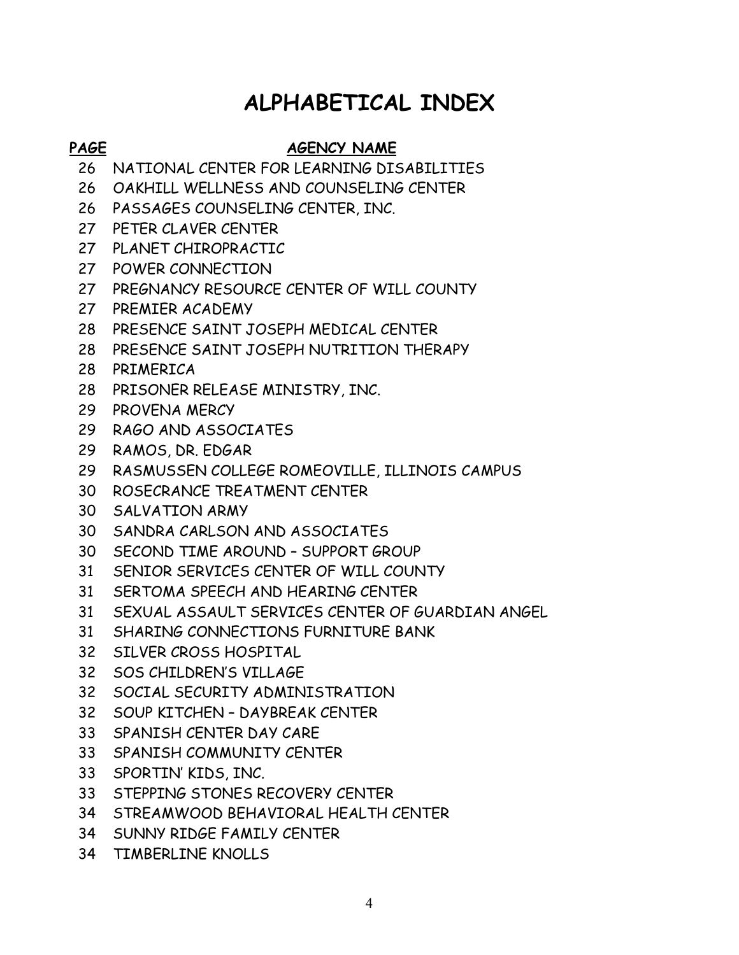- NATIONAL CENTER FOR LEARNING DISABILITIES
- OAKHILL WELLNESS AND COUNSELING CENTER
- PASSAGES COUNSELING CENTER, INC.
- PETER CLAVER CENTER
- PLANET CHIROPRACTIC
- POWER CONNECTION
- PREGNANCY RESOURCE CENTER OF WILL COUNTY
- PREMIER ACADEMY
- PRESENCE SAINT JOSEPH MEDICAL CENTER
- PRESENCE SAINT JOSEPH NUTRITION THERAPY
- PRIMERICA
- PRISONER RELEASE MINISTRY, INC.
- PROVENA MERCY
- RAGO AND ASSOCIATES
- RAMOS, DR. EDGAR
- RASMUSSEN COLLEGE ROMEOVILLE, ILLINOIS CAMPUS
- ROSECRANCE TREATMENT CENTER
- SALVATION ARMY
- SANDRA CARLSON AND ASSOCIATES
- SECOND TIME AROUND SUPPORT GROUP
- SENIOR SERVICES CENTER OF WILL COUNTY
- SERTOMA SPEECH AND HEARING CENTER
- SEXUAL ASSAULT SERVICES CENTER OF GUARDIAN ANGEL
- SHARING CONNECTIONS FURNITURE BANK
- SILVER CROSS HOSPITAL
- SOS CHILDREN'S VILLAGE
- SOCIAL SECURITY ADMINISTRATION
- SOUP KITCHEN DAYBREAK CENTER
- SPANISH CENTER DAY CARE
- SPANISH COMMUNITY CENTER
- SPORTIN' KIDS, INC.
- STEPPING STONES RECOVERY CENTER
- STREAMWOOD BEHAVIORAL HEALTH CENTER
- SUNNY RIDGE FAMILY CENTER
- TIMBERLINE KNOLLS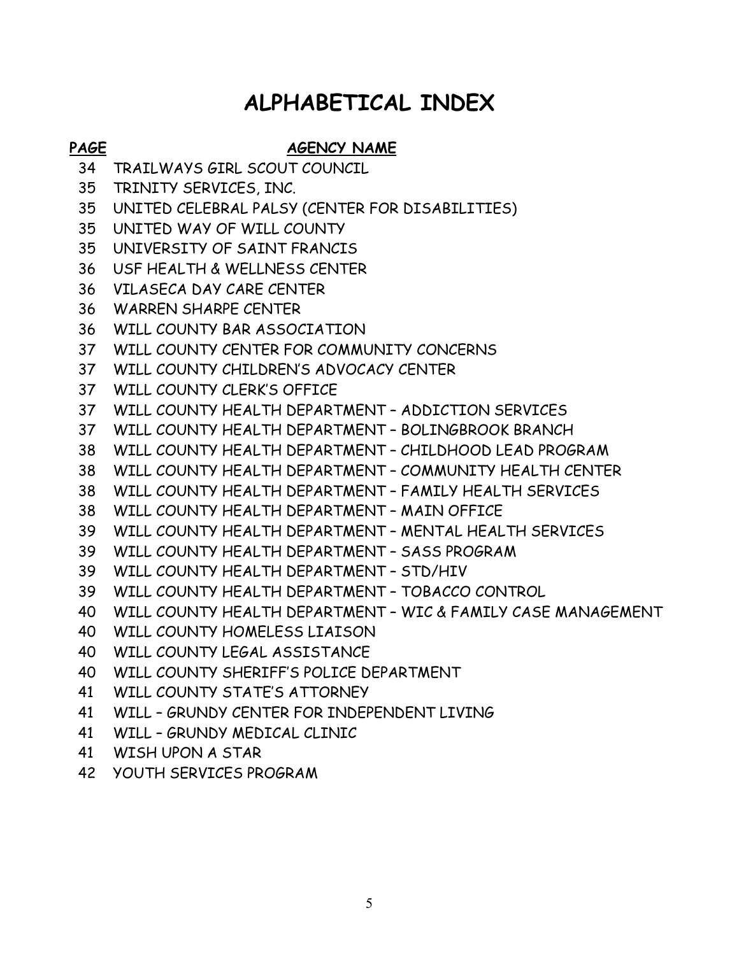- TRAILWAYS GIRL SCOUT COUNCIL
- TRINITY SERVICES, INC.
- UNITED CELEBRAL PALSY (CENTER FOR DISABILITIES)
- UNITED WAY OF WILL COUNTY
- UNIVERSITY OF SAINT FRANCIS
- USF HEALTH & WELLNESS CENTER
- VILASECA DAY CARE CENTER
- WARREN SHARPE CENTER
- WILL COUNTY BAR ASSOCIATION
- WILL COUNTY CENTER FOR COMMUNITY CONCERNS
- WILL COUNTY CHILDREN'S ADVOCACY CENTER
- WILL COUNTY CLERK'S OFFICE
- WILL COUNTY HEALTH DEPARTMENT ADDICTION SERVICES
- WILL COUNTY HEALTH DEPARTMENT BOLINGBROOK BRANCH
- WILL COUNTY HEALTH DEPARTMENT CHILDHOOD LEAD PROGRAM
- WILL COUNTY HEALTH DEPARTMENT COMMUNITY HEALTH CENTER
- WILL COUNTY HEALTH DEPARTMENT FAMILY HEALTH SERVICES
- WILL COUNTY HEALTH DEPARTMENT MAIN OFFICE
- WILL COUNTY HEALTH DEPARTMENT MENTAL HEALTH SERVICES
- WILL COUNTY HEALTH DEPARTMENT SASS PROGRAM
- WILL COUNTY HEALTH DEPARTMENT STD/HIV
- WILL COUNTY HEALTH DEPARTMENT TOBACCO CONTROL
- WILL COUNTY HEALTH DEPARTMENT WIC & FAMILY CASE MANAGEMENT
- 40 WILL COUNTY HOMELESS LIAISON
- WILL COUNTY LEGAL ASSISTANCE
- WILL COUNTY SHERIFF'S POLICE DEPARTMENT
- WILL COUNTY STATE'S ATTORNEY
- WILL GRUNDY CENTER FOR INDEPENDENT LIVING
- WILL GRUNDY MEDICAL CLINIC
- WISH UPON A STAR
- YOUTH SERVICES PROGRAM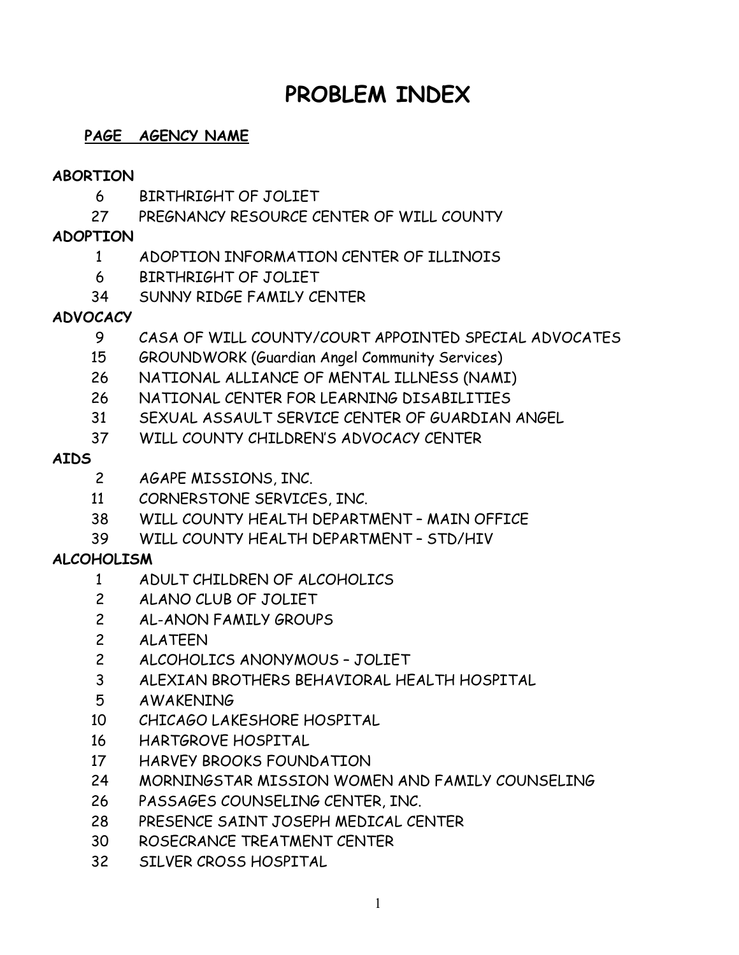### **PAGE AGENCY NAME**

### **ABORTION**

- BIRTHRIGHT OF JOLIET
- PREGNANCY RESOURCE CENTER OF WILL COUNTY

### **ADOPTION**

- ADOPTION INFORMATION CENTER OF ILLINOIS
- BIRTHRIGHT OF JOLIET
- SUNNY RIDGE FAMILY CENTER

### **ADVOCACY**

- CASA OF WILL COUNTY/COURT APPOINTED SPECIAL ADVOCATES
- GROUNDWORK (Guardian Angel Community Services)
- NATIONAL ALLIANCE OF MENTAL ILLNESS (NAMI)
- NATIONAL CENTER FOR LEARNING DISABILITIES
- SEXUAL ASSAULT SERVICE CENTER OF GUARDIAN ANGEL
- WILL COUNTY CHILDREN'S ADVOCACY CENTER

### **AIDS**

- AGAPE MISSIONS, INC.
- CORNERSTONE SERVICES, INC.
- WILL COUNTY HEALTH DEPARTMENT MAIN OFFICE
- WILL COUNTY HEALTH DEPARTMENT STD/HIV

## **ALCOHOLISM**

- ADULT CHILDREN OF ALCOHOLICS
- ALANO CLUB OF JOLIET
- AL-ANON FAMILY GROUPS
- ALATEEN
- ALCOHOLICS ANONYMOUS JOLIET
- ALEXIAN BROTHERS BEHAVIORAL HEALTH HOSPITAL
- AWAKENING
- CHICAGO LAKESHORE HOSPITAL
- HARTGROVE HOSPITAL
- HARVEY BROOKS FOUNDATION
- MORNINGSTAR MISSION WOMEN AND FAMILY COUNSELING
- PASSAGES COUNSELING CENTER, INC.
- PRESENCE SAINT JOSEPH MEDICAL CENTER
- ROSECRANCE TREATMENT CENTER
- SILVER CROSS HOSPITAL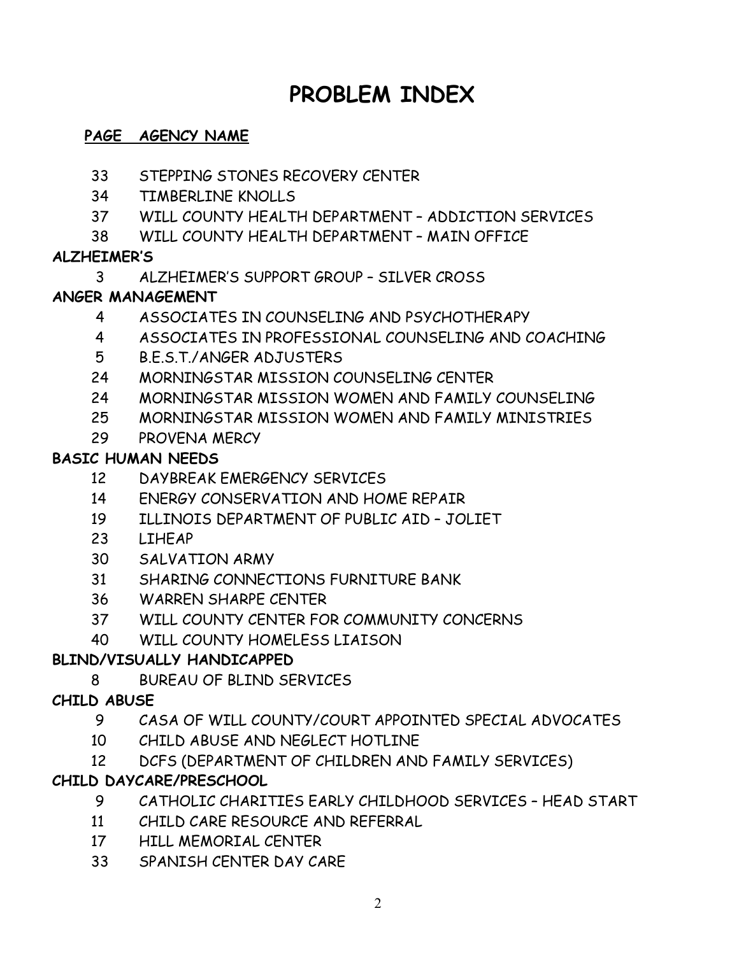### **PAGE AGENCY NAME**

- STEPPING STONES RECOVERY CENTER
- TIMBERLINE KNOLLS
- WILL COUNTY HEALTH DEPARTMENT ADDICTION SERVICES
- WILL COUNTY HEALTH DEPARTMENT MAIN OFFICE

### **ALZHEIMER'S**

ALZHEIMER'S SUPPORT GROUP – SILVER CROSS

### **ANGER MANAGEMENT**

- ASSOCIATES IN COUNSELING AND PSYCHOTHERAPY
- ASSOCIATES IN PROFESSIONAL COUNSELING AND COACHING
- B.E.S.T./ANGER ADJUSTERS
- MORNINGSTAR MISSION COUNSELING CENTER
- MORNINGSTAR MISSION WOMEN AND FAMILY COUNSELING
- MORNINGSTAR MISSION WOMEN AND FAMILY MINISTRIES
- PROVENA MERCY

### **BASIC HUMAN NEEDS**

- DAYBREAK EMERGENCY SERVICES
- ENERGY CONSERVATION AND HOME REPAIR
- ILLINOIS DEPARTMENT OF PUBLIC AID JOLIET
- LIHEAP
- SALVATION ARMY
- SHARING CONNECTIONS FURNITURE BANK
- WARREN SHARPE CENTER
- WILL COUNTY CENTER FOR COMMUNITY CONCERNS
- WILL COUNTY HOMELESS LIAISON

## **BLIND/VISUALLY HANDICAPPED**

BUREAU OF BLIND SERVICES

## **CHILD ABUSE**

- CASA OF WILL COUNTY/COURT APPOINTED SPECIAL ADVOCATES
- CHILD ABUSE AND NEGLECT HOTLINE
- DCFS (DEPARTMENT OF CHILDREN AND FAMILY SERVICES)

## **CHILD DAYCARE/PRESCHOOL**

- CATHOLIC CHARITIES EARLY CHILDHOOD SERVICES HEAD START
- CHILD CARE RESOURCE AND REFERRAL
- HILL MEMORIAL CENTER
- SPANISH CENTER DAY CARE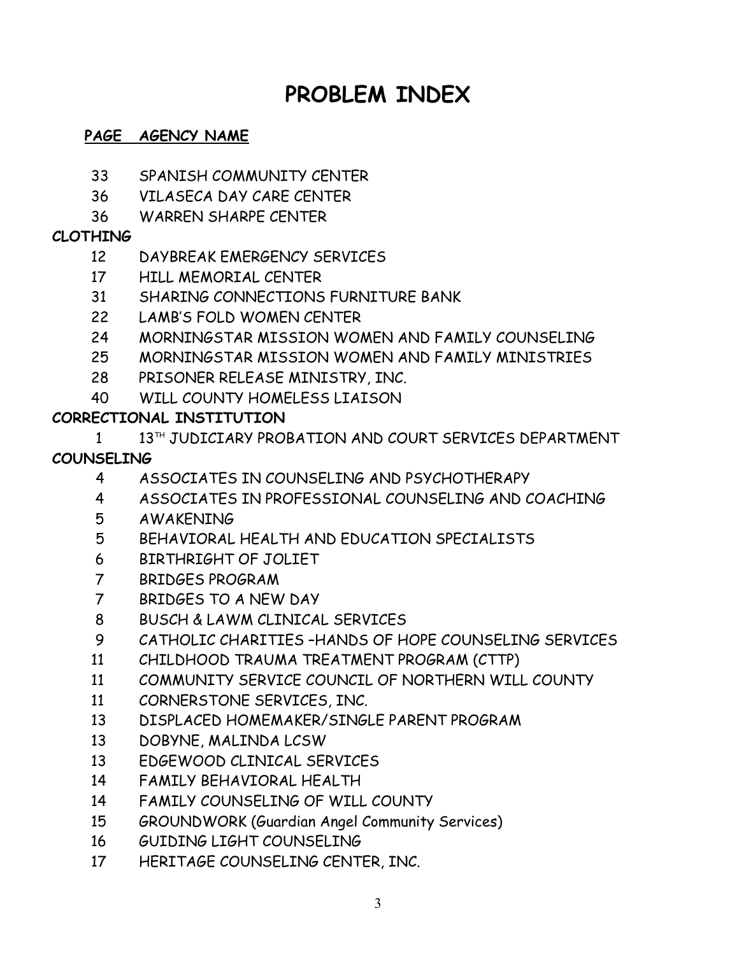### **PAGE AGENCY NAME**

- SPANISH COMMUNITY CENTER
- VILASECA DAY CARE CENTER
- WARREN SHARPE CENTER

### **CLOTHING**

- DAYBREAK EMERGENCY SERVICES
- HILL MEMORIAL CENTER
- SHARING CONNECTIONS FURNITURE BANK
- LAMB'S FOLD WOMEN CENTER
- MORNINGSTAR MISSION WOMEN AND FAMILY COUNSELING
- MORNINGSTAR MISSION WOMEN AND FAMILY MINISTRIES
- PRISONER RELEASE MINISTRY, INC.
- WILL COUNTY HOMELESS LIAISON

### **CORRECTIONAL INSTITUTION**

1 13<sup>TH</sup> JUDICIARY PROBATION AND COURT SERVICES DEPARTMENT

## **COUNSELING**

- ASSOCIATES IN COUNSELING AND PSYCHOTHERAPY
- ASSOCIATES IN PROFESSIONAL COUNSELING AND COACHING
- AWAKENING
- BEHAVIORAL HEALTH AND EDUCATION SPECIALISTS
- BIRTHRIGHT OF JOLIET
- BRIDGES PROGRAM
- BRIDGES TO A NEW DAY
- BUSCH & LAWM CLINICAL SERVICES
- CATHOLIC CHARITIES –HANDS OF HOPE COUNSELING SERVICES
- CHILDHOOD TRAUMA TREATMENT PROGRAM (CTTP)
- COMMUNITY SERVICE COUNCIL OF NORTHERN WILL COUNTY
- CORNERSTONE SERVICES, INC.
- DISPLACED HOMEMAKER/SINGLE PARENT PROGRAM
- DOBYNE, MALINDA LCSW
- EDGEWOOD CLINICAL SERVICES
- FAMILY BEHAVIORAL HEALTH
- FAMILY COUNSELING OF WILL COUNTY
- GROUNDWORK (Guardian Angel Community Services)
- GUIDING LIGHT COUNSELING
- HERITAGE COUNSELING CENTER, INC.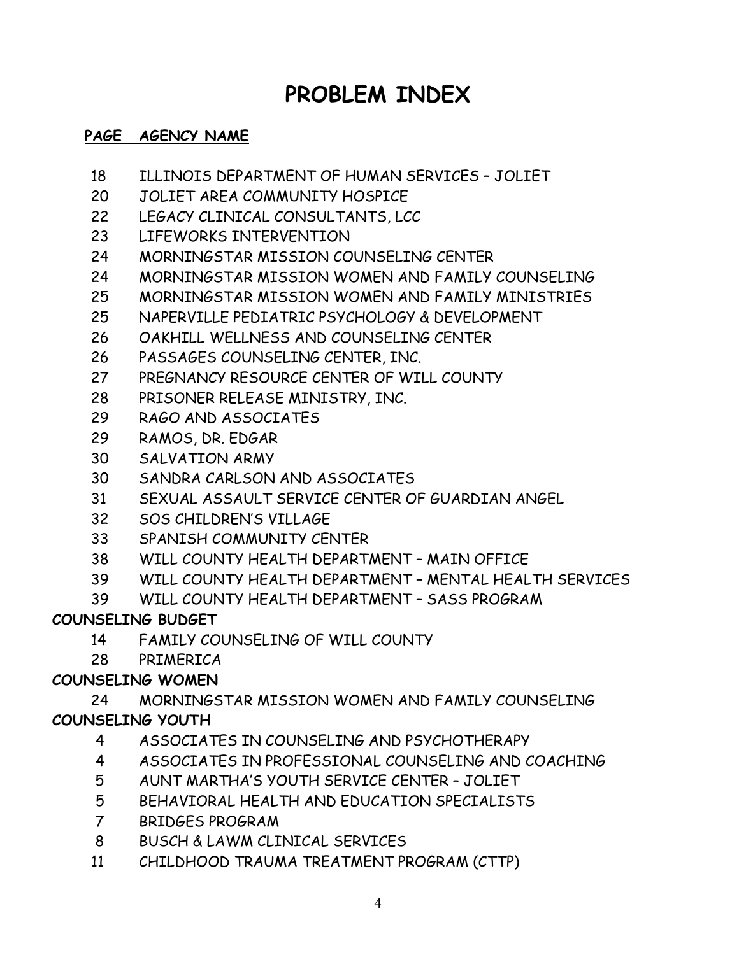### **PAGE AGENCY NAME**

- ILLINOIS DEPARTMENT OF HUMAN SERVICES JOLIET
- JOLIET AREA COMMUNITY HOSPICE
- LEGACY CLINICAL CONSULTANTS, LCC
- LIFEWORKS INTERVENTION
- MORNINGSTAR MISSION COUNSELING CENTER
- MORNINGSTAR MISSION WOMEN AND FAMILY COUNSELING
- MORNINGSTAR MISSION WOMEN AND FAMILY MINISTRIES
- NAPERVILLE PEDIATRIC PSYCHOLOGY & DEVELOPMENT
- OAKHILL WELLNESS AND COUNSELING CENTER
- PASSAGES COUNSELING CENTER, INC.
- PREGNANCY RESOURCE CENTER OF WILL COUNTY
- PRISONER RELEASE MINISTRY, INC.
- RAGO AND ASSOCIATES
- RAMOS, DR. EDGAR
- SALVATION ARMY
- SANDRA CARLSON AND ASSOCIATES
- SEXUAL ASSAULT SERVICE CENTER OF GUARDIAN ANGEL
- SOS CHILDREN'S VILLAGE
- SPANISH COMMUNITY CENTER
- WILL COUNTY HEALTH DEPARTMENT MAIN OFFICE
- WILL COUNTY HEALTH DEPARTMENT MENTAL HEALTH SERVICES
- WILL COUNTY HEALTH DEPARTMENT SASS PROGRAM

### **COUNSELING BUDGET**

- FAMILY COUNSELING OF WILL COUNTY
- PRIMERICA

## **COUNSELING WOMEN**

 MORNINGSTAR MISSION WOMEN AND FAMILY COUNSELING **COUNSELING YOUTH**

- ASSOCIATES IN COUNSELING AND PSYCHOTHERAPY
- ASSOCIATES IN PROFESSIONAL COUNSELING AND COACHING
- AUNT MARTHA'S YOUTH SERVICE CENTER JOLIET
- BEHAVIORAL HEALTH AND EDUCATION SPECIALISTS
- BRIDGES PROGRAM
- BUSCH & LAWM CLINICAL SERVICES
- CHILDHOOD TRAUMA TREATMENT PROGRAM (CTTP)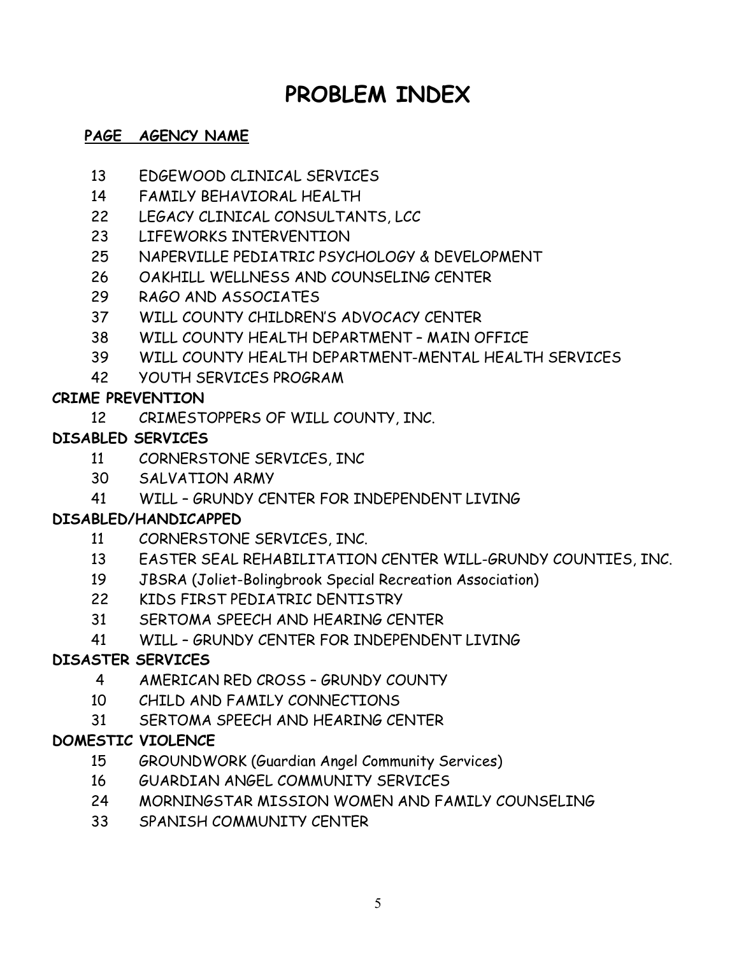### **PAGE AGENCY NAME**

- EDGEWOOD CLINICAL SERVICES
- FAMILY BEHAVIORAL HEALTH
- LEGACY CLINICAL CONSULTANTS, LCC
- LIFEWORKS INTERVENTION
- NAPERVILLE PEDIATRIC PSYCHOLOGY & DEVELOPMENT
- OAKHILL WELLNESS AND COUNSELING CENTER
- RAGO AND ASSOCIATES
- WILL COUNTY CHILDREN'S ADVOCACY CENTER
- WILL COUNTY HEALTH DEPARTMENT MAIN OFFICE
- WILL COUNTY HEALTH DEPARTMENT-MENTAL HEALTH SERVICES
- YOUTH SERVICES PROGRAM

### **CRIME PREVENTION**

CRIMESTOPPERS OF WILL COUNTY, INC.

### **DISABLED SERVICES**

- CORNERSTONE SERVICES, INC
- SALVATION ARMY
- WILL GRUNDY CENTER FOR INDEPENDENT LIVING

### **DISABLED/HANDICAPPED**

- CORNERSTONE SERVICES, INC.
- EASTER SEAL REHABILITATION CENTER WILL-GRUNDY COUNTIES, INC.
- JBSRA (Joliet-Bolingbrook Special Recreation Association)
- KIDS FIRST PEDIATRIC DENTISTRY
- SERTOMA SPEECH AND HEARING CENTER
- WILL GRUNDY CENTER FOR INDEPENDENT LIVING

### **DISASTER SERVICES**

- AMERICAN RED CROSS GRUNDY COUNTY
- CHILD AND FAMILY CONNECTIONS
- SERTOMA SPEECH AND HEARING CENTER

### **DOMESTIC VIOLENCE**

- GROUNDWORK (Guardian Angel Community Services)
- GUARDIAN ANGEL COMMUNITY SERVICES
- MORNINGSTAR MISSION WOMEN AND FAMILY COUNSELING
- SPANISH COMMUNITY CENTER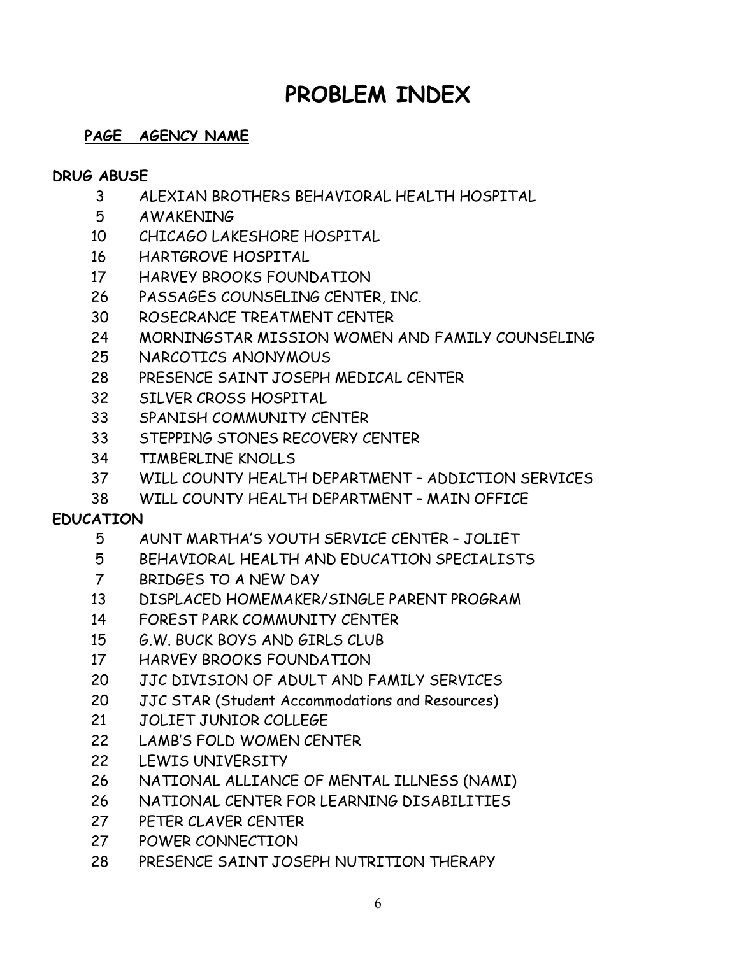### **PAGE AGENCY NAME**

### **DRUG ABUSE**

- ALEXIAN BROTHERS BEHAVIORAL HEALTH HOSPITAL
- AWAKENING
- CHICAGO LAKESHORE HOSPITAL
- HARTGROVE HOSPITAL
- HARVEY BROOKS FOUNDATION
- PASSAGES COUNSELING CENTER, INC.
- ROSECRANCE TREATMENT CENTER
- MORNINGSTAR MISSION WOMEN AND FAMILY COUNSELING
- NARCOTICS ANONYMOUS
- PRESENCE SAINT JOSEPH MEDICAL CENTER
- SILVER CROSS HOSPITAL
- SPANISH COMMUNITY CENTER
- STEPPING STONES RECOVERY CENTER
- TIMBERLINE KNOLLS
- WILL COUNTY HEALTH DEPARTMENT ADDICTION SERVICES
- WILL COUNTY HEALTH DEPARTMENT MAIN OFFICE

### **EDUCATION**

- AUNT MARTHA'S YOUTH SERVICE CENTER JOLIET
- BEHAVIORAL HEALTH AND EDUCATION SPECIALISTS
- BRIDGES TO A NEW DAY
- DISPLACED HOMEMAKER/SINGLE PARENT PROGRAM
- FOREST PARK COMMUNITY CENTER
- G.W. BUCK BOYS AND GIRLS CLUB
- HARVEY BROOKS FOUNDATION
- JJC DIVISION OF ADULT AND FAMILY SERVICES
- JJC STAR (Student Accommodations and Resources)
- JOLIET JUNIOR COLLEGE
- LAMB'S FOLD WOMEN CENTER
- LEWIS UNIVERSITY
- NATIONAL ALLIANCE OF MENTAL ILLNESS (NAMI)
- NATIONAL CENTER FOR LEARNING DISABILITIES
- PETER CLAVER CENTER
- POWER CONNECTION
- PRESENCE SAINT JOSEPH NUTRITION THERAPY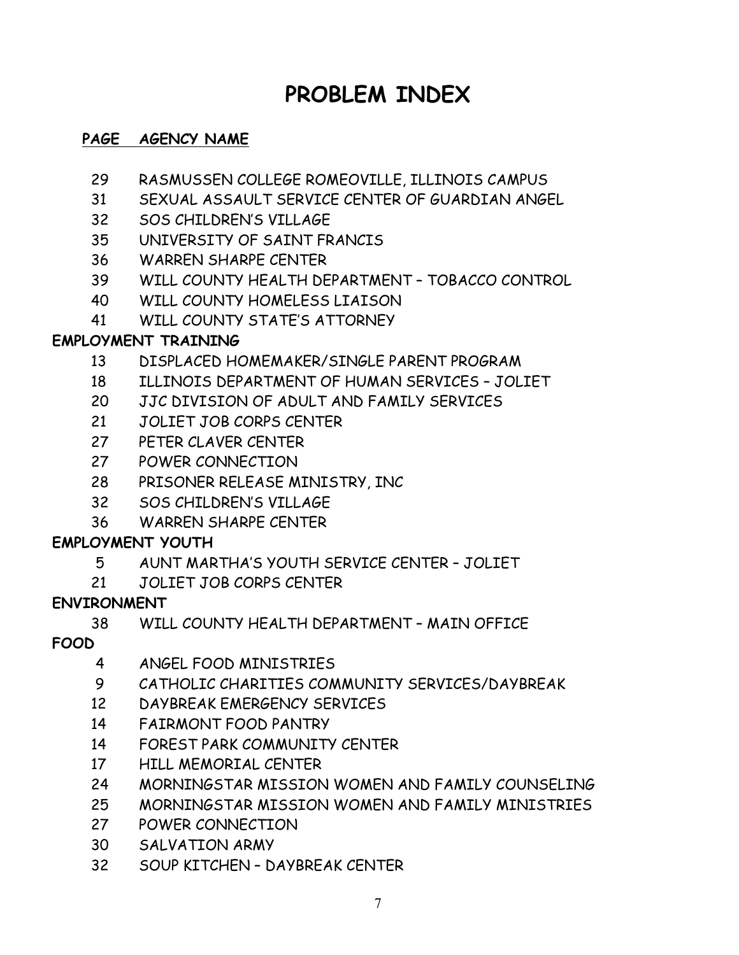### **PAGE AGENCY NAME**

- RASMUSSEN COLLEGE ROMEOVILLE, ILLINOIS CAMPUS
- SEXUAL ASSAULT SERVICE CENTER OF GUARDIAN ANGEL
- SOS CHILDREN'S VILLAGE
- UNIVERSITY OF SAINT FRANCIS
- WARREN SHARPE CENTER
- WILL COUNTY HEALTH DEPARTMENT TOBACCO CONTROL
- WILL COUNTY HOMELESS LIAISON
- WILL COUNTY STATE'S ATTORNEY

### **EMPLOYMENT TRAINING**

- DISPLACED HOMEMAKER/SINGLE PARENT PROGRAM
- ILLINOIS DEPARTMENT OF HUMAN SERVICES JOLIET
- JJC DIVISION OF ADULT AND FAMILY SERVICES
- JOLIET JOB CORPS CENTER
- PETER CLAVER CENTER
- POWER CONNECTION
- PRISONER RELEASE MINISTRY, INC
- SOS CHILDREN'S VILLAGE
- WARREN SHARPE CENTER

## **EMPLOYMENT YOUTH**

- AUNT MARTHA'S YOUTH SERVICE CENTER JOLIET
- JOLIET JOB CORPS CENTER

## **ENVIRONMENT**

WILL COUNTY HEALTH DEPARTMENT – MAIN OFFICE

## **FOOD**

- ANGEL FOOD MINISTRIES
- CATHOLIC CHARITIES COMMUNITY SERVICES/DAYBREAK
- DAYBREAK EMERGENCY SERVICES
- FAIRMONT FOOD PANTRY
- FOREST PARK COMMUNITY CENTER
- HILL MEMORIAL CENTER
- MORNINGSTAR MISSION WOMEN AND FAMILY COUNSELING
- MORNINGSTAR MISSION WOMEN AND FAMILY MINISTRIES
- POWER CONNECTION
- SALVATION ARMY
- SOUP KITCHEN DAYBREAK CENTER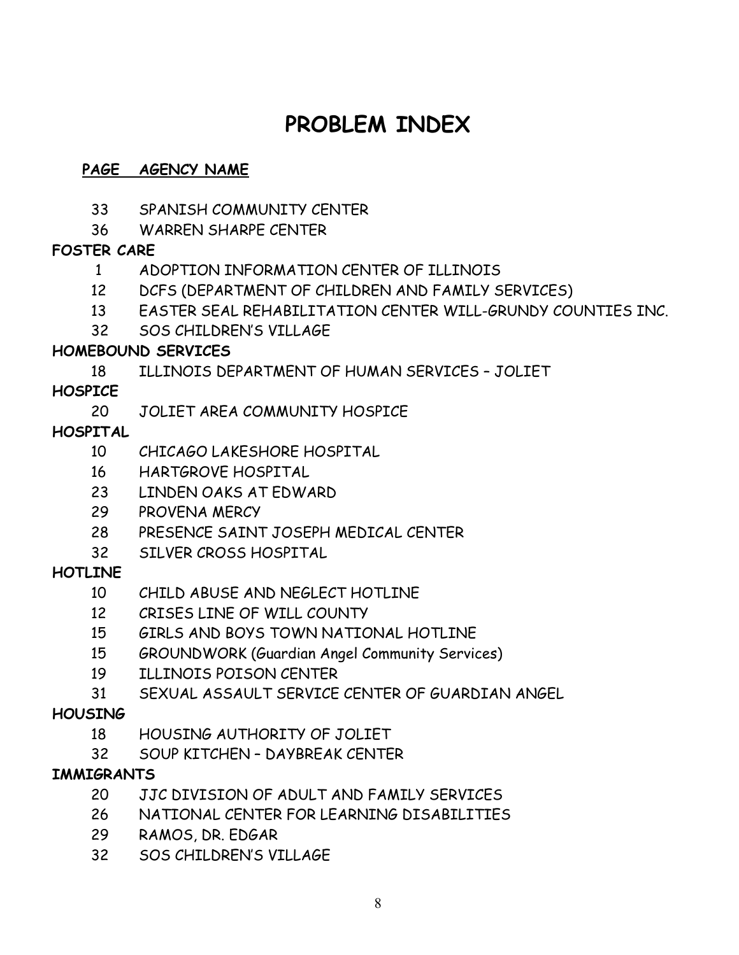### **PAGE AGENCY NAME**

- SPANISH COMMUNITY CENTER
- WARREN SHARPE CENTER

### **FOSTER CARE**

- ADOPTION INFORMATION CENTER OF ILLINOIS
- DCFS (DEPARTMENT OF CHILDREN AND FAMILY SERVICES)
- EASTER SEAL REHABILITATION CENTER WILL-GRUNDY COUNTIES INC.
- SOS CHILDREN'S VILLAGE

### **HOMEBOUND SERVICES**

ILLINOIS DEPARTMENT OF HUMAN SERVICES – JOLIET

## **HOSPICE**

JOLIET AREA COMMUNITY HOSPICE

## **HOSPITAL**

- CHICAGO LAKESHORE HOSPITAL
- HARTGROVE HOSPITAL
- LINDEN OAKS AT EDWARD
- PROVENA MERCY
- PRESENCE SAINT JOSEPH MEDICAL CENTER
- SILVER CROSS HOSPITAL

## **HOTLINE**

- CHILD ABUSE AND NEGLECT HOTLINE
- CRISES LINE OF WILL COUNTY
- GIRLS AND BOYS TOWN NATIONAL HOTLINE
- GROUNDWORK (Guardian Angel Community Services)
- ILLINOIS POISON CENTER
- SEXUAL ASSAULT SERVICE CENTER OF GUARDIAN ANGEL

## **HOUSING**

- HOUSING AUTHORITY OF JOLIET
- SOUP KITCHEN DAYBREAK CENTER

## **IMMIGRANTS**

- JJC DIVISION OF ADULT AND FAMILY SERVICES
- NATIONAL CENTER FOR LEARNING DISABILITIES
- RAMOS, DR. EDGAR
- SOS CHILDREN'S VILLAGE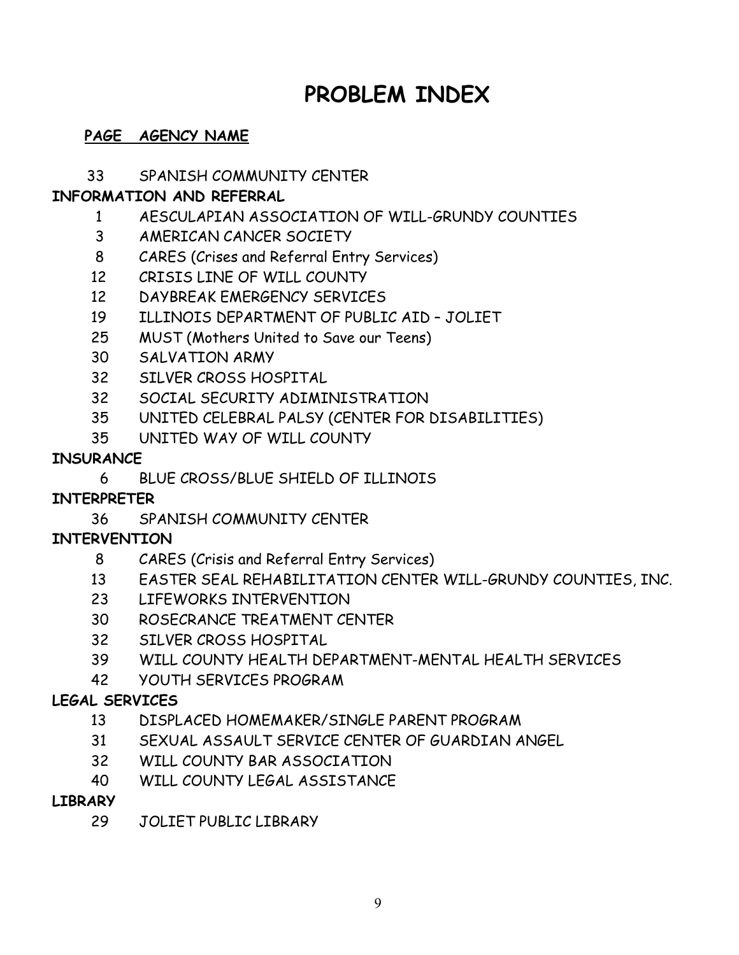### **PAGE AGENCY NAME**

SPANISH COMMUNITY CENTER

### **INFORMATION AND REFERRAL**

- AESCULAPIAN ASSOCIATION OF WILL-GRUNDY COUNTIES
- AMERICAN CANCER SOCIETY
- CARES (Crises and Referral Entry Services)
- CRISIS LINE OF WILL COUNTY
- DAYBREAK EMERGENCY SERVICES
- ILLINOIS DEPARTMENT OF PUBLIC AID JOLIET
- MUST (Mothers United to Save our Teens)
- SALVATION ARMY
- SILVER CROSS HOSPITAL
- SOCIAL SECURITY ADIMINISTRATION
- UNITED CELEBRAL PALSY (CENTER FOR DISABILITIES)
- UNITED WAY OF WILL COUNTY

### **INSURANCE**

- BLUE CROSS/BLUE SHIELD OF ILLINOIS
- **INTERPRETER**
	- SPANISH COMMUNITY CENTER

### **INTERVENTION**

- CARES (Crisis and Referral Entry Services)
- EASTER SEAL REHABILITATION CENTER WILL-GRUNDY COUNTIES, INC.
- LIFEWORKS INTERVENTION
- ROSECRANCE TREATMENT CENTER
- SILVER CROSS HOSPITAL
- WILL COUNTY HEALTH DEPARTMENT-MENTAL HEALTH SERVICES
- YOUTH SERVICES PROGRAM

### **LEGAL SERVICES**

- DISPLACED HOMEMAKER/SINGLE PARENT PROGRAM
- SEXUAL ASSAULT SERVICE CENTER OF GUARDIAN ANGEL
- WILL COUNTY BAR ASSOCIATION
- WILL COUNTY LEGAL ASSISTANCE

### **LIBRARY**

JOLIET PUBLIC LIBRARY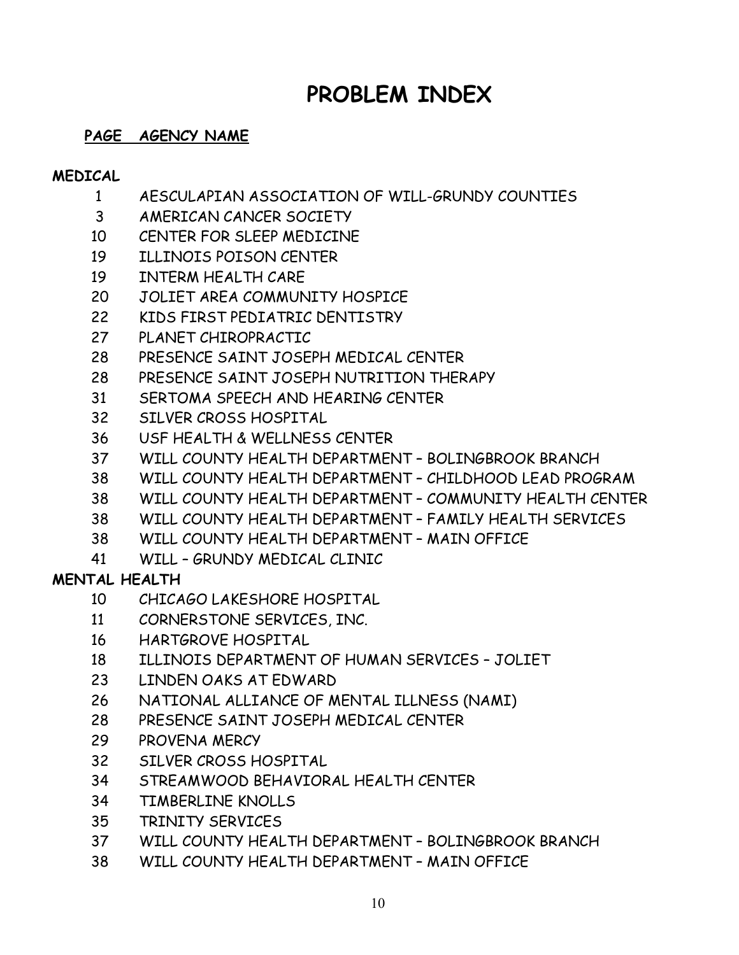### **PAGE AGENCY NAME**

### **MEDICAL**

- AESCULAPIAN ASSOCIATION OF WILL-GRUNDY COUNTIES
- AMERICAN CANCER SOCIETY
- CENTER FOR SLEEP MEDICINE
- ILLINOIS POISON CENTER
- INTERM HEALTH CARE
- JOLIET AREA COMMUNITY HOSPICE
- KIDS FIRST PEDIATRIC DENTISTRY
- PLANET CHIROPRACTIC
- PRESENCE SAINT JOSEPH MEDICAL CENTER
- PRESENCE SAINT JOSEPH NUTRITION THERAPY
- SERTOMA SPEECH AND HEARING CENTER
- SILVER CROSS HOSPITAL
- USF HEALTH & WELLNESS CENTER
- WILL COUNTY HEALTH DEPARTMENT BOLINGBROOK BRANCH
- WILL COUNTY HEALTH DEPARTMENT CHILDHOOD LEAD PROGRAM
- WILL COUNTY HEALTH DEPARTMENT COMMUNITY HEALTH CENTER
- WILL COUNTY HEALTH DEPARTMENT FAMILY HEALTH SERVICES
- WILL COUNTY HEALTH DEPARTMENT MAIN OFFICE
- WILL GRUNDY MEDICAL CLINIC

### **MENTAL HEALTH**

- CHICAGO LAKESHORE HOSPITAL
- CORNERSTONE SERVICES, INC.
- HARTGROVE HOSPITAL
- ILLINOIS DEPARTMENT OF HUMAN SERVICES JOLIET
- LINDEN OAKS AT EDWARD
- NATIONAL ALLIANCE OF MENTAL ILLNESS (NAMI)
- PRESENCE SAINT JOSEPH MEDICAL CENTER
- PROVENA MERCY
- SILVER CROSS HOSPITAL
- STREAMWOOD BEHAVIORAL HEALTH CENTER
- TIMBERLINE KNOLLS
- TRINITY SERVICES
- WILL COUNTY HEALTH DEPARTMENT BOLINGBROOK BRANCH
- WILL COUNTY HEALTH DEPARTMENT MAIN OFFICE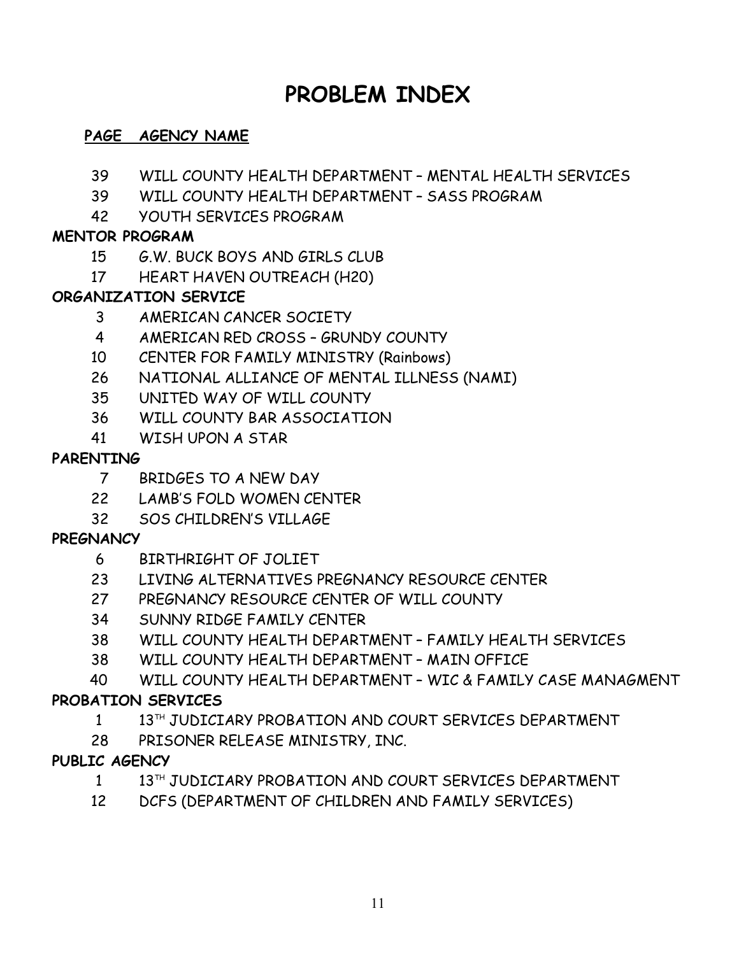### **PAGE AGENCY NAME**

- WILL COUNTY HEALTH DEPARTMENT MENTAL HEALTH SERVICES
- WILL COUNTY HEALTH DEPARTMENT SASS PROGRAM
- YOUTH SERVICES PROGRAM

### **MENTOR PROGRAM**

- G.W. BUCK BOYS AND GIRLS CLUB
- HEART HAVEN OUTREACH (H20)

### **ORGANIZATION SERVICE**

- AMERICAN CANCER SOCIETY
- AMERICAN RED CROSS GRUNDY COUNTY
- CENTER FOR FAMILY MINISTRY (Rainbows)
- NATIONAL ALLIANCE OF MENTAL ILLNESS (NAMI)
- UNITED WAY OF WILL COUNTY
- WILL COUNTY BAR ASSOCIATION
- WISH UPON A STAR

### **PARENTING**

- BRIDGES TO A NEW DAY
- LAMB'S FOLD WOMEN CENTER
- SOS CHILDREN'S VILLAGE

### **PREGNANCY**

- BIRTHRIGHT OF JOLIET
- LIVING ALTERNATIVES PREGNANCY RESOURCE CENTER
- PREGNANCY RESOURCE CENTER OF WILL COUNTY
- SUNNY RIDGE FAMILY CENTER
- WILL COUNTY HEALTH DEPARTMENT FAMILY HEALTH SERVICES
- WILL COUNTY HEALTH DEPARTMENT MAIN OFFICE
- 40 WILL COUNTY HEALTH DEPARTMENT WIC & FAMILY CASE MANAGMENT

### **PROBATION SERVICES**

- 1 13<sup>TH</sup> JUDICIARY PROBATION AND COURT SERVICES DEPARTMENT
- PRISONER RELEASE MINISTRY, INC.

## **PUBLIC AGENCY**

- 1 13<sup>TH</sup> JUDICIARY PROBATION AND COURT SERVICES DEPARTMENT
- DCFS (DEPARTMENT OF CHILDREN AND FAMILY SERVICES)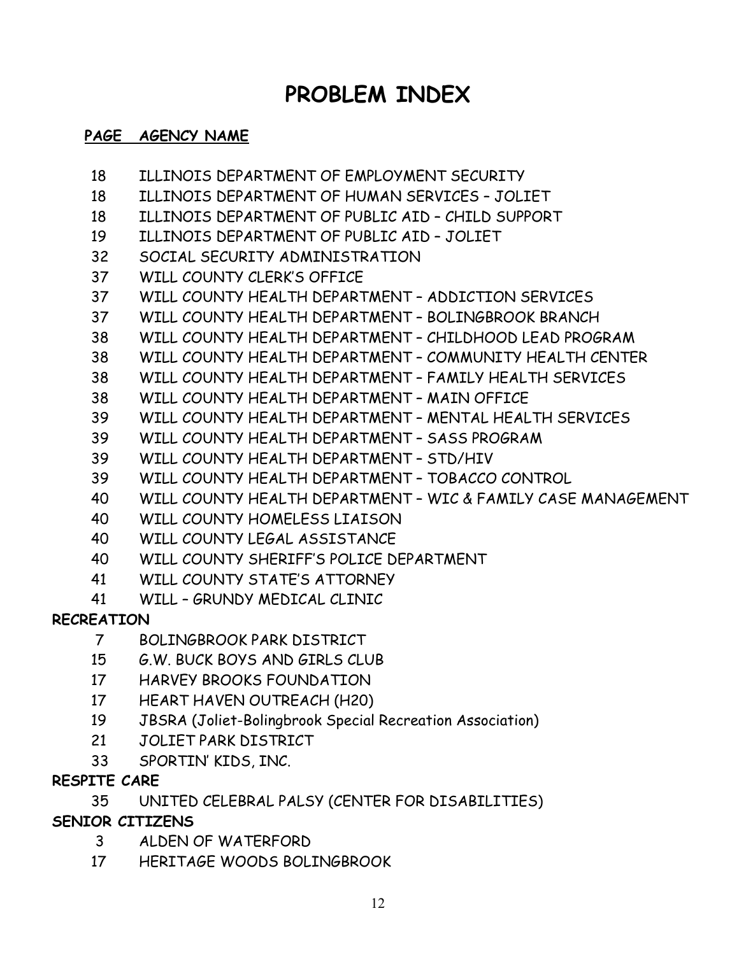### **PAGE AGENCY NAME**

- ILLINOIS DEPARTMENT OF EMPLOYMENT SECURITY
- ILLINOIS DEPARTMENT OF HUMAN SERVICES JOLIET
- ILLINOIS DEPARTMENT OF PUBLIC AID CHILD SUPPORT
- ILLINOIS DEPARTMENT OF PUBLIC AID JOLIET
- SOCIAL SECURITY ADMINISTRATION
- WILL COUNTY CLERK'S OFFICE
- WILL COUNTY HEALTH DEPARTMENT ADDICTION SERVICES
- WILL COUNTY HEALTH DEPARTMENT BOLINGBROOK BRANCH
- WILL COUNTY HEALTH DEPARTMENT CHILDHOOD LEAD PROGRAM
- WILL COUNTY HEALTH DEPARTMENT COMMUNITY HEALTH CENTER
- WILL COUNTY HEALTH DEPARTMENT FAMILY HEALTH SERVICES
- WILL COUNTY HEALTH DEPARTMENT MAIN OFFICE
- WILL COUNTY HEALTH DEPARTMENT MENTAL HEALTH SERVICES
- WILL COUNTY HEALTH DEPARTMENT SASS PROGRAM
- WILL COUNTY HEALTH DEPARTMENT STD/HIV
- WILL COUNTY HEALTH DEPARTMENT TOBACCO CONTROL
- WILL COUNTY HEALTH DEPARTMENT WIC & FAMILY CASE MANAGEMENT
- WILL COUNTY HOMELESS LIAISON
- WILL COUNTY LEGAL ASSISTANCE
- WILL COUNTY SHERIFF'S POLICE DEPARTMENT
- WILL COUNTY STATE'S ATTORNEY
- WILL GRUNDY MEDICAL CLINIC

### **RECREATION**

- BOLINGBROOK PARK DISTRICT
- G.W. BUCK BOYS AND GIRLS CLUB
- HARVEY BROOKS FOUNDATION
- HEART HAVEN OUTREACH (H20)
- JBSRA (Joliet-Bolingbrook Special Recreation Association)
- JOLIET PARK DISTRICT
- SPORTIN' KIDS, INC.

### **RESPITE CARE**

UNITED CELEBRAL PALSY (CENTER FOR DISABILITIES)

### **SENIOR CITIZENS**

- ALDEN OF WATERFORD
- HERITAGE WOODS BOLINGBROOK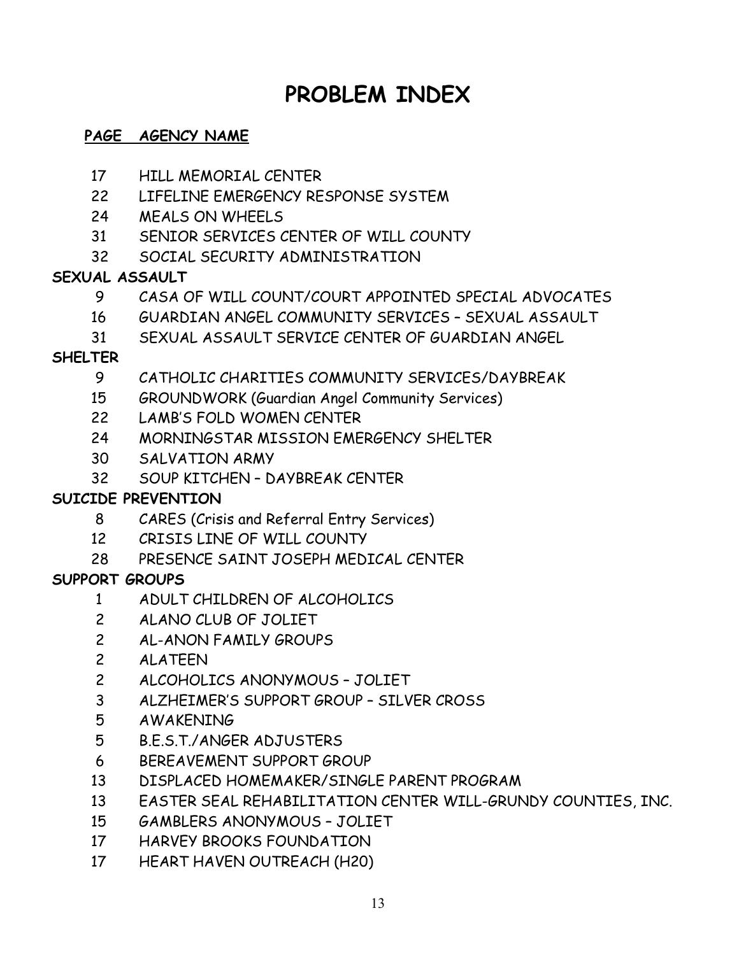### **PAGE AGENCY NAME**

- HILL MEMORIAL CENTER
- LIFELINE EMERGENCY RESPONSE SYSTEM
- MEALS ON WHEELS
- SENIOR SERVICES CENTER OF WILL COUNTY
- SOCIAL SECURITY ADMINISTRATION

### **SEXUAL ASSAULT**

- CASA OF WILL COUNT/COURT APPOINTED SPECIAL ADVOCATES
- GUARDIAN ANGEL COMMUNITY SERVICES SEXUAL ASSAULT
- SEXUAL ASSAULT SERVICE CENTER OF GUARDIAN ANGEL

### **SHELTER**

- CATHOLIC CHARITIES COMMUNITY SERVICES/DAYBREAK
- GROUNDWORK (Guardian Angel Community Services)
- LAMB'S FOLD WOMEN CENTER
- MORNINGSTAR MISSION EMERGENCY SHELTER
- SALVATION ARMY
- SOUP KITCHEN DAYBREAK CENTER

### **SUICIDE PREVENTION**

- CARES (Crisis and Referral Entry Services)
- CRISIS LINE OF WILL COUNTY
- PRESENCE SAINT JOSEPH MEDICAL CENTER

### **SUPPORT GROUPS**

- ADULT CHILDREN OF ALCOHOLICS
- ALANO CLUB OF JOLIET
- AL-ANON FAMILY GROUPS
- ALATEEN
- ALCOHOLICS ANONYMOUS JOLIET
- ALZHEIMER'S SUPPORT GROUP SILVER CROSS
- AWAKENING
- B.E.S.T./ANGER ADJUSTERS
- BEREAVEMENT SUPPORT GROUP
- DISPLACED HOMEMAKER/SINGLE PARENT PROGRAM
- EASTER SEAL REHABILITATION CENTER WILL-GRUNDY COUNTIES, INC.
- GAMBLERS ANONYMOUS JOLIET
- HARVEY BROOKS FOUNDATION
- HEART HAVEN OUTREACH (H20)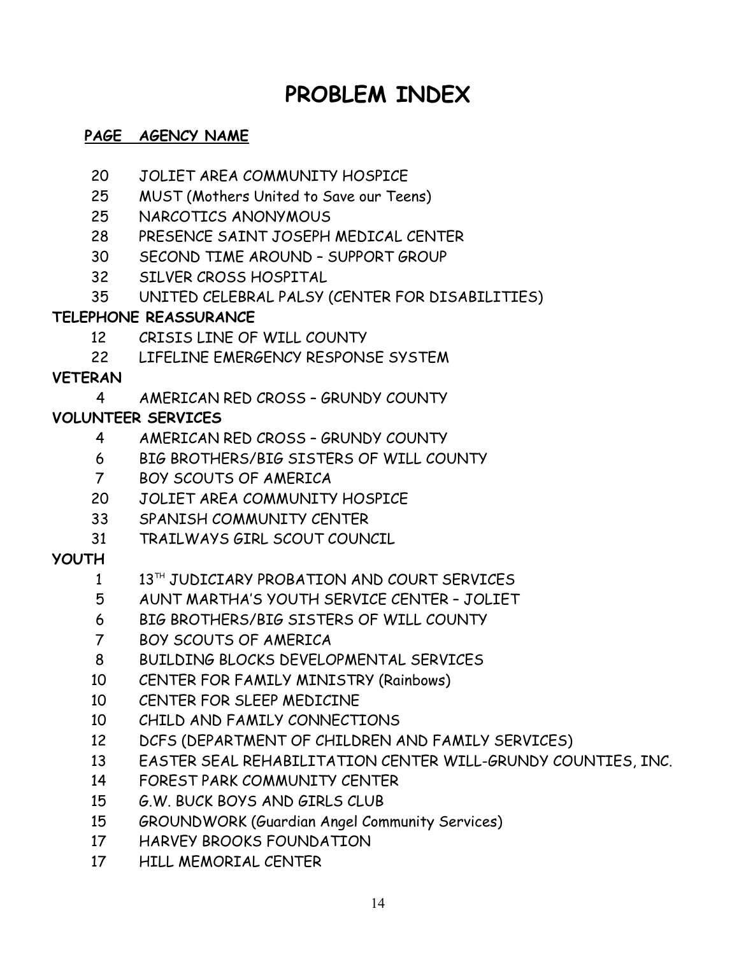### **PAGE AGENCY NAME**

- JOLIET AREA COMMUNITY HOSPICE
- MUST (Mothers United to Save our Teens)
- NARCOTICS ANONYMOUS
- PRESENCE SAINT JOSEPH MEDICAL CENTER
- SECOND TIME AROUND SUPPORT GROUP
- SILVER CROSS HOSPITAL
- UNITED CELEBRAL PALSY (CENTER FOR DISABILITIES)

### **TELEPHONE REASSURANCE**

- CRISIS LINE OF WILL COUNTY
- LIFELINE EMERGENCY RESPONSE SYSTEM

### **VETERAN**

4 AMERICAN RED CROSS – GRUNDY COUNTY

## **VOLUNTEER SERVICES**

- AMERICAN RED CROSS GRUNDY COUNTY
- BIG BROTHERS/BIG SISTERS OF WILL COUNTY
- BOY SCOUTS OF AMERICA
- JOLIET AREA COMMUNITY HOSPICE
- SPANISH COMMUNITY CENTER
- TRAILWAYS GIRL SCOUT COUNCIL

## **YOUTH**

- 1 13<sup>TH</sup> JUDICIARY PROBATION AND COURT SERVICES
- AUNT MARTHA'S YOUTH SERVICE CENTER JOLIET
- BIG BROTHERS/BIG SISTERS OF WILL COUNTY
- BOY SCOUTS OF AMERICA
- BUILDING BLOCKS DEVELOPMENTAL SERVICES
- CENTER FOR FAMILY MINISTRY (Rainbows)
- CENTER FOR SLEEP MEDICINE
- CHILD AND FAMILY CONNECTIONS
- DCFS (DEPARTMENT OF CHILDREN AND FAMILY SERVICES)
- EASTER SEAL REHABILITATION CENTER WILL-GRUNDY COUNTIES, INC.
- FOREST PARK COMMUNITY CENTER
- G.W. BUCK BOYS AND GIRLS CLUB
- GROUNDWORK (Guardian Angel Community Services)
- HARVEY BROOKS FOUNDATION
- HILL MEMORIAL CENTER